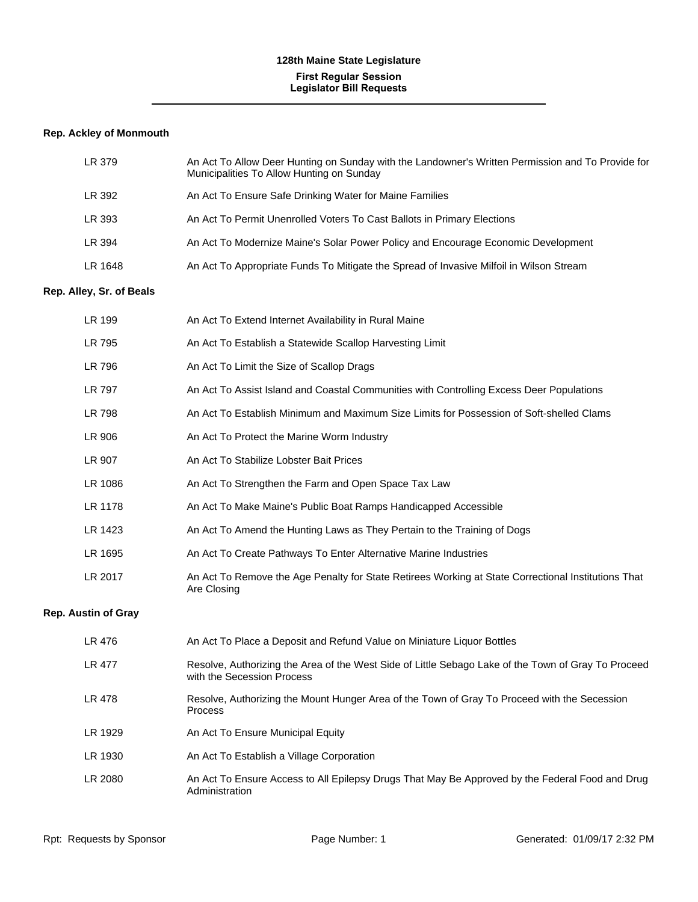# **128th Maine State Legislature First Regular Session Legislator Bill Requests**

# **Rep. Ackley of Monmouth**

| LR 379  | An Act To Allow Deer Hunting on Sunday with the Landowner's Written Permission and To Provide for<br>Municipalities To Allow Hunting on Sunday |
|---------|------------------------------------------------------------------------------------------------------------------------------------------------|
| LR 392  | An Act To Ensure Safe Drinking Water for Maine Families                                                                                        |
| LR 393  | An Act To Permit Unenrolled Voters To Cast Ballots in Primary Elections                                                                        |
| LR 394  | An Act To Modernize Maine's Solar Power Policy and Encourage Economic Development                                                              |
| LR 1648 | An Act To Appropriate Funds To Mitigate the Spread of Invasive Milfoil in Wilson Stream                                                        |

#### **Rep. Alley, Sr. of Beals**

| LR 199                     | An Act To Extend Internet Availability in Rural Maine                                                                             |
|----------------------------|-----------------------------------------------------------------------------------------------------------------------------------|
| LR 795                     | An Act To Establish a Statewide Scallop Harvesting Limit                                                                          |
| LR 796                     | An Act To Limit the Size of Scallop Drags                                                                                         |
| LR 797                     | An Act To Assist Island and Coastal Communities with Controlling Excess Deer Populations                                          |
| <b>LR 798</b>              | An Act To Establish Minimum and Maximum Size Limits for Possession of Soft-shelled Clams                                          |
| LR 906                     | An Act To Protect the Marine Worm Industry                                                                                        |
| LR 907                     | An Act To Stabilize Lobster Bait Prices                                                                                           |
| LR 1086                    | An Act To Strengthen the Farm and Open Space Tax Law                                                                              |
| LR 1178                    | An Act To Make Maine's Public Boat Ramps Handicapped Accessible                                                                   |
| LR 1423                    | An Act To Amend the Hunting Laws as They Pertain to the Training of Dogs                                                          |
| LR 1695                    | An Act To Create Pathways To Enter Alternative Marine Industries                                                                  |
| LR 2017                    | An Act To Remove the Age Penalty for State Retirees Working at State Correctional Institutions That<br>Are Closing                |
| <b>Rep. Austin of Gray</b> |                                                                                                                                   |
| LR 476                     | An Act To Place a Deposit and Refund Value on Miniature Liquor Bottles                                                            |
| <b>LR 477</b>              | Resolve, Authorizing the Area of the West Side of Little Sebago Lake of the Town of Gray To Proceed<br>with the Secession Process |
| LR 478                     | Resolve, Authorizing the Mount Hunger Area of the Town of Gray To Proceed with the Secession<br><b>Process</b>                    |
| LR 1929                    | An Act To Ensure Municipal Equity                                                                                                 |
| LR 1930                    | An Act To Establish a Village Corporation                                                                                         |
| LR 2080                    | An Act To Ensure Access to All Epilepsy Drugs That May Be Approved by the Federal Food and Drug<br>Administration                 |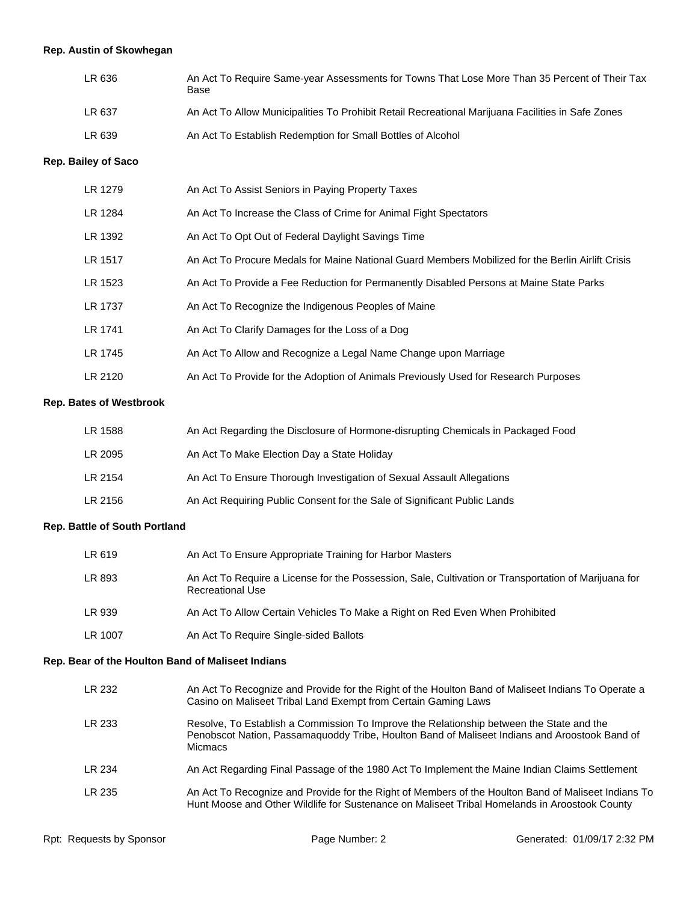# **Rep. Austin of Skowhegan**

| LR 636 | An Act To Require Same-year Assessments for Towns That Lose More Than 35 Percent of Their Tax<br>Base |
|--------|-------------------------------------------------------------------------------------------------------|
| LR 637 | An Act To Allow Municipalities To Prohibit Retail Recreational Marijuana Facilities in Safe Zones     |
| LR 639 | An Act To Establish Redemption for Small Bottles of Alcohol                                           |

# **Rep. Bailey of Saco**

| LR 1279 | An Act To Assist Seniors in Paying Property Taxes                                                 |
|---------|---------------------------------------------------------------------------------------------------|
| LR 1284 | An Act To Increase the Class of Crime for Animal Fight Spectators                                 |
| LR 1392 | An Act To Opt Out of Federal Daylight Savings Time                                                |
| LR 1517 | An Act To Procure Medals for Maine National Guard Members Mobilized for the Berlin Airlift Crisis |
| LR 1523 | An Act To Provide a Fee Reduction for Permanently Disabled Persons at Maine State Parks           |
| LR 1737 | An Act To Recognize the Indigenous Peoples of Maine                                               |
| LR 1741 | An Act To Clarify Damages for the Loss of a Dog                                                   |
| LR 1745 | An Act To Allow and Recognize a Legal Name Change upon Marriage                                   |
| LR 2120 | An Act To Provide for the Adoption of Animals Previously Used for Research Purposes               |

#### **Rep. Bates of Westbrook**

| LR 1588 | An Act Regarding the Disclosure of Hormone-disrupting Chemicals in Packaged Food |
|---------|----------------------------------------------------------------------------------|
| LR 2095 | An Act To Make Election Day a State Holiday                                      |
| LR 2154 | An Act To Ensure Thorough Investigation of Sexual Assault Allegations            |
| LR 2156 | An Act Requiring Public Consent for the Sale of Significant Public Lands         |

# **Rep. Battle of South Portland**

| LR 619  | An Act To Ensure Appropriate Training for Harbor Masters                                                                        |
|---------|---------------------------------------------------------------------------------------------------------------------------------|
| LR 893  | An Act To Require a License for the Possession, Sale, Cultivation or Transportation of Marijuana for<br><b>Recreational Use</b> |
| LR 939  | An Act To Allow Certain Vehicles To Make a Right on Red Even When Prohibited                                                    |
| LR 1007 | An Act To Require Single-sided Ballots                                                                                          |

# **Rep. Bear of the Houlton Band of Maliseet Indians**

| LR 232 | An Act To Recognize and Provide for the Right of the Houlton Band of Maliseet Indians To Operate a<br>Casino on Maliseet Tribal Land Exempt from Certain Gaming Laws                                        |
|--------|-------------------------------------------------------------------------------------------------------------------------------------------------------------------------------------------------------------|
| LR 233 | Resolve, To Establish a Commission To Improve the Relationship between the State and the<br>Penobscot Nation, Passamaguoddy Tribe, Houlton Band of Maliseet Indians and Aroostook Band of<br><b>Micmacs</b> |
| LR 234 | An Act Regarding Final Passage of the 1980 Act To Implement the Maine Indian Claims Settlement                                                                                                              |
| LR 235 | An Act To Recognize and Provide for the Right of Members of the Houlton Band of Maliseet Indians To<br>Hunt Moose and Other Wildlife for Sustenance on Maliseet Tribal Homelands in Aroostook County        |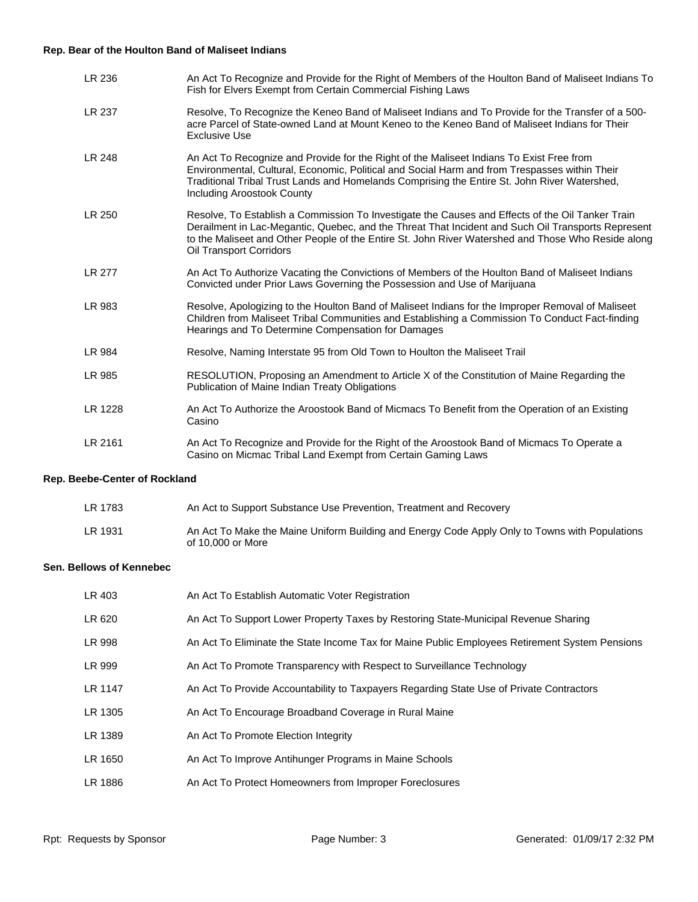# **Rep. Bear of the Houlton Band of Maliseet Indians**

| LR 236        | An Act To Recognize and Provide for the Right of Members of the Houlton Band of Maliseet Indians To<br>Fish for Elvers Exempt from Certain Commercial Fishing Laws                                                                                                                                                                      |
|---------------|-----------------------------------------------------------------------------------------------------------------------------------------------------------------------------------------------------------------------------------------------------------------------------------------------------------------------------------------|
| LR 237        | Resolve, To Recognize the Keneo Band of Maliseet Indians and To Provide for the Transfer of a 500-<br>acre Parcel of State-owned Land at Mount Keneo to the Keneo Band of Maliseet Indians for Their<br><b>Exclusive Use</b>                                                                                                            |
| LR 248        | An Act To Recognize and Provide for the Right of the Maliseet Indians To Exist Free from<br>Environmental, Cultural, Economic, Political and Social Harm and from Trespasses within Their<br>Traditional Tribal Trust Lands and Homelands Comprising the Entire St. John River Watershed,<br>Including Aroostook County                 |
| LR 250        | Resolve, To Establish a Commission To Investigate the Causes and Effects of the Oil Tanker Train<br>Derailment in Lac-Megantic, Quebec, and the Threat That Incident and Such Oil Transports Represent<br>to the Maliseet and Other People of the Entire St. John River Watershed and Those Who Reside along<br>Oil Transport Corridors |
| <b>LR 277</b> | An Act To Authorize Vacating the Convictions of Members of the Houlton Band of Maliseet Indians<br>Convicted under Prior Laws Governing the Possession and Use of Marijuana                                                                                                                                                             |
| LR 983        | Resolve, Apologizing to the Houlton Band of Maliseet Indians for the Improper Removal of Maliseet<br>Children from Maliseet Tribal Communities and Establishing a Commission To Conduct Fact-finding<br>Hearings and To Determine Compensation for Damages                                                                              |
| LR 984        | Resolve, Naming Interstate 95 from Old Town to Houlton the Maliseet Trail                                                                                                                                                                                                                                                               |
| LR 985        | RESOLUTION, Proposing an Amendment to Article X of the Constitution of Maine Regarding the<br>Publication of Maine Indian Treaty Obligations                                                                                                                                                                                            |
| LR 1228       | An Act To Authorize the Aroostook Band of Micmacs To Benefit from the Operation of an Existing<br>Casino                                                                                                                                                                                                                                |
| LR 2161       | An Act To Recognize and Provide for the Right of the Aroostook Band of Micmacs To Operate a<br>Casino on Micmac Tribal Land Exempt from Certain Gaming Laws                                                                                                                                                                             |

# **Rep. Beebe-Center of Rockland**

| LR 1783 | An Act to Support Substance Use Prevention, Treatment and Recovery                                                  |
|---------|---------------------------------------------------------------------------------------------------------------------|
| LR 1931 | An Act To Make the Maine Uniform Building and Energy Code Apply Only to Towns with Populations<br>of 10.000 or More |

#### **Sen. Bellows of Kennebec**

| LR 403  | An Act To Establish Automatic Voter Registration                                               |
|---------|------------------------------------------------------------------------------------------------|
| LR 620  | An Act To Support Lower Property Taxes by Restoring State-Municipal Revenue Sharing            |
| LR 998  | An Act To Eliminate the State Income Tax for Maine Public Employees Retirement System Pensions |
| LR 999  | An Act To Promote Transparency with Respect to Surveillance Technology                         |
| LR 1147 | An Act To Provide Accountability to Taxpayers Regarding State Use of Private Contractors       |
| LR 1305 | An Act To Encourage Broadband Coverage in Rural Maine                                          |
| LR 1389 | An Act To Promote Election Integrity                                                           |
| LR 1650 | An Act To Improve Antihunger Programs in Maine Schools                                         |
| LR 1886 | An Act To Protect Homeowners from Improper Foreclosures                                        |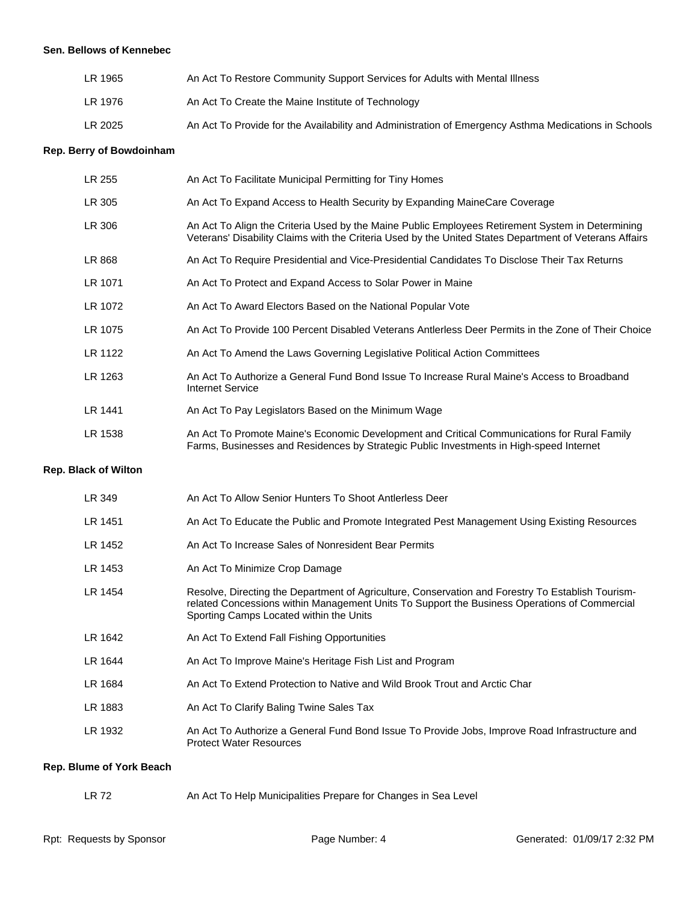#### **Sen. Bellows of Kennebec**

| LR 1965 | An Act To Restore Community Support Services for Adults with Mental Illness                          |
|---------|------------------------------------------------------------------------------------------------------|
| LR 1976 | An Act To Create the Maine Institute of Technology                                                   |
| LR 2025 | An Act To Provide for the Availability and Administration of Emergency Asthma Medications in Schools |

# **Rep. Berry of Bowdoinham**

| LR 255                      | An Act To Facilitate Municipal Permitting for Tiny Homes                                                                                                                                                                                     |
|-----------------------------|----------------------------------------------------------------------------------------------------------------------------------------------------------------------------------------------------------------------------------------------|
| LR 305                      | An Act To Expand Access to Health Security by Expanding MaineCare Coverage                                                                                                                                                                   |
| LR 306                      | An Act To Align the Criteria Used by the Maine Public Employees Retirement System in Determining<br>Veterans' Disability Claims with the Criteria Used by the United States Department of Veterans Affairs                                   |
| LR 868                      | An Act To Require Presidential and Vice-Presidential Candidates To Disclose Their Tax Returns                                                                                                                                                |
| LR 1071                     | An Act To Protect and Expand Access to Solar Power in Maine                                                                                                                                                                                  |
| LR 1072                     | An Act To Award Electors Based on the National Popular Vote                                                                                                                                                                                  |
| LR 1075                     | An Act To Provide 100 Percent Disabled Veterans Antlerless Deer Permits in the Zone of Their Choice                                                                                                                                          |
| LR 1122                     | An Act To Amend the Laws Governing Legislative Political Action Committees                                                                                                                                                                   |
| LR 1263                     | An Act To Authorize a General Fund Bond Issue To Increase Rural Maine's Access to Broadband<br><b>Internet Service</b>                                                                                                                       |
| LR 1441                     | An Act To Pay Legislators Based on the Minimum Wage                                                                                                                                                                                          |
| LR 1538                     | An Act To Promote Maine's Economic Development and Critical Communications for Rural Family<br>Farms, Businesses and Residences by Strategic Public Investments in High-speed Internet                                                       |
| <b>Rep. Black of Wilton</b> |                                                                                                                                                                                                                                              |
| LR 349                      | An Act To Allow Senior Hunters To Shoot Antlerless Deer                                                                                                                                                                                      |
| LR 1451                     | An Act To Educate the Public and Promote Integrated Pest Management Using Existing Resources                                                                                                                                                 |
| LR 1452                     | An Act To Increase Sales of Nonresident Bear Permits                                                                                                                                                                                         |
| LR 1453                     | An Act To Minimize Crop Damage                                                                                                                                                                                                               |
| LR 1454                     | Resolve, Directing the Department of Agriculture, Conservation and Forestry To Establish Tourism-<br>related Concessions within Management Units To Support the Business Operations of Commercial<br>Sporting Camps Located within the Units |
| LR 1642                     | An Act To Extend Fall Fishing Opportunities                                                                                                                                                                                                  |
| LR 1644                     | An Act To Improve Maine's Heritage Fish List and Program                                                                                                                                                                                     |
| LR 1684                     | An Act To Extend Protection to Native and Wild Brook Trout and Arctic Char                                                                                                                                                                   |
| LR 1883                     | An Act To Clarify Baling Twine Sales Tax                                                                                                                                                                                                     |
|                             |                                                                                                                                                                                                                                              |

LR 1932 An Act To Authorize a General Fund Bond Issue To Provide Jobs, Improve Road Infrastructure and Protect Water Resources

#### **Rep. Blume of York Beach**

| LR 72 | An Act To Help Municipalities Prepare for Changes in Sea Level |  |
|-------|----------------------------------------------------------------|--|
|-------|----------------------------------------------------------------|--|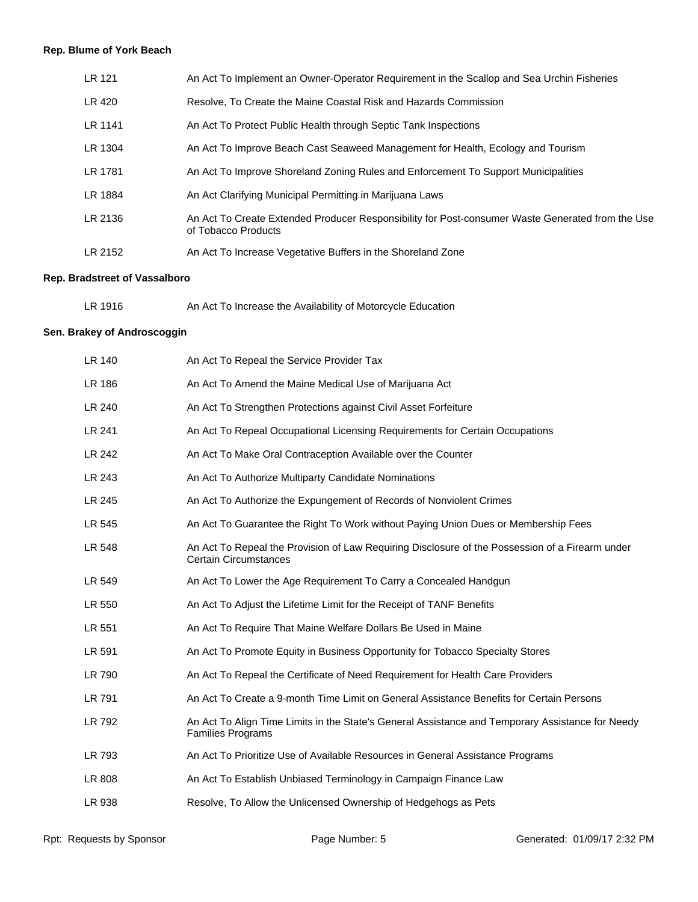# **Rep. Blume of York Beach**

| LR 121  | An Act To Implement an Owner-Operator Requirement in the Scallop and Sea Urchin Fisheries                               |
|---------|-------------------------------------------------------------------------------------------------------------------------|
| LR 420  | Resolve, To Create the Maine Coastal Risk and Hazards Commission                                                        |
| LR 1141 | An Act To Protect Public Health through Septic Tank Inspections                                                         |
| LR 1304 | An Act To Improve Beach Cast Seaweed Management for Health, Ecology and Tourism                                         |
| LR 1781 | An Act To Improve Shoreland Zoning Rules and Enforcement To Support Municipalities                                      |
| LR 1884 | An Act Clarifying Municipal Permitting in Marijuana Laws                                                                |
| LR 2136 | An Act To Create Extended Producer Responsibility for Post-consumer Waste Generated from the Use<br>of Tobacco Products |
| LR 2152 | An Act To Increase Vegetative Buffers in the Shoreland Zone                                                             |

# **Rep. Bradstreet of Vassalboro**

| LR 1916 | An Act To Increase the Availability of Motorcycle Education |  |
|---------|-------------------------------------------------------------|--|
|         |                                                             |  |

# **Sen. Brakey of Androscoggin**

| An Act To Repeal the Service Provider Tax                                                                                       |
|---------------------------------------------------------------------------------------------------------------------------------|
| An Act To Amend the Maine Medical Use of Marijuana Act                                                                          |
| An Act To Strengthen Protections against Civil Asset Forfeiture                                                                 |
| An Act To Repeal Occupational Licensing Requirements for Certain Occupations                                                    |
| An Act To Make Oral Contraception Available over the Counter                                                                    |
| An Act To Authorize Multiparty Candidate Nominations                                                                            |
| An Act To Authorize the Expungement of Records of Nonviolent Crimes                                                             |
| An Act To Guarantee the Right To Work without Paying Union Dues or Membership Fees                                              |
| An Act To Repeal the Provision of Law Requiring Disclosure of the Possession of a Firearm under<br><b>Certain Circumstances</b> |
| An Act To Lower the Age Requirement To Carry a Concealed Handgun                                                                |
| An Act To Adjust the Lifetime Limit for the Receipt of TANF Benefits                                                            |
| An Act To Require That Maine Welfare Dollars Be Used in Maine                                                                   |
| An Act To Promote Equity in Business Opportunity for Tobacco Specialty Stores                                                   |
| An Act To Repeal the Certificate of Need Requirement for Health Care Providers                                                  |
| An Act To Create a 9-month Time Limit on General Assistance Benefits for Certain Persons                                        |
| An Act To Align Time Limits in the State's General Assistance and Temporary Assistance for Needy<br><b>Families Programs</b>    |
| An Act To Prioritize Use of Available Resources in General Assistance Programs                                                  |
| An Act To Establish Unbiased Terminology in Campaign Finance Law                                                                |
| Resolve, To Allow the Unlicensed Ownership of Hedgehogs as Pets                                                                 |
|                                                                                                                                 |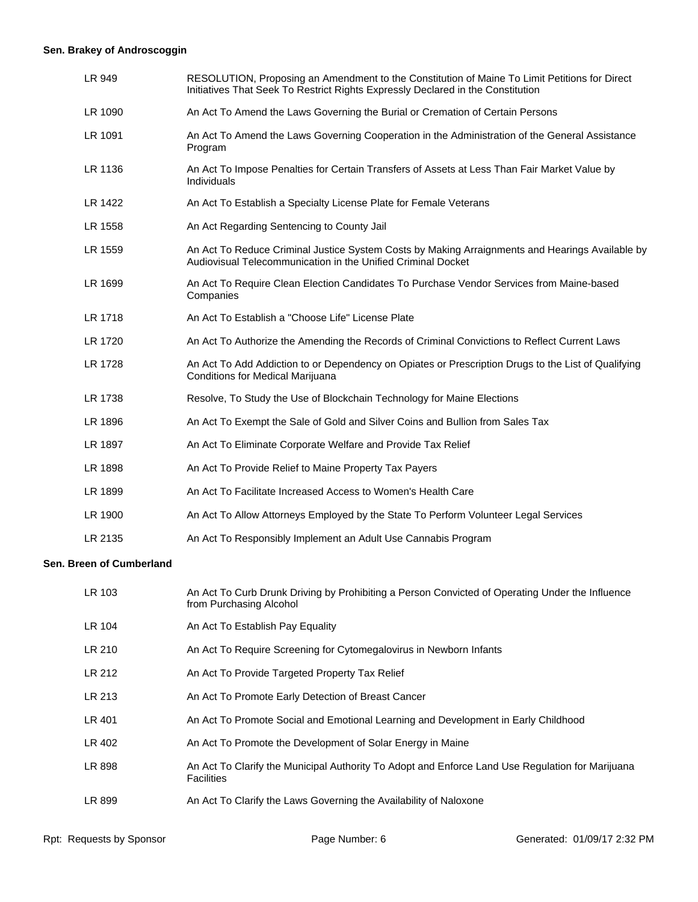# **Sen. Brakey of Androscoggin**

| LR 949                   | RESOLUTION, Proposing an Amendment to the Constitution of Maine To Limit Petitions for Direct<br>Initiatives That Seek To Restrict Rights Expressly Declared in the Constitution |
|--------------------------|----------------------------------------------------------------------------------------------------------------------------------------------------------------------------------|
| LR 1090                  | An Act To Amend the Laws Governing the Burial or Cremation of Certain Persons                                                                                                    |
| LR 1091                  | An Act To Amend the Laws Governing Cooperation in the Administration of the General Assistance<br>Program                                                                        |
| LR 1136                  | An Act To Impose Penalties for Certain Transfers of Assets at Less Than Fair Market Value by<br>Individuals                                                                      |
| LR 1422                  | An Act To Establish a Specialty License Plate for Female Veterans                                                                                                                |
| LR 1558                  | An Act Regarding Sentencing to County Jail                                                                                                                                       |
| LR 1559                  | An Act To Reduce Criminal Justice System Costs by Making Arraignments and Hearings Available by<br>Audiovisual Telecommunication in the Unified Criminal Docket                  |
| LR 1699                  | An Act To Require Clean Election Candidates To Purchase Vendor Services from Maine-based<br>Companies                                                                            |
| LR 1718                  | An Act To Establish a "Choose Life" License Plate                                                                                                                                |
| LR 1720                  | An Act To Authorize the Amending the Records of Criminal Convictions to Reflect Current Laws                                                                                     |
| LR 1728                  | An Act To Add Addiction to or Dependency on Opiates or Prescription Drugs to the List of Qualifying<br>Conditions for Medical Marijuana                                          |
| LR 1738                  | Resolve, To Study the Use of Blockchain Technology for Maine Elections                                                                                                           |
| LR 1896                  | An Act To Exempt the Sale of Gold and Silver Coins and Bullion from Sales Tax                                                                                                    |
| LR 1897                  | An Act To Eliminate Corporate Welfare and Provide Tax Relief                                                                                                                     |
| LR 1898                  | An Act To Provide Relief to Maine Property Tax Payers                                                                                                                            |
| LR 1899                  | An Act To Facilitate Increased Access to Women's Health Care                                                                                                                     |
| LR 1900                  | An Act To Allow Attorneys Employed by the State To Perform Volunteer Legal Services                                                                                              |
| LR 2135                  | An Act To Responsibly Implement an Adult Use Cannabis Program                                                                                                                    |
| Sen. Breen of Cumberland |                                                                                                                                                                                  |
| $1$ D $102$              | An Act To Curb Druple Driving by Probibiting a Person Convicted of Operating Under the Influence                                                                                 |

| LR 103 | An Act To Curb Drunk Driving by Prohibiting a Person Convicted of Operating Under the Influence<br>from Purchasing Alcohol |
|--------|----------------------------------------------------------------------------------------------------------------------------|
| LR 104 | An Act To Establish Pay Equality                                                                                           |
| LR 210 | An Act To Require Screening for Cytomegalovirus in Newborn Infants                                                         |
| LR 212 | An Act To Provide Targeted Property Tax Relief                                                                             |
| LR 213 | An Act To Promote Early Detection of Breast Cancer                                                                         |
| LR 401 | An Act To Promote Social and Emotional Learning and Development in Early Childhood                                         |
| LR 402 | An Act To Promote the Development of Solar Energy in Maine                                                                 |
| LR 898 | An Act To Clarify the Municipal Authority To Adopt and Enforce Land Use Regulation for Marijuana<br><b>Facilities</b>      |
| LR 899 | An Act To Clarify the Laws Governing the Availability of Naloxone                                                          |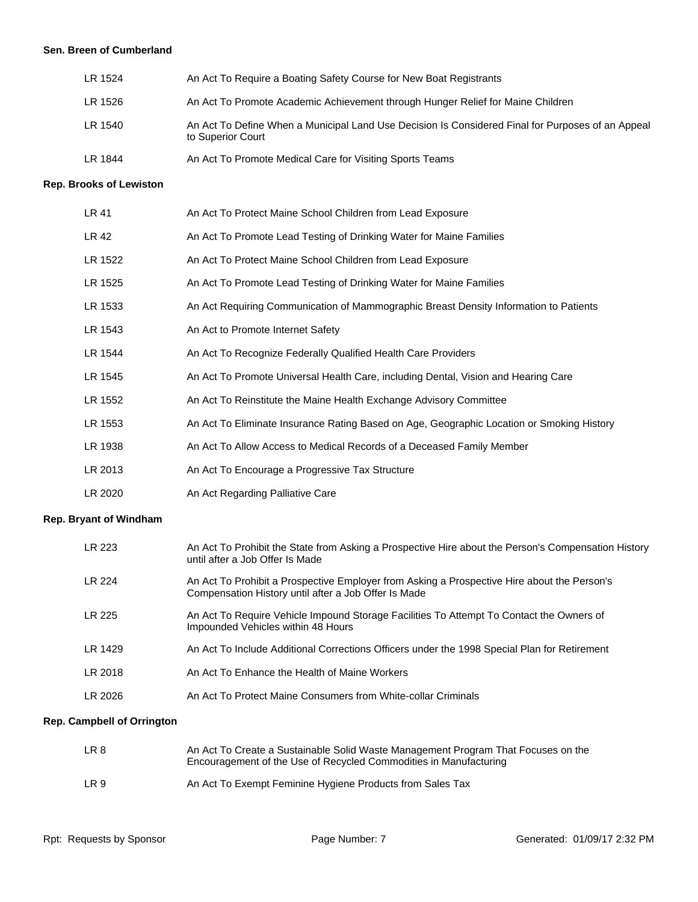#### **Sen. Breen of Cumberland**

| LR 1524 | An Act To Require a Boating Safety Course for New Boat Registrants                                                     |
|---------|------------------------------------------------------------------------------------------------------------------------|
| LR 1526 | An Act To Promote Academic Achievement through Hunger Relief for Maine Children                                        |
| LR 1540 | An Act To Define When a Municipal Land Use Decision Is Considered Final for Purposes of an Appeal<br>to Superior Court |
| LR 1844 | An Act To Promote Medical Care for Visiting Sports Teams                                                               |

#### **Rep. Brooks of Lewiston**

| LR 41   | An Act To Protect Maine School Children from Lead Exposure                                |
|---------|-------------------------------------------------------------------------------------------|
| LR 42   | An Act To Promote Lead Testing of Drinking Water for Maine Families                       |
| LR 1522 | An Act To Protect Maine School Children from Lead Exposure                                |
| LR 1525 | An Act To Promote Lead Testing of Drinking Water for Maine Families                       |
| LR 1533 | An Act Requiring Communication of Mammographic Breast Density Information to Patients     |
| LR 1543 | An Act to Promote Internet Safety                                                         |
| LR 1544 | An Act To Recognize Federally Qualified Health Care Providers                             |
| LR 1545 | An Act To Promote Universal Health Care, including Dental, Vision and Hearing Care        |
| LR 1552 | An Act To Reinstitute the Maine Health Exchange Advisory Committee                        |
| LR 1553 | An Act To Eliminate Insurance Rating Based on Age, Geographic Location or Smoking History |
| LR 1938 | An Act To Allow Access to Medical Records of a Deceased Family Member                     |
| LR 2013 | An Act To Encourage a Progressive Tax Structure                                           |
| LR 2020 | An Act Regarding Palliative Care                                                          |

#### **Rep. Bryant of Windham**

| LR 223  | An Act To Prohibit the State from Asking a Prospective Hire about the Person's Compensation History<br>until after a Job Offer Is Made              |
|---------|-----------------------------------------------------------------------------------------------------------------------------------------------------|
| LR 224  | An Act To Prohibit a Prospective Employer from Asking a Prospective Hire about the Person's<br>Compensation History until after a Job Offer Is Made |
| LR 225  | An Act To Require Vehicle Impound Storage Facilities To Attempt To Contact the Owners of<br>Impounded Vehicles within 48 Hours                      |
| LR 1429 | An Act To Include Additional Corrections Officers under the 1998 Special Plan for Retirement                                                        |
| LR 2018 | An Act To Enhance the Health of Maine Workers                                                                                                       |
| LR 2026 | An Act To Protect Maine Consumers from White-collar Criminals                                                                                       |

# **Rep. Campbell of Orrington**

| LR 8 | An Act To Create a Sustainable Solid Waste Management Program That Focuses on the<br>Encouragement of the Use of Recycled Commodities in Manufacturing |
|------|--------------------------------------------------------------------------------------------------------------------------------------------------------|
| LR 9 | An Act To Exempt Feminine Hygiene Products from Sales Tax                                                                                              |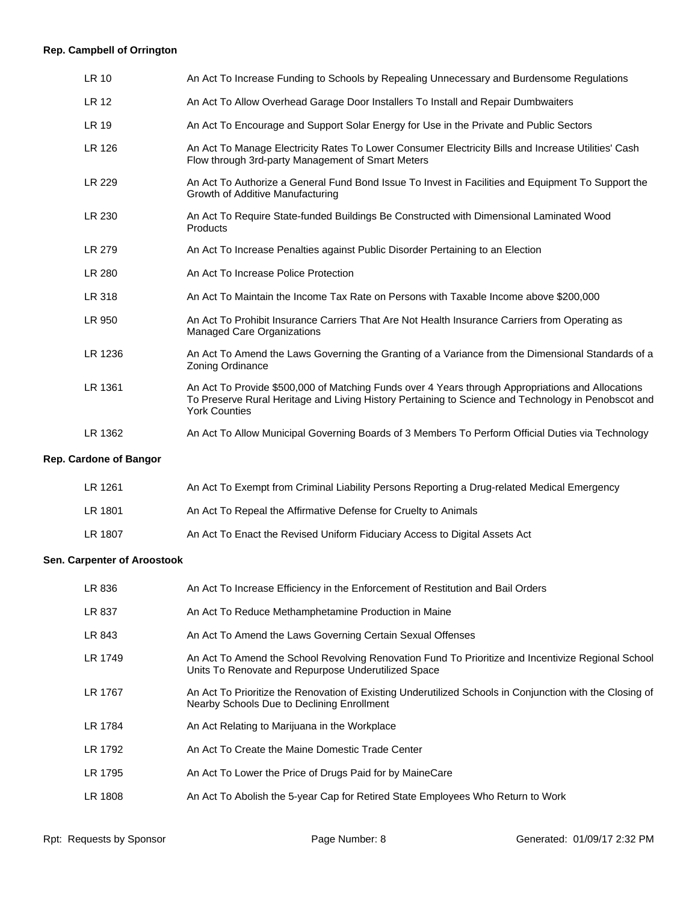# **Rep. Campbell of Orrington**

| LR 10                         | An Act To Increase Funding to Schools by Repealing Unnecessary and Burdensome Regulations                                                                                                                                        |
|-------------------------------|----------------------------------------------------------------------------------------------------------------------------------------------------------------------------------------------------------------------------------|
| LR 12                         | An Act To Allow Overhead Garage Door Installers To Install and Repair Dumbwaiters                                                                                                                                                |
| LR 19                         | An Act To Encourage and Support Solar Energy for Use in the Private and Public Sectors                                                                                                                                           |
| LR 126                        | An Act To Manage Electricity Rates To Lower Consumer Electricity Bills and Increase Utilities' Cash<br>Flow through 3rd-party Management of Smart Meters                                                                         |
| LR 229                        | An Act To Authorize a General Fund Bond Issue To Invest in Facilities and Equipment To Support the<br>Growth of Additive Manufacturing                                                                                           |
| LR 230                        | An Act To Require State-funded Buildings Be Constructed with Dimensional Laminated Wood<br>Products                                                                                                                              |
| LR 279                        | An Act To Increase Penalties against Public Disorder Pertaining to an Election                                                                                                                                                   |
| LR 280                        | An Act To Increase Police Protection                                                                                                                                                                                             |
| LR 318                        | An Act To Maintain the Income Tax Rate on Persons with Taxable Income above \$200,000                                                                                                                                            |
| LR 950                        | An Act To Prohibit Insurance Carriers That Are Not Health Insurance Carriers from Operating as<br><b>Managed Care Organizations</b>                                                                                              |
| LR 1236                       | An Act To Amend the Laws Governing the Granting of a Variance from the Dimensional Standards of a<br>Zoning Ordinance                                                                                                            |
| LR 1361                       | An Act To Provide \$500,000 of Matching Funds over 4 Years through Appropriations and Allocations<br>To Preserve Rural Heritage and Living History Pertaining to Science and Technology in Penobscot and<br><b>York Counties</b> |
| LR 1362                       | An Act To Allow Municipal Governing Boards of 3 Members To Perform Official Duties via Technology                                                                                                                                |
| <b>Rep. Cardone of Bangor</b> |                                                                                                                                                                                                                                  |

| LR 1261 | An Act To Exempt from Criminal Liability Persons Reporting a Drug-related Medical Emergency |
|---------|---------------------------------------------------------------------------------------------|
| LR 1801 | An Act To Repeal the Affirmative Defense for Cruelty to Animals                             |
| LR 1807 | An Act To Enact the Revised Uniform Fiduciary Access to Digital Assets Act                  |

# **Sen. Carpenter of Aroostook**

| LR 836  | An Act To Increase Efficiency in the Enforcement of Restitution and Bail Orders                                                                           |
|---------|-----------------------------------------------------------------------------------------------------------------------------------------------------------|
| LR 837  | An Act To Reduce Methamphetamine Production in Maine                                                                                                      |
| LR 843  | An Act To Amend the Laws Governing Certain Sexual Offenses                                                                                                |
| LR 1749 | An Act To Amend the School Revolving Renovation Fund To Prioritize and Incentivize Regional School<br>Units To Renovate and Repurpose Underutilized Space |
| LR 1767 | An Act To Prioritize the Renovation of Existing Underutilized Schools in Conjunction with the Closing of<br>Nearby Schools Due to Declining Enrollment    |
| LR 1784 | An Act Relating to Marijuana in the Workplace                                                                                                             |
| LR 1792 | An Act To Create the Maine Domestic Trade Center                                                                                                          |
| LR 1795 | An Act To Lower the Price of Drugs Paid for by MaineCare                                                                                                  |
| LR 1808 | An Act To Abolish the 5-year Cap for Retired State Employees Who Return to Work                                                                           |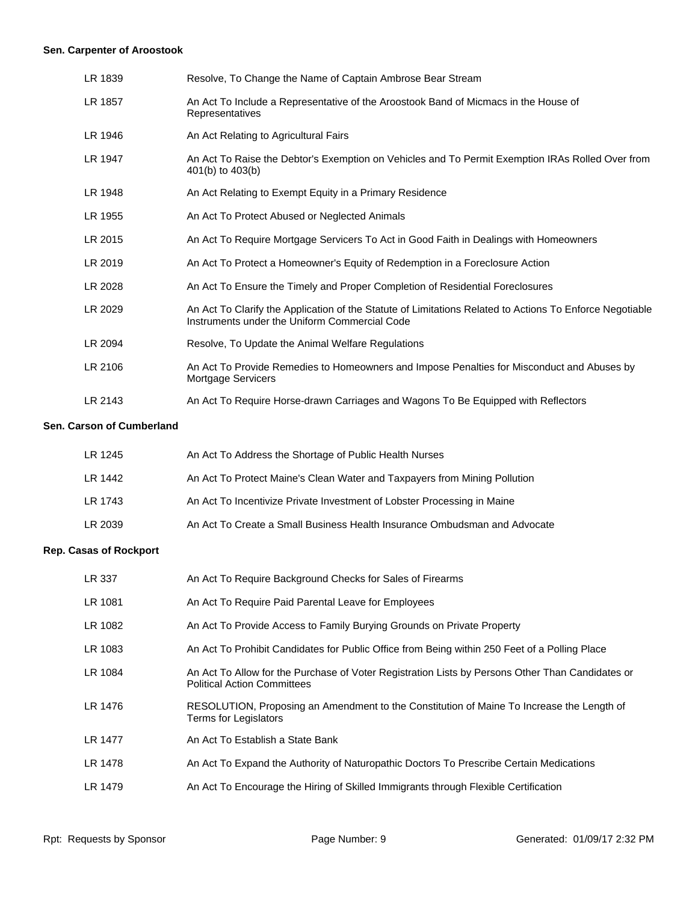# **Sen. Carpenter of Aroostook**

| LR 1839 | Resolve, To Change the Name of Captain Ambrose Bear Stream                                                                                                |
|---------|-----------------------------------------------------------------------------------------------------------------------------------------------------------|
| LR 1857 | An Act To Include a Representative of the Aroostook Band of Micmacs in the House of<br>Representatives                                                    |
| LR 1946 | An Act Relating to Agricultural Fairs                                                                                                                     |
| LR 1947 | An Act To Raise the Debtor's Exemption on Vehicles and To Permit Exemption IRAs Rolled Over from<br>401(b) to 403(b)                                      |
| LR 1948 | An Act Relating to Exempt Equity in a Primary Residence                                                                                                   |
| LR 1955 | An Act To Protect Abused or Neglected Animals                                                                                                             |
| LR 2015 | An Act To Require Mortgage Servicers To Act in Good Faith in Dealings with Homeowners                                                                     |
| LR 2019 | An Act To Protect a Homeowner's Equity of Redemption in a Foreclosure Action                                                                              |
| LR 2028 | An Act To Ensure the Timely and Proper Completion of Residential Foreclosures                                                                             |
| LR 2029 | An Act To Clarify the Application of the Statute of Limitations Related to Actions To Enforce Negotiable<br>Instruments under the Uniform Commercial Code |
| LR 2094 | Resolve, To Update the Animal Welfare Regulations                                                                                                         |
| LR 2106 | An Act To Provide Remedies to Homeowners and Impose Penalties for Misconduct and Abuses by<br><b>Mortgage Servicers</b>                                   |
| LR 2143 | An Act To Require Horse-drawn Carriages and Wagons To Be Equipped with Reflectors                                                                         |

#### **Sen. Carson of Cumberland**

| LR 1245 | An Act To Address the Shortage of Public Health Nurses                    |
|---------|---------------------------------------------------------------------------|
| LR 1442 | An Act To Protect Maine's Clean Water and Taxpayers from Mining Pollution |
| LR 1743 | An Act To Incentivize Private Investment of Lobster Processing in Maine   |
| LR 2039 | An Act To Create a Small Business Health Insurance Ombudsman and Advocate |

# **Rep. Casas of Rockport**

| LR 337  | An Act To Require Background Checks for Sales of Firearms                                                                              |
|---------|----------------------------------------------------------------------------------------------------------------------------------------|
| LR 1081 | An Act To Require Paid Parental Leave for Employees                                                                                    |
| LR 1082 | An Act To Provide Access to Family Burying Grounds on Private Property                                                                 |
| LR 1083 | An Act To Prohibit Candidates for Public Office from Being within 250 Feet of a Polling Place                                          |
| LR 1084 | An Act To Allow for the Purchase of Voter Registration Lists by Persons Other Than Candidates or<br><b>Political Action Committees</b> |
| LR 1476 | RESOLUTION, Proposing an Amendment to the Constitution of Maine To Increase the Length of<br>Terms for Legislators                     |
| LR 1477 | An Act To Establish a State Bank                                                                                                       |
| LR 1478 | An Act To Expand the Authority of Naturopathic Doctors To Prescribe Certain Medications                                                |
| LR 1479 | An Act To Encourage the Hiring of Skilled Immigrants through Flexible Certification                                                    |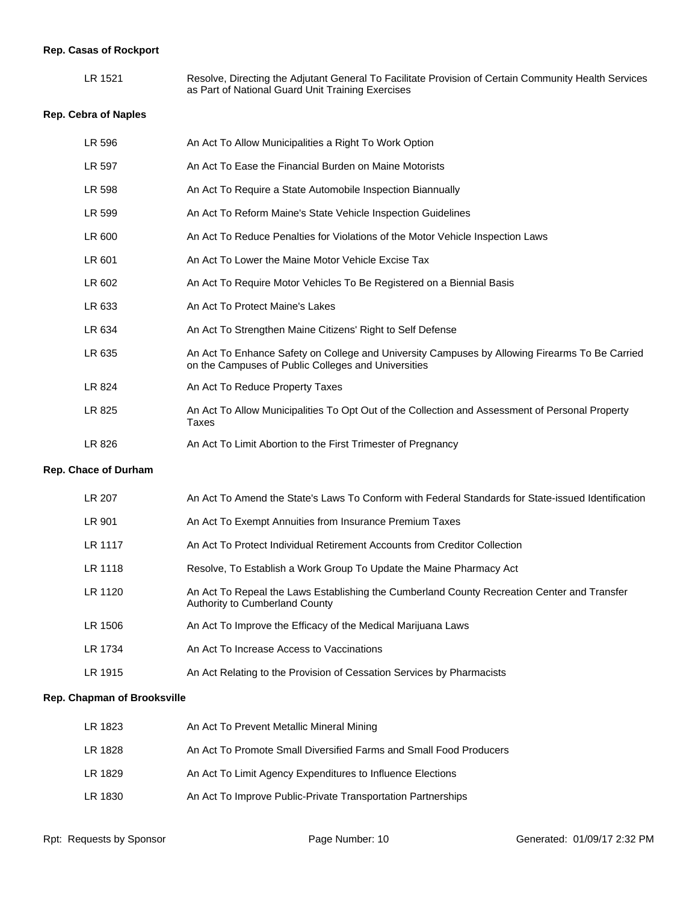# **Rep. Casas of Rockport**

| LR 1521 | Resolve, Directing the Adjutant General To Facilitate Provision of Certain Community Health Services |
|---------|------------------------------------------------------------------------------------------------------|
|         | as Part of National Guard Unit Training Exercises                                                    |

# **Rep. Cebra of Naples**

| LR 596               | An Act To Allow Municipalities a Right To Work Option                                                                                                 |
|----------------------|-------------------------------------------------------------------------------------------------------------------------------------------------------|
| LR 597               | An Act To Ease the Financial Burden on Maine Motorists                                                                                                |
| <b>LR 598</b>        | An Act To Require a State Automobile Inspection Biannually                                                                                            |
| LR 599               | An Act To Reform Maine's State Vehicle Inspection Guidelines                                                                                          |
| LR 600               | An Act To Reduce Penalties for Violations of the Motor Vehicle Inspection Laws                                                                        |
| LR 601               | An Act To Lower the Maine Motor Vehicle Excise Tax                                                                                                    |
| LR 602               | An Act To Require Motor Vehicles To Be Registered on a Biennial Basis                                                                                 |
| LR 633               | An Act To Protect Maine's Lakes                                                                                                                       |
| LR 634               | An Act To Strengthen Maine Citizens' Right to Self Defense                                                                                            |
| LR 635               | An Act To Enhance Safety on College and University Campuses by Allowing Firearms To Be Carried<br>on the Campuses of Public Colleges and Universities |
| LR 824               | An Act To Reduce Property Taxes                                                                                                                       |
| LR 825               | An Act To Allow Municipalities To Opt Out of the Collection and Assessment of Personal Property<br>Taxes                                              |
| LR 826               | An Act To Limit Abortion to the First Trimester of Pregnancy                                                                                          |
| Rep. Chace of Durham |                                                                                                                                                       |
| LR 207               | An Act To Amend the State's Laws To Conform with Federal Standards for State-issued Identification                                                    |
| LR 901               | An Act To Exempt Annuities from Insurance Premium Taxes                                                                                               |
| LR 1117              | An Act To Protect Individual Retirement Accounts from Creditor Collection                                                                             |
| LR 1118              | Resolve, To Establish a Work Group To Update the Maine Pharmacy Act                                                                                   |
| LR 1120              | An Act To Repeal the Laws Establishing the Cumberland County Recreation Center and Transfer<br>Authority to Cumberland County                         |
| LR 1506              | An Act To Improve the Efficacy of the Medical Marijuana Laws                                                                                          |
| LR 1734              | An Act To Increase Access to Vaccinations                                                                                                             |

# LR 1915 An Act Relating to the Provision of Cessation Services by Pharmacists

#### **Rep. Chapman of Brooksville**

| LR 1823 | An Act To Prevent Metallic Mineral Mining                          |
|---------|--------------------------------------------------------------------|
| LR 1828 | An Act To Promote Small Diversified Farms and Small Food Producers |
| LR 1829 | An Act To Limit Agency Expenditures to Influence Elections         |
| LR 1830 | An Act To Improve Public-Private Transportation Partnerships       |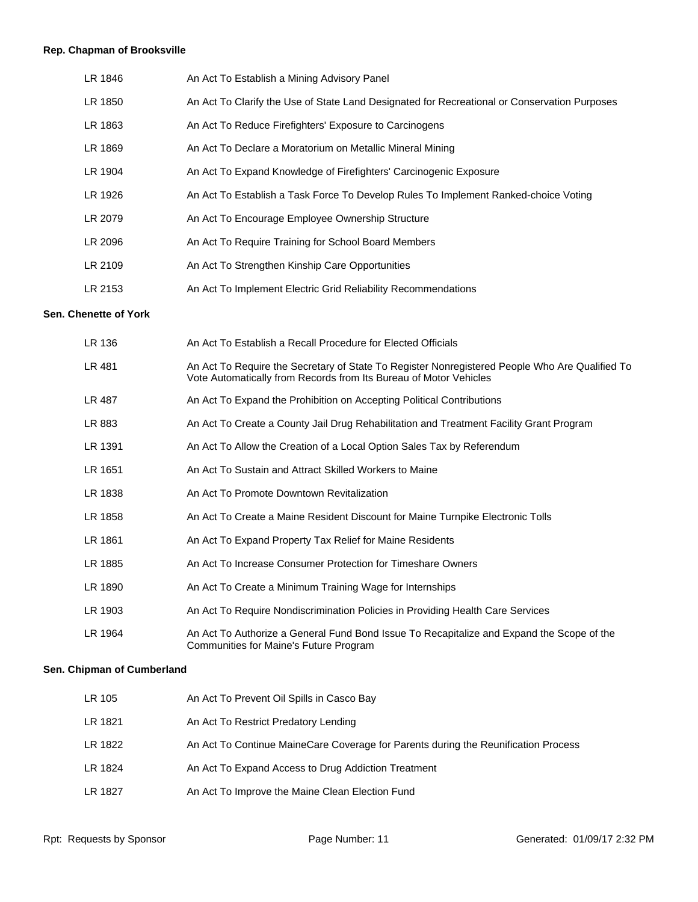# **Rep. Chapman of Brooksville**

| LR 1846 | An Act To Establish a Mining Advisory Panel                                                  |
|---------|----------------------------------------------------------------------------------------------|
| LR 1850 | An Act To Clarify the Use of State Land Designated for Recreational or Conservation Purposes |
| LR 1863 | An Act To Reduce Firefighters' Exposure to Carcinogens                                       |
| LR 1869 | An Act To Declare a Moratorium on Metallic Mineral Mining                                    |
| LR 1904 | An Act To Expand Knowledge of Firefighters' Carcinogenic Exposure                            |
| LR 1926 | An Act To Establish a Task Force To Develop Rules To Implement Ranked-choice Voting          |
| LR 2079 | An Act To Encourage Employee Ownership Structure                                             |
| LR 2096 | An Act To Require Training for School Board Members                                          |
| LR 2109 | An Act To Strengthen Kinship Care Opportunities                                              |
| LR 2153 | An Act To Implement Electric Grid Reliability Recommendations                                |
|         |                                                                                              |

#### **Sen. Chenette of York**

| LR 136  | An Act To Establish a Recall Procedure for Elected Officials                                                                                                        |
|---------|---------------------------------------------------------------------------------------------------------------------------------------------------------------------|
| LR 481  | An Act To Require the Secretary of State To Register Nonregistered People Who Are Qualified To<br>Vote Automatically from Records from Its Bureau of Motor Vehicles |
| LR 487  | An Act To Expand the Prohibition on Accepting Political Contributions                                                                                               |
| LR 883  | An Act To Create a County Jail Drug Rehabilitation and Treatment Facility Grant Program                                                                             |
| LR 1391 | An Act To Allow the Creation of a Local Option Sales Tax by Referendum                                                                                              |
| LR 1651 | An Act To Sustain and Attract Skilled Workers to Maine                                                                                                              |
| LR 1838 | An Act To Promote Downtown Revitalization                                                                                                                           |
| LR 1858 | An Act To Create a Maine Resident Discount for Maine Turnpike Electronic Tolls                                                                                      |
| LR 1861 | An Act To Expand Property Tax Relief for Maine Residents                                                                                                            |
| LR 1885 | An Act To Increase Consumer Protection for Timeshare Owners                                                                                                         |
| LR 1890 | An Act To Create a Minimum Training Wage for Internships                                                                                                            |
| LR 1903 | An Act To Require Nondiscrimination Policies in Providing Health Care Services                                                                                      |
| LR 1964 | An Act To Authorize a General Fund Bond Issue To Recapitalize and Expand the Scope of the<br>Communities for Maine's Future Program                                 |

# **Sen. Chipman of Cumberland**

| LR 105  | An Act To Prevent Oil Spills in Casco Bay                                          |
|---------|------------------------------------------------------------------------------------|
| LR 1821 | An Act To Restrict Predatory Lending                                               |
| LR 1822 | An Act To Continue MaineCare Coverage for Parents during the Reunification Process |
| LR 1824 | An Act To Expand Access to Drug Addiction Treatment                                |
| LR 1827 | An Act To Improve the Maine Clean Election Fund                                    |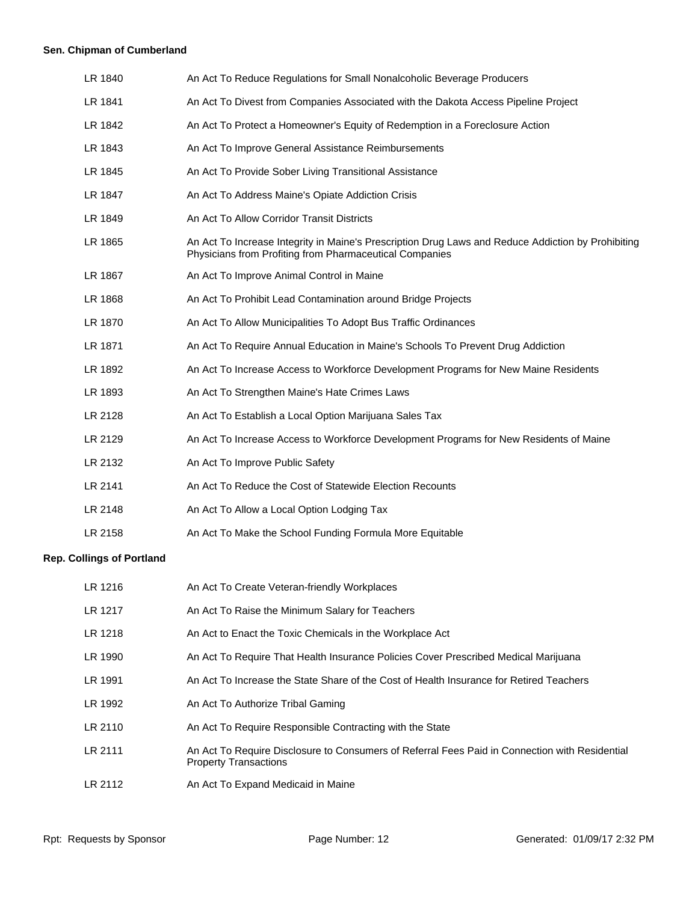# **Sen. Chipman of Cumberland**

| LR 1840 | An Act To Reduce Regulations for Small Nonalcoholic Beverage Producers                                                                                        |
|---------|---------------------------------------------------------------------------------------------------------------------------------------------------------------|
| LR 1841 | An Act To Divest from Companies Associated with the Dakota Access Pipeline Project                                                                            |
| LR 1842 | An Act To Protect a Homeowner's Equity of Redemption in a Foreclosure Action                                                                                  |
| LR 1843 | An Act To Improve General Assistance Reimbursements                                                                                                           |
| LR 1845 | An Act To Provide Sober Living Transitional Assistance                                                                                                        |
| LR 1847 | An Act To Address Maine's Opiate Addiction Crisis                                                                                                             |
| LR 1849 | An Act To Allow Corridor Transit Districts                                                                                                                    |
| LR 1865 | An Act To Increase Integrity in Maine's Prescription Drug Laws and Reduce Addiction by Prohibiting<br>Physicians from Profiting from Pharmaceutical Companies |
| LR 1867 | An Act To Improve Animal Control in Maine                                                                                                                     |
| LR 1868 | An Act To Prohibit Lead Contamination around Bridge Projects                                                                                                  |
| LR 1870 | An Act To Allow Municipalities To Adopt Bus Traffic Ordinances                                                                                                |
| LR 1871 | An Act To Require Annual Education in Maine's Schools To Prevent Drug Addiction                                                                               |
| LR 1892 | An Act To Increase Access to Workforce Development Programs for New Maine Residents                                                                           |
| LR 1893 | An Act To Strengthen Maine's Hate Crimes Laws                                                                                                                 |
| LR 2128 | An Act To Establish a Local Option Marijuana Sales Tax                                                                                                        |
| LR 2129 | An Act To Increase Access to Workforce Development Programs for New Residents of Maine                                                                        |
| LR 2132 | An Act To Improve Public Safety                                                                                                                               |
| LR 2141 | An Act To Reduce the Cost of Statewide Election Recounts                                                                                                      |
| LR 2148 | An Act To Allow a Local Option Lodging Tax                                                                                                                    |
| LR 2158 | An Act To Make the School Funding Formula More Equitable                                                                                                      |
|         |                                                                                                                                                               |

# **Rep. Collings of Portland**

| LR 1216 | An Act To Create Veteran-friendly Workplaces                                                                                   |
|---------|--------------------------------------------------------------------------------------------------------------------------------|
| LR 1217 | An Act To Raise the Minimum Salary for Teachers                                                                                |
| LR 1218 | An Act to Enact the Toxic Chemicals in the Workplace Act                                                                       |
| LR 1990 | An Act To Require That Health Insurance Policies Cover Prescribed Medical Marijuana                                            |
| LR 1991 | An Act To Increase the State Share of the Cost of Health Insurance for Retired Teachers                                        |
| LR 1992 | An Act To Authorize Tribal Gaming                                                                                              |
| LR 2110 | An Act To Require Responsible Contracting with the State                                                                       |
| LR 2111 | An Act To Require Disclosure to Consumers of Referral Fees Paid in Connection with Residential<br><b>Property Transactions</b> |
| LR 2112 | An Act To Expand Medicaid in Maine                                                                                             |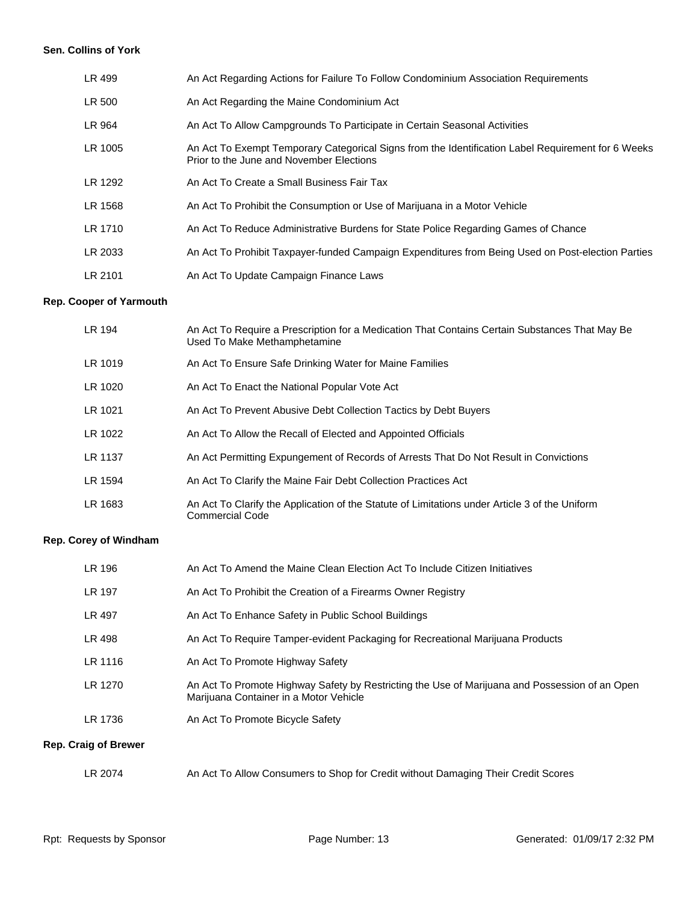#### **Sen. Collins of York**

| LR 499  | An Act Regarding Actions for Failure To Follow Condominium Association Requirements                                                            |
|---------|------------------------------------------------------------------------------------------------------------------------------------------------|
| LR 500  | An Act Regarding the Maine Condominium Act                                                                                                     |
| LR 964  | An Act To Allow Campgrounds To Participate in Certain Seasonal Activities                                                                      |
| LR 1005 | An Act To Exempt Temporary Categorical Signs from the Identification Label Requirement for 6 Weeks<br>Prior to the June and November Elections |
| LR 1292 | An Act To Create a Small Business Fair Tax                                                                                                     |
| LR 1568 | An Act To Prohibit the Consumption or Use of Marijuana in a Motor Vehicle                                                                      |
| LR 1710 | An Act To Reduce Administrative Burdens for State Police Regarding Games of Chance                                                             |
| LR 2033 | An Act To Prohibit Taxpayer-funded Campaign Expenditures from Being Used on Post-election Parties                                              |
| LR 2101 | An Act To Update Campaign Finance Laws                                                                                                         |

# **Rep. Cooper of Yarmouth**

| LR 194  | An Act To Require a Prescription for a Medication That Contains Certain Substances That May Be<br>Used To Make Methamphetamine |
|---------|--------------------------------------------------------------------------------------------------------------------------------|
| LR 1019 | An Act To Ensure Safe Drinking Water for Maine Families                                                                        |
| LR 1020 | An Act To Enact the National Popular Vote Act                                                                                  |
| LR 1021 | An Act To Prevent Abusive Debt Collection Tactics by Debt Buyers                                                               |
| LR 1022 | An Act To Allow the Recall of Elected and Appointed Officials                                                                  |
| LR 1137 | An Act Permitting Expungement of Records of Arrests That Do Not Result in Convictions                                          |
| LR 1594 | An Act To Clarify the Maine Fair Debt Collection Practices Act                                                                 |
| LR 1683 | An Act To Clarify the Application of the Statute of Limitations under Article 3 of the Uniform<br><b>Commercial Code</b>       |

# **Rep. Corey of Windham**

| LR 196        | An Act To Amend the Maine Clean Election Act To Include Citizen Initiatives                                                              |
|---------------|------------------------------------------------------------------------------------------------------------------------------------------|
| <b>LR 197</b> | An Act To Prohibit the Creation of a Firearms Owner Registry                                                                             |
| LR 497        | An Act To Enhance Safety in Public School Buildings                                                                                      |
| LR 498        | An Act To Require Tamper-evident Packaging for Recreational Marijuana Products                                                           |
| LR 1116       | An Act To Promote Highway Safety                                                                                                         |
| LR 1270       | An Act To Promote Highway Safety by Restricting the Use of Marijuana and Possession of an Open<br>Marijuana Container in a Motor Vehicle |
| LR 1736       | An Act To Promote Bicycle Safety                                                                                                         |
|               |                                                                                                                                          |

# **Rep. Craig of Brewer**

| LR 2074 | An Act To Allow Consumers to Shop for Credit without Damaging Their Credit Scores |
|---------|-----------------------------------------------------------------------------------|
|         |                                                                                   |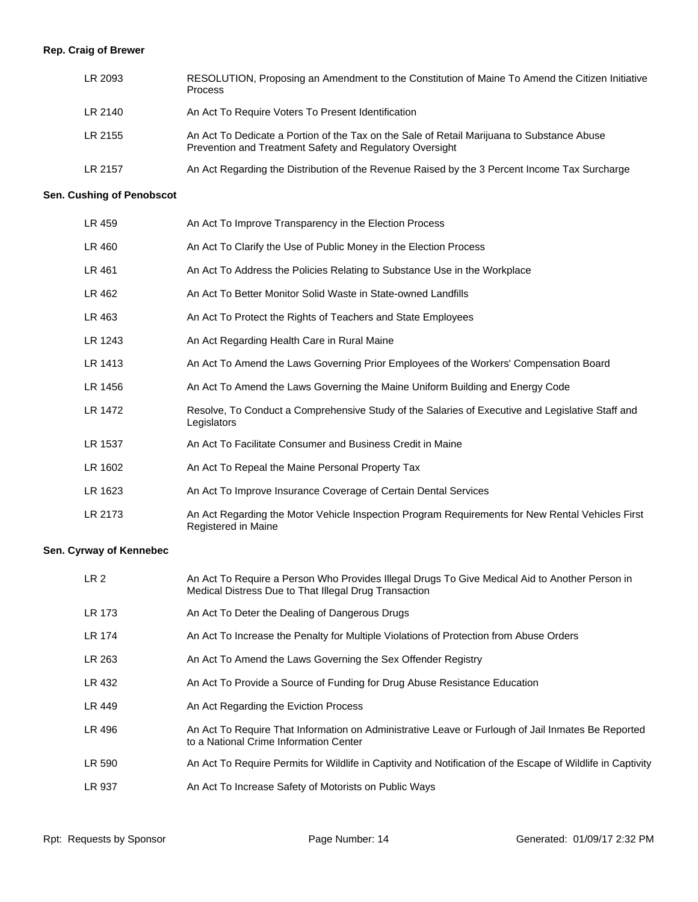# **Rep. Craig of Brewer**

| LR 2093 | RESOLUTION, Proposing an Amendment to the Constitution of Maine To Amend the Citizen Initiative<br><b>Process</b>                                      |
|---------|--------------------------------------------------------------------------------------------------------------------------------------------------------|
| LR 2140 | An Act To Require Voters To Present Identification                                                                                                     |
| LR 2155 | An Act To Dedicate a Portion of the Tax on the Sale of Retail Marijuana to Substance Abuse<br>Prevention and Treatment Safety and Regulatory Oversight |
| LR 2157 | An Act Regarding the Distribution of the Revenue Raised by the 3 Percent Income Tax Surcharge                                                          |

#### **Sen. Cushing of Penobscot**

| LR 459  | An Act To Improve Transparency in the Election Process                                                                  |
|---------|-------------------------------------------------------------------------------------------------------------------------|
| LR 460  | An Act To Clarify the Use of Public Money in the Election Process                                                       |
| LR 461  | An Act To Address the Policies Relating to Substance Use in the Workplace                                               |
| LR 462  | An Act To Better Monitor Solid Waste in State-owned Landfills                                                           |
| LR 463  | An Act To Protect the Rights of Teachers and State Employees                                                            |
| LR 1243 | An Act Regarding Health Care in Rural Maine                                                                             |
| LR 1413 | An Act To Amend the Laws Governing Prior Employees of the Workers' Compensation Board                                   |
| LR 1456 | An Act To Amend the Laws Governing the Maine Uniform Building and Energy Code                                           |
| LR 1472 | Resolve, To Conduct a Comprehensive Study of the Salaries of Executive and Legislative Staff and<br>Legislators         |
| LR 1537 | An Act To Facilitate Consumer and Business Credit in Maine                                                              |
| LR 1602 | An Act To Repeal the Maine Personal Property Tax                                                                        |
| LR 1623 | An Act To Improve Insurance Coverage of Certain Dental Services                                                         |
| LR 2173 | An Act Regarding the Motor Vehicle Inspection Program Requirements for New Rental Vehicles First<br>Registered in Maine |

# **Sen. Cyrway of Kennebec**

| LR <sub>2</sub> | An Act To Require a Person Who Provides Illegal Drugs To Give Medical Aid to Another Person in<br>Medical Distress Due to That Illegal Drug Transaction |
|-----------------|---------------------------------------------------------------------------------------------------------------------------------------------------------|
| <b>LR 173</b>   | An Act To Deter the Dealing of Dangerous Drugs                                                                                                          |
| LR 174          | An Act To Increase the Penalty for Multiple Violations of Protection from Abuse Orders                                                                  |
| LR 263          | An Act To Amend the Laws Governing the Sex Offender Registry                                                                                            |
| LR 432          | An Act To Provide a Source of Funding for Drug Abuse Resistance Education                                                                               |
| LR 449          | An Act Regarding the Eviction Process                                                                                                                   |
| LR 496          | An Act To Require That Information on Administrative Leave or Furlough of Jail Inmates Be Reported<br>to a National Crime Information Center            |
| LR 590          | An Act To Require Permits for Wildlife in Captivity and Notification of the Escape of Wildlife in Captivity                                             |
| LR 937          | An Act To Increase Safety of Motorists on Public Ways                                                                                                   |
|                 |                                                                                                                                                         |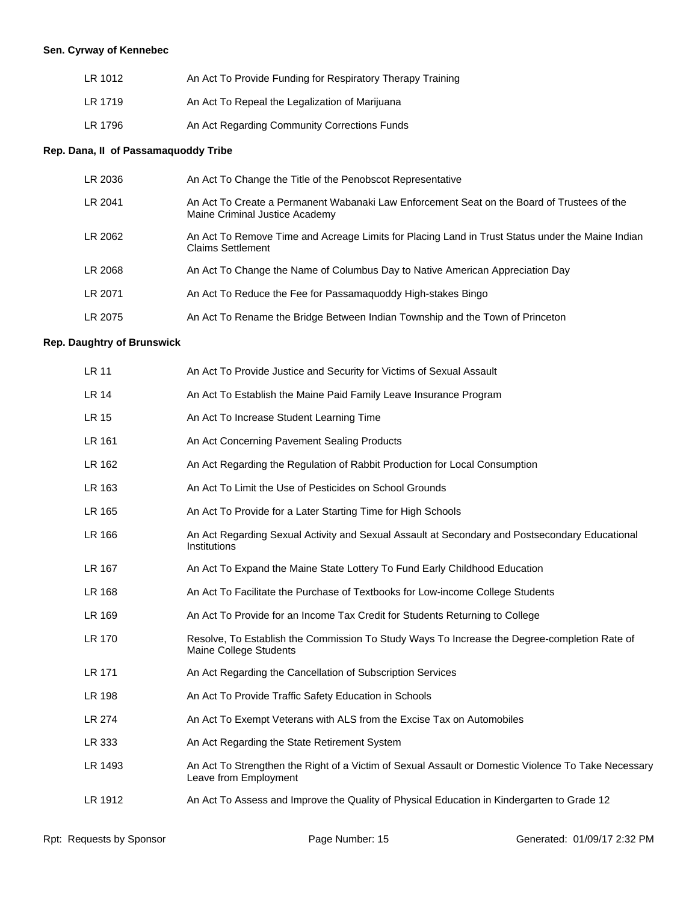# **Sen. Cyrway of Kennebec**

| LR 1012 | An Act To Provide Funding for Respiratory Therapy Training |
|---------|------------------------------------------------------------|
| LR 1719 | An Act To Repeal the Legalization of Marijuana             |
| LR 1796 | An Act Regarding Community Corrections Funds               |

#### **Rep. Dana, II of Passamaquoddy Tribe**

| LR 2036 | An Act To Change the Title of the Penobscot Representative                                                                   |
|---------|------------------------------------------------------------------------------------------------------------------------------|
| LR 2041 | An Act To Create a Permanent Wabanaki Law Enforcement Seat on the Board of Trustees of the<br>Maine Criminal Justice Academy |
| LR 2062 | An Act To Remove Time and Acreage Limits for Placing Land in Trust Status under the Maine Indian<br><b>Claims Settlement</b> |
| LR 2068 | An Act To Change the Name of Columbus Day to Native American Appreciation Day                                                |
| LR 2071 | An Act To Reduce the Fee for Passamaguoddy High-stakes Bingo                                                                 |
| LR 2075 | An Act To Rename the Bridge Between Indian Township and the Town of Princeton                                                |

# **Rep. Daughtry of Brunswick**

| LR 11        | An Act To Provide Justice and Security for Victims of Sexual Assault                                                         |
|--------------|------------------------------------------------------------------------------------------------------------------------------|
| <b>LR 14</b> | An Act To Establish the Maine Paid Family Leave Insurance Program                                                            |
| LR 15        | An Act To Increase Student Learning Time                                                                                     |
| LR 161       | An Act Concerning Pavement Sealing Products                                                                                  |
| LR 162       | An Act Regarding the Regulation of Rabbit Production for Local Consumption                                                   |
| LR 163       | An Act To Limit the Use of Pesticides on School Grounds                                                                      |
| LR 165       | An Act To Provide for a Later Starting Time for High Schools                                                                 |
| LR 166       | An Act Regarding Sexual Activity and Sexual Assault at Secondary and Postsecondary Educational<br>Institutions               |
| LR 167       | An Act To Expand the Maine State Lottery To Fund Early Childhood Education                                                   |
| LR 168       | An Act To Facilitate the Purchase of Textbooks for Low-income College Students                                               |
| LR 169       | An Act To Provide for an Income Tax Credit for Students Returning to College                                                 |
| LR 170       | Resolve, To Establish the Commission To Study Ways To Increase the Degree-completion Rate of<br>Maine College Students       |
| LR 171       | An Act Regarding the Cancellation of Subscription Services                                                                   |
| LR 198       | An Act To Provide Traffic Safety Education in Schools                                                                        |
| LR 274       | An Act To Exempt Veterans with ALS from the Excise Tax on Automobiles                                                        |
| LR 333       | An Act Regarding the State Retirement System                                                                                 |
| LR 1493      | An Act To Strengthen the Right of a Victim of Sexual Assault or Domestic Violence To Take Necessary<br>Leave from Employment |
| LR 1912      | An Act To Assess and Improve the Quality of Physical Education in Kindergarten to Grade 12                                   |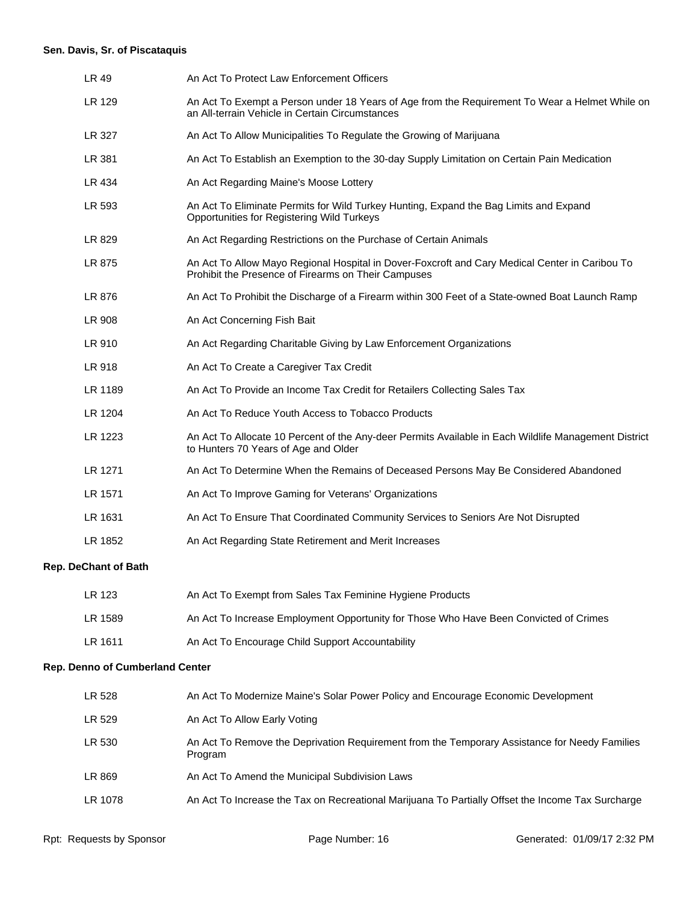# **Sen. Davis, Sr. of Piscataquis**

| LR 49                           | An Act To Protect Law Enforcement Officers                                                                                                            |  |
|---------------------------------|-------------------------------------------------------------------------------------------------------------------------------------------------------|--|
| LR 129                          | An Act To Exempt a Person under 18 Years of Age from the Requirement To Wear a Helmet While on<br>an All-terrain Vehicle in Certain Circumstances     |  |
| LR 327                          | An Act To Allow Municipalities To Regulate the Growing of Marijuana                                                                                   |  |
| LR 381                          | An Act To Establish an Exemption to the 30-day Supply Limitation on Certain Pain Medication                                                           |  |
| LR 434                          | An Act Regarding Maine's Moose Lottery                                                                                                                |  |
| LR 593                          | An Act To Eliminate Permits for Wild Turkey Hunting, Expand the Bag Limits and Expand<br>Opportunities for Registering Wild Turkeys                   |  |
| LR 829                          | An Act Regarding Restrictions on the Purchase of Certain Animals                                                                                      |  |
| LR 875                          | An Act To Allow Mayo Regional Hospital in Dover-Foxcroft and Cary Medical Center in Caribou To<br>Prohibit the Presence of Firearms on Their Campuses |  |
| LR 876                          | An Act To Prohibit the Discharge of a Firearm within 300 Feet of a State-owned Boat Launch Ramp                                                       |  |
| LR 908                          | An Act Concerning Fish Bait                                                                                                                           |  |
| LR 910                          | An Act Regarding Charitable Giving by Law Enforcement Organizations                                                                                   |  |
| LR 918                          | An Act To Create a Caregiver Tax Credit                                                                                                               |  |
| LR 1189                         | An Act To Provide an Income Tax Credit for Retailers Collecting Sales Tax                                                                             |  |
| LR 1204                         | An Act To Reduce Youth Access to Tobacco Products                                                                                                     |  |
| LR 1223                         | An Act To Allocate 10 Percent of the Any-deer Permits Available in Each Wildlife Management District<br>to Hunters 70 Years of Age and Older          |  |
| LR 1271                         | An Act To Determine When the Remains of Deceased Persons May Be Considered Abandoned                                                                  |  |
| LR 1571                         | An Act To Improve Gaming for Veterans' Organizations                                                                                                  |  |
| LR 1631                         | An Act To Ensure That Coordinated Community Services to Seniors Are Not Disrupted                                                                     |  |
| LR 1852                         | An Act Regarding State Retirement and Merit Increases                                                                                                 |  |
| <b>Rep. DeChant of Bath</b>     |                                                                                                                                                       |  |
| <b>LR 123</b>                   | An Act To Exempt from Sales Tax Feminine Hygiene Products                                                                                             |  |
| LR 1589                         | An Act To Increase Employment Opportunity for Those Who Have Been Convicted of Crimes                                                                 |  |
| LR 1611                         | An Act To Encourage Child Support Accountability                                                                                                      |  |
| Rep. Denno of Cumberland Center |                                                                                                                                                       |  |
| LR 528                          | An Act To Modernize Maine's Solar Power Policy and Encourage Economic Development                                                                     |  |
| LR 529                          | An Act To Allow Early Voting                                                                                                                          |  |
| LR 530                          | An Act To Remove the Deprivation Requirement from the Temporary Assistance for Needy Families<br>Program                                              |  |

- LR 869 An Act To Amend the Municipal Subdivision Laws
- LR 1078 An Act To Increase the Tax on Recreational Marijuana To Partially Offset the Income Tax Surcharge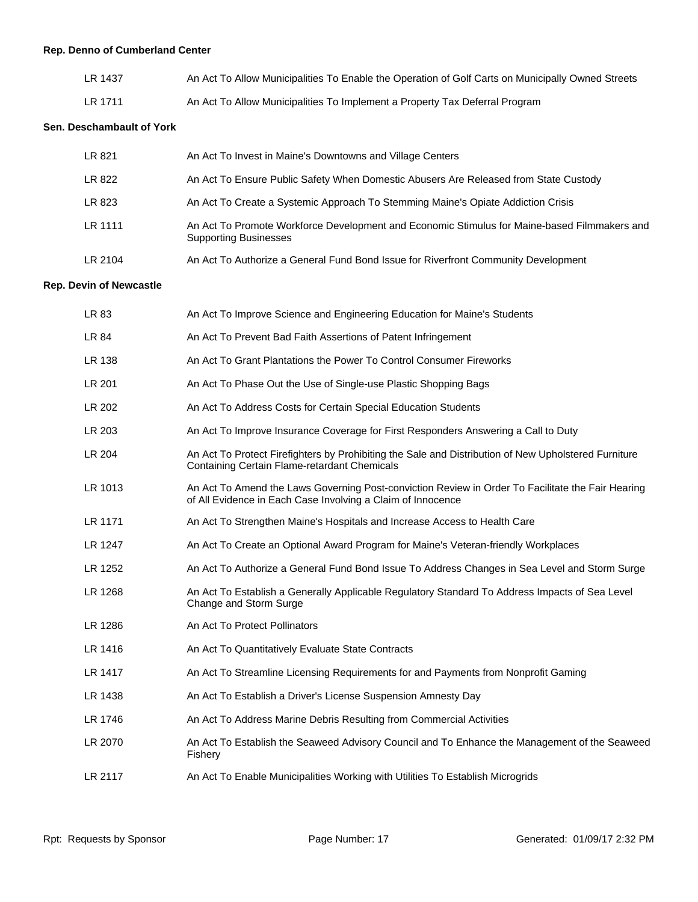# **Rep. Denno of Cumberland Center**

| LR 1437 | An Act To Allow Municipalities To Enable the Operation of Golf Carts on Municipally Owned Streets |
|---------|---------------------------------------------------------------------------------------------------|
| LR 1711 | An Act To Allow Municipalities To Implement a Property Tax Deferral Program                       |

#### **Sen. Deschambault of York**

| LR 821  | An Act To Invest in Maine's Downtowns and Village Centers                                                                    |
|---------|------------------------------------------------------------------------------------------------------------------------------|
| LR 822  | An Act To Ensure Public Safety When Domestic Abusers Are Released from State Custody                                         |
| LR 823  | An Act To Create a Systemic Approach To Stemming Maine's Opiate Addiction Crisis                                             |
| LR 1111 | An Act To Promote Workforce Development and Economic Stimulus for Maine-based Filmmakers and<br><b>Supporting Businesses</b> |
| LR 2104 | An Act To Authorize a General Fund Bond Issue for Riverfront Community Development                                           |

#### **Rep. Devin of Newcastle**

| LR 83   | An Act To Improve Science and Engineering Education for Maine's Students                                                                                         |
|---------|------------------------------------------------------------------------------------------------------------------------------------------------------------------|
| LR 84   | An Act To Prevent Bad Faith Assertions of Patent Infringement                                                                                                    |
| LR 138  | An Act To Grant Plantations the Power To Control Consumer Fireworks                                                                                              |
| LR 201  | An Act To Phase Out the Use of Single-use Plastic Shopping Bags                                                                                                  |
| LR 202  | An Act To Address Costs for Certain Special Education Students                                                                                                   |
| LR 203  | An Act To Improve Insurance Coverage for First Responders Answering a Call to Duty                                                                               |
| LR 204  | An Act To Protect Firefighters by Prohibiting the Sale and Distribution of New Upholstered Furniture<br>Containing Certain Flame-retardant Chemicals             |
| LR 1013 | An Act To Amend the Laws Governing Post-conviction Review in Order To Facilitate the Fair Hearing<br>of All Evidence in Each Case Involving a Claim of Innocence |
| LR 1171 | An Act To Strengthen Maine's Hospitals and Increase Access to Health Care                                                                                        |
| LR 1247 | An Act To Create an Optional Award Program for Maine's Veteran-friendly Workplaces                                                                               |
| LR 1252 | An Act To Authorize a General Fund Bond Issue To Address Changes in Sea Level and Storm Surge                                                                    |
| LR 1268 | An Act To Establish a Generally Applicable Regulatory Standard To Address Impacts of Sea Level<br>Change and Storm Surge                                         |
| LR 1286 | An Act To Protect Pollinators                                                                                                                                    |
| LR 1416 | An Act To Quantitatively Evaluate State Contracts                                                                                                                |
| LR 1417 | An Act To Streamline Licensing Requirements for and Payments from Nonprofit Gaming                                                                               |
| LR 1438 | An Act To Establish a Driver's License Suspension Amnesty Day                                                                                                    |
| LR 1746 | An Act To Address Marine Debris Resulting from Commercial Activities                                                                                             |
| LR 2070 | An Act To Establish the Seaweed Advisory Council and To Enhance the Management of the Seaweed<br>Fishery                                                         |
| LR 2117 | An Act To Enable Municipalities Working with Utilities To Establish Microgrids                                                                                   |
|         |                                                                                                                                                                  |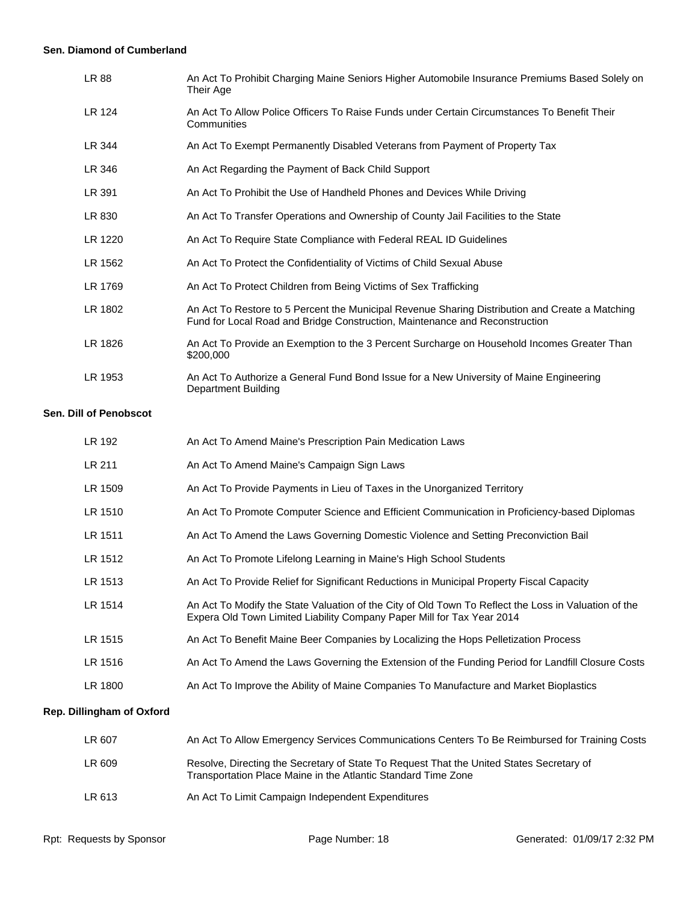#### **Sen. Diamond of Cumberland**

| LR 88   | An Act To Prohibit Charging Maine Seniors Higher Automobile Insurance Premiums Based Solely on<br>Their Age                                                                    |
|---------|--------------------------------------------------------------------------------------------------------------------------------------------------------------------------------|
| LR 124  | An Act To Allow Police Officers To Raise Funds under Certain Circumstances To Benefit Their<br>Communities                                                                     |
| LR 344  | An Act To Exempt Permanently Disabled Veterans from Payment of Property Tax                                                                                                    |
| LR 346  | An Act Regarding the Payment of Back Child Support                                                                                                                             |
| LR 391  | An Act To Prohibit the Use of Handheld Phones and Devices While Driving                                                                                                        |
| LR 830  | An Act To Transfer Operations and Ownership of County Jail Facilities to the State                                                                                             |
| LR 1220 | An Act To Require State Compliance with Federal REAL ID Guidelines                                                                                                             |
| LR 1562 | An Act To Protect the Confidentiality of Victims of Child Sexual Abuse                                                                                                         |
| LR 1769 | An Act To Protect Children from Being Victims of Sex Trafficking                                                                                                               |
| LR 1802 | An Act To Restore to 5 Percent the Municipal Revenue Sharing Distribution and Create a Matching<br>Fund for Local Road and Bridge Construction, Maintenance and Reconstruction |
| LR 1826 | An Act To Provide an Exemption to the 3 Percent Surcharge on Household Incomes Greater Than<br>\$200,000                                                                       |
| LR 1953 | An Act To Authorize a General Fund Bond Issue for a New University of Maine Engineering<br><b>Department Building</b>                                                          |

#### **Sen. Dill of Penobscot**

| LR 192  | An Act To Amend Maine's Prescription Pain Medication Laws                                                                                                                      |
|---------|--------------------------------------------------------------------------------------------------------------------------------------------------------------------------------|
| LR 211  | An Act To Amend Maine's Campaign Sign Laws                                                                                                                                     |
| LR 1509 | An Act To Provide Payments in Lieu of Taxes in the Unorganized Territory                                                                                                       |
| LR 1510 | An Act To Promote Computer Science and Efficient Communication in Proficiency-based Diplomas                                                                                   |
| LR 1511 | An Act To Amend the Laws Governing Domestic Violence and Setting Preconviction Bail                                                                                            |
| LR 1512 | An Act To Promote Lifelong Learning in Maine's High School Students                                                                                                            |
| LR 1513 | An Act To Provide Relief for Significant Reductions in Municipal Property Fiscal Capacity                                                                                      |
| LR 1514 | An Act To Modify the State Valuation of the City of Old Town To Reflect the Loss in Valuation of the<br>Expera Old Town Limited Liability Company Paper Mill for Tax Year 2014 |
| LR 1515 | An Act To Benefit Maine Beer Companies by Localizing the Hops Pelletization Process                                                                                            |
| LR 1516 | An Act To Amend the Laws Governing the Extension of the Funding Period for Landfill Closure Costs                                                                              |
| LR 1800 | An Act To Improve the Ability of Maine Companies To Manufacture and Market Bioplastics                                                                                         |
|         |                                                                                                                                                                                |

# **Rep. Dillingham of Oxford**

| LR 607 | An Act To Allow Emergency Services Communications Centers To Be Reimbursed for Training Costs                                                             |
|--------|-----------------------------------------------------------------------------------------------------------------------------------------------------------|
| LR 609 | Resolve, Directing the Secretary of State To Request That the United States Secretary of<br>Transportation Place Maine in the Atlantic Standard Time Zone |
| LR 613 | An Act To Limit Campaign Independent Expenditures                                                                                                         |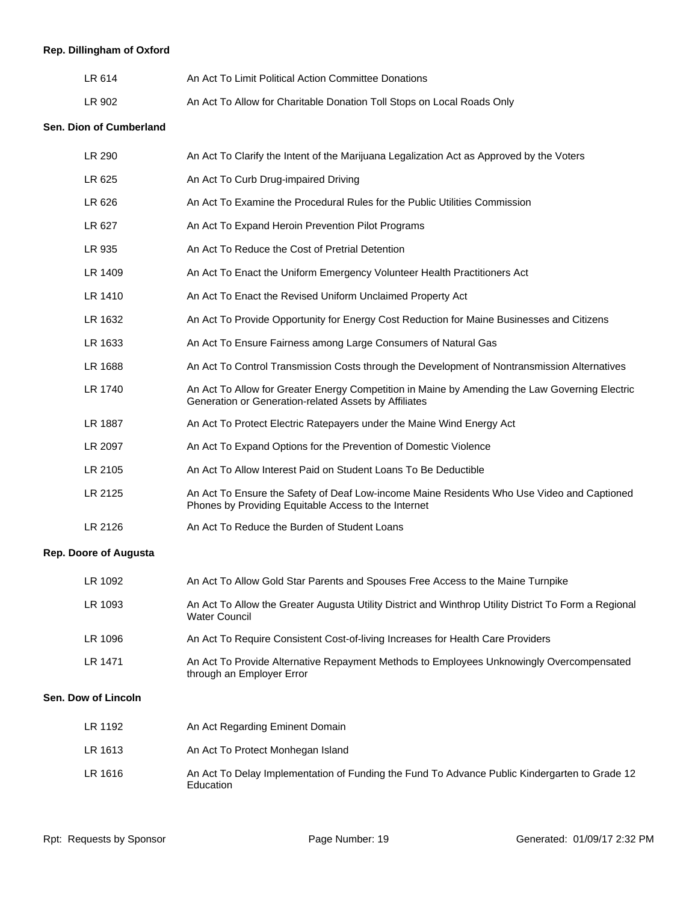# **Rep. Dillingham of Oxford**

| LR 614 | An Act To Limit Political Action Committee Donations                   |
|--------|------------------------------------------------------------------------|
| LR 902 | An Act To Allow for Charitable Donation Toll Stops on Local Roads Only |

# **Sen. Dion of Cumberland**

| LR 290                       | An Act To Clarify the Intent of the Marijuana Legalization Act as Approved by the Voters                                                                |
|------------------------------|---------------------------------------------------------------------------------------------------------------------------------------------------------|
| LR 625                       | An Act To Curb Drug-impaired Driving                                                                                                                    |
| LR 626                       | An Act To Examine the Procedural Rules for the Public Utilities Commission                                                                              |
| LR 627                       | An Act To Expand Heroin Prevention Pilot Programs                                                                                                       |
| LR 935                       | An Act To Reduce the Cost of Pretrial Detention                                                                                                         |
| LR 1409                      | An Act To Enact the Uniform Emergency Volunteer Health Practitioners Act                                                                                |
| LR 1410                      | An Act To Enact the Revised Uniform Unclaimed Property Act                                                                                              |
| LR 1632                      | An Act To Provide Opportunity for Energy Cost Reduction for Maine Businesses and Citizens                                                               |
| LR 1633                      | An Act To Ensure Fairness among Large Consumers of Natural Gas                                                                                          |
| LR 1688                      | An Act To Control Transmission Costs through the Development of Nontransmission Alternatives                                                            |
| LR 1740                      | An Act To Allow for Greater Energy Competition in Maine by Amending the Law Governing Electric<br>Generation or Generation-related Assets by Affiliates |
| LR 1887                      | An Act To Protect Electric Ratepayers under the Maine Wind Energy Act                                                                                   |
| LR 2097                      | An Act To Expand Options for the Prevention of Domestic Violence                                                                                        |
| LR 2105                      | An Act To Allow Interest Paid on Student Loans To Be Deductible                                                                                         |
| LR 2125                      | An Act To Ensure the Safety of Deaf Low-income Maine Residents Who Use Video and Captioned<br>Phones by Providing Equitable Access to the Internet      |
| LR 2126                      | An Act To Reduce the Burden of Student Loans                                                                                                            |
| <b>Rep. Doore of Augusta</b> |                                                                                                                                                         |

| LR 1092 | An Act To Allow Gold Star Parents and Spouses Free Access to the Maine Turnpike                                               |
|---------|-------------------------------------------------------------------------------------------------------------------------------|
| LR 1093 | An Act To Allow the Greater Augusta Utility District and Winthrop Utility District To Form a Regional<br><b>Water Council</b> |
| LR 1096 | An Act To Require Consistent Cost-of-living Increases for Health Care Providers                                               |
| LR 1471 | An Act To Provide Alternative Repayment Methods to Employees Unknowingly Overcompensated<br>through an Employer Error         |

#### **Sen. Dow of Lincoln**

| LR 1192 | An Act Regarding Eminent Domain                                                                            |
|---------|------------------------------------------------------------------------------------------------------------|
| LR 1613 | An Act To Protect Monhegan Island                                                                          |
| LR 1616 | An Act To Delay Implementation of Funding the Fund To Advance Public Kindergarten to Grade 12<br>Education |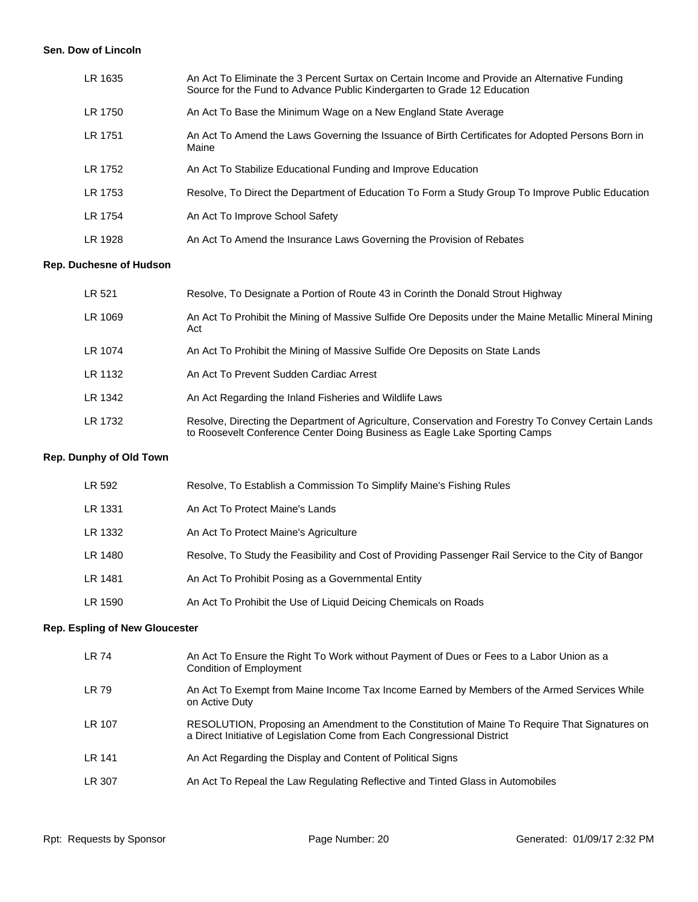#### **Sen. Dow of Lincoln**

| LR 1635 | An Act To Eliminate the 3 Percent Surtax on Certain Income and Provide an Alternative Funding<br>Source for the Fund to Advance Public Kindergarten to Grade 12 Education |
|---------|---------------------------------------------------------------------------------------------------------------------------------------------------------------------------|
| LR 1750 | An Act To Base the Minimum Wage on a New England State Average                                                                                                            |
| LR 1751 | An Act To Amend the Laws Governing the Issuance of Birth Certificates for Adopted Persons Born in<br>Maine                                                                |
| LR 1752 | An Act To Stabilize Educational Funding and Improve Education                                                                                                             |
| LR 1753 | Resolve, To Direct the Department of Education To Form a Study Group To Improve Public Education                                                                          |
| LR 1754 | An Act To Improve School Safety                                                                                                                                           |
| LR 1928 | An Act To Amend the Insurance Laws Governing the Provision of Rebates                                                                                                     |

# **Rep. Duchesne of Hudson**

| LR 521  | Resolve, To Designate a Portion of Route 43 in Corinth the Donald Strout Highway                                                                                                  |
|---------|-----------------------------------------------------------------------------------------------------------------------------------------------------------------------------------|
| LR 1069 | An Act To Prohibit the Mining of Massive Sulfide Ore Deposits under the Maine Metallic Mineral Mining<br>Act                                                                      |
| LR 1074 | An Act To Prohibit the Mining of Massive Sulfide Ore Deposits on State Lands                                                                                                      |
| LR 1132 | An Act To Prevent Sudden Cardiac Arrest                                                                                                                                           |
| LR 1342 | An Act Regarding the Inland Fisheries and Wildlife Laws                                                                                                                           |
| LR 1732 | Resolve, Directing the Department of Agriculture, Conservation and Forestry To Convey Certain Lands<br>to Roosevelt Conference Center Doing Business as Eagle Lake Sporting Camps |

# **Rep. Dunphy of Old Town**

| LR 592  | Resolve, To Establish a Commission To Simplify Maine's Fishing Rules                                 |
|---------|------------------------------------------------------------------------------------------------------|
| LR 1331 | An Act To Protect Maine's Lands                                                                      |
| LR 1332 | An Act To Protect Maine's Agriculture                                                                |
| LR 1480 | Resolve, To Study the Feasibility and Cost of Providing Passenger Rail Service to the City of Bangor |
| LR 1481 | An Act To Prohibit Posing as a Governmental Entity                                                   |
| LR 1590 | An Act To Prohibit the Use of Liquid Deicing Chemicals on Roads                                      |

# **Rep. Espling of New Gloucester**

| LR 74  | An Act To Ensure the Right To Work without Payment of Dues or Fees to a Labor Union as a<br>Condition of Employment                                                       |
|--------|---------------------------------------------------------------------------------------------------------------------------------------------------------------------------|
| LR 79  | An Act To Exempt from Maine Income Tax Income Earned by Members of the Armed Services While<br>on Active Duty                                                             |
| LR 107 | RESOLUTION, Proposing an Amendment to the Constitution of Maine To Require That Signatures on<br>a Direct Initiative of Legislation Come from Each Congressional District |
| LR 141 | An Act Regarding the Display and Content of Political Signs                                                                                                               |
| LR 307 | An Act To Repeal the Law Regulating Reflective and Tinted Glass in Automobiles                                                                                            |
|        |                                                                                                                                                                           |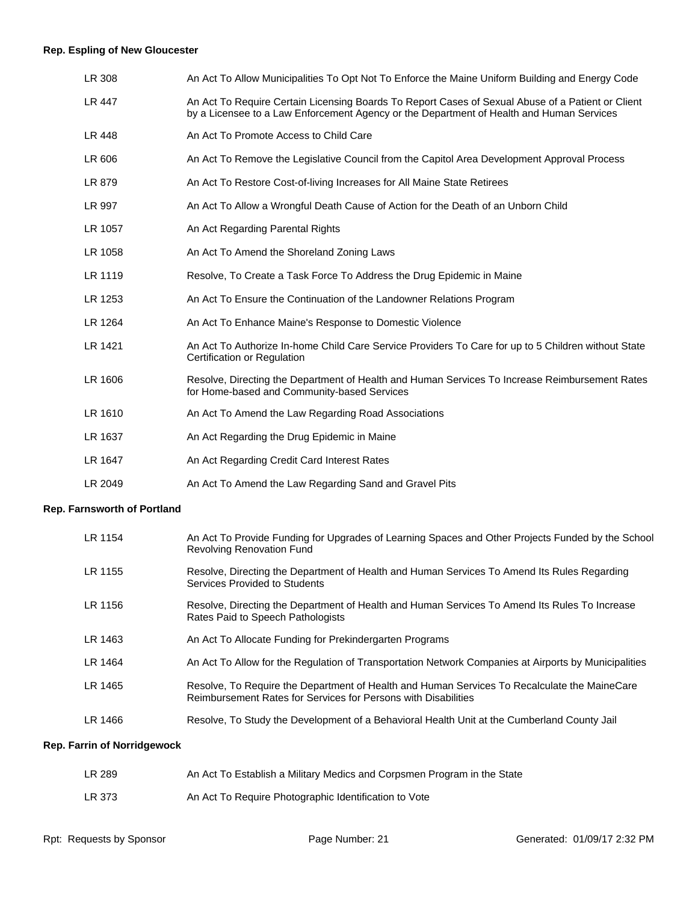# **Rep. Espling of New Gloucester**

| LR 308  | An Act To Allow Municipalities To Opt Not To Enforce the Maine Uniform Building and Energy Code                                                                                               |
|---------|-----------------------------------------------------------------------------------------------------------------------------------------------------------------------------------------------|
| LR 447  | An Act To Require Certain Licensing Boards To Report Cases of Sexual Abuse of a Patient or Client<br>by a Licensee to a Law Enforcement Agency or the Department of Health and Human Services |
| LR 448  | An Act To Promote Access to Child Care                                                                                                                                                        |
| LR 606  | An Act To Remove the Legislative Council from the Capitol Area Development Approval Process                                                                                                   |
| LR 879  | An Act To Restore Cost-of-living Increases for All Maine State Retirees                                                                                                                       |
| LR 997  | An Act To Allow a Wrongful Death Cause of Action for the Death of an Unborn Child                                                                                                             |
| LR 1057 | An Act Regarding Parental Rights                                                                                                                                                              |
| LR 1058 | An Act To Amend the Shoreland Zoning Laws                                                                                                                                                     |
| LR 1119 | Resolve, To Create a Task Force To Address the Drug Epidemic in Maine                                                                                                                         |
| LR 1253 | An Act To Ensure the Continuation of the Landowner Relations Program                                                                                                                          |
| LR 1264 | An Act To Enhance Maine's Response to Domestic Violence                                                                                                                                       |
| LR 1421 | An Act To Authorize In-home Child Care Service Providers To Care for up to 5 Children without State<br>Certification or Regulation                                                            |
| LR 1606 | Resolve, Directing the Department of Health and Human Services To Increase Reimbursement Rates<br>for Home-based and Community-based Services                                                 |
| LR 1610 | An Act To Amend the Law Regarding Road Associations                                                                                                                                           |
| LR 1637 | An Act Regarding the Drug Epidemic in Maine                                                                                                                                                   |
| LR 1647 | An Act Regarding Credit Card Interest Rates                                                                                                                                                   |
| LR 2049 | An Act To Amend the Law Regarding Sand and Gravel Pits                                                                                                                                        |

# **Rep. Farnsworth of Portland**

| LR 1154 | An Act To Provide Funding for Upgrades of Learning Spaces and Other Projects Funded by the School<br><b>Revolving Renovation Fund</b>                          |
|---------|----------------------------------------------------------------------------------------------------------------------------------------------------------------|
| LR 1155 | Resolve, Directing the Department of Health and Human Services To Amend Its Rules Regarding<br>Services Provided to Students                                   |
| LR 1156 | Resolve, Directing the Department of Health and Human Services To Amend Its Rules To Increase<br>Rates Paid to Speech Pathologists                             |
| LR 1463 | An Act To Allocate Funding for Prekindergarten Programs                                                                                                        |
| LR 1464 | An Act To Allow for the Regulation of Transportation Network Companies at Airports by Municipalities                                                           |
| LR 1465 | Resolve, To Require the Department of Health and Human Services To Recalculate the MaineCare<br>Reimbursement Rates for Services for Persons with Disabilities |
| LR 1466 | Resolve, To Study the Development of a Behavioral Health Unit at the Cumberland County Jail                                                                    |

# **Rep. Farrin of Norridgewock**

| LR 289 | An Act To Establish a Military Medics and Corpsmen Program in the State |
|--------|-------------------------------------------------------------------------|
| LR 373 | An Act To Require Photographic Identification to Vote                   |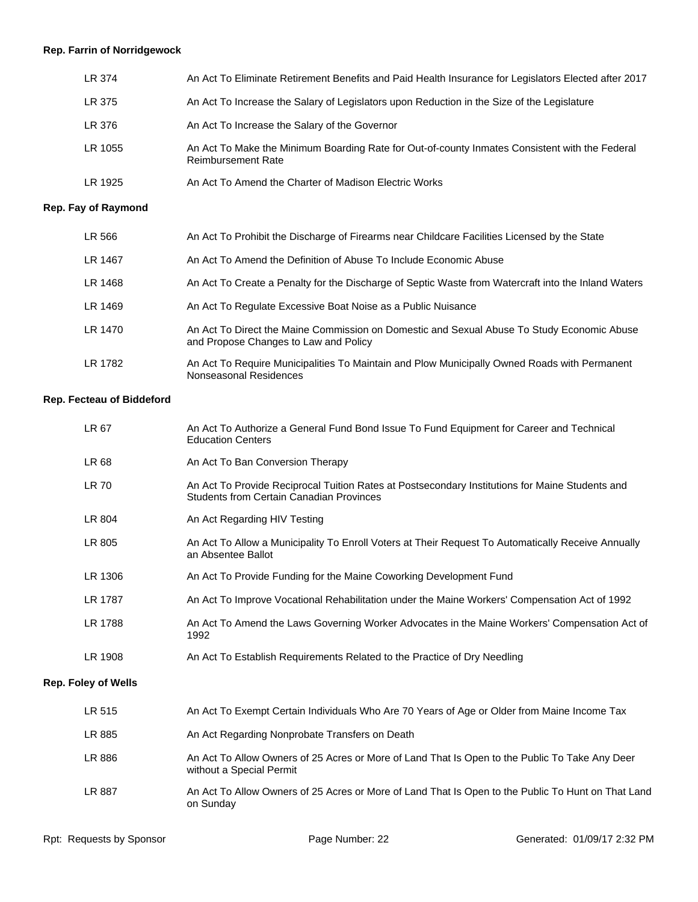# **Rep. Farrin of Norridgewock**

| LR 374  | An Act To Eliminate Retirement Benefits and Paid Health Insurance for Legislators Elected after 2017                        |
|---------|-----------------------------------------------------------------------------------------------------------------------------|
| LR 375  | An Act To Increase the Salary of Legislators upon Reduction in the Size of the Legislature                                  |
| LR 376  | An Act To Increase the Salary of the Governor                                                                               |
| LR 1055 | An Act To Make the Minimum Boarding Rate for Out-of-county Inmates Consistent with the Federal<br><b>Reimbursement Rate</b> |
| LR 1925 | An Act To Amend the Charter of Madison Electric Works                                                                       |

# **Rep. Fay of Raymond**

| LR 566  | An Act To Prohibit the Discharge of Firearms near Childcare Facilities Licensed by the State                                        |
|---------|-------------------------------------------------------------------------------------------------------------------------------------|
| LR 1467 | An Act To Amend the Definition of Abuse To Include Economic Abuse                                                                   |
| LR 1468 | An Act To Create a Penalty for the Discharge of Septic Waste from Watercraft into the Inland Waters                                 |
| LR 1469 | An Act To Regulate Excessive Boat Noise as a Public Nuisance                                                                        |
| LR 1470 | An Act To Direct the Maine Commission on Domestic and Sexual Abuse To Study Economic Abuse<br>and Propose Changes to Law and Policy |
| LR 1782 | An Act To Require Municipalities To Maintain and Plow Municipally Owned Roads with Permanent<br>Nonseasonal Residences              |

#### **Rep. Fecteau of Biddeford**

| LR 67                      | An Act To Authorize a General Fund Bond Issue To Fund Equipment for Career and Technical<br><b>Education Centers</b>                               |
|----------------------------|----------------------------------------------------------------------------------------------------------------------------------------------------|
| LR 68                      | An Act To Ban Conversion Therapy                                                                                                                   |
| <b>LR 70</b>               | An Act To Provide Reciprocal Tuition Rates at Postsecondary Institutions for Maine Students and<br><b>Students from Certain Canadian Provinces</b> |
| LR 804                     | An Act Regarding HIV Testing                                                                                                                       |
| LR 805                     | An Act To Allow a Municipality To Enroll Voters at Their Request To Automatically Receive Annually<br>an Absentee Ballot                           |
| LR 1306                    | An Act To Provide Funding for the Maine Coworking Development Fund                                                                                 |
| LR 1787                    | An Act To Improve Vocational Rehabilitation under the Maine Workers' Compensation Act of 1992                                                      |
| LR 1788                    | An Act To Amend the Laws Governing Worker Advocates in the Maine Workers' Compensation Act of<br>1992                                              |
| LR 1908                    | An Act To Establish Requirements Related to the Practice of Dry Needling                                                                           |
| <b>Rep. Foley of Wells</b> |                                                                                                                                                    |
| LR 515                     | An Act To Exempt Certain Individuals Who Are 70 Years of Age or Older from Maine Income Tax                                                        |
| LR 885                     | An Act Regarding Nonprobate Transfers on Death                                                                                                     |
| LR 886                     | An Act To Allow Owners of 25 Acres or More of Land That Is Open to the Public To Take Any Deer<br>without a Special Permit                         |
| LR 887                     | An Act To Allow Owners of 25 Acres or More of Land That Is Open to the Public To Hunt on That Land<br>on Sunday                                    |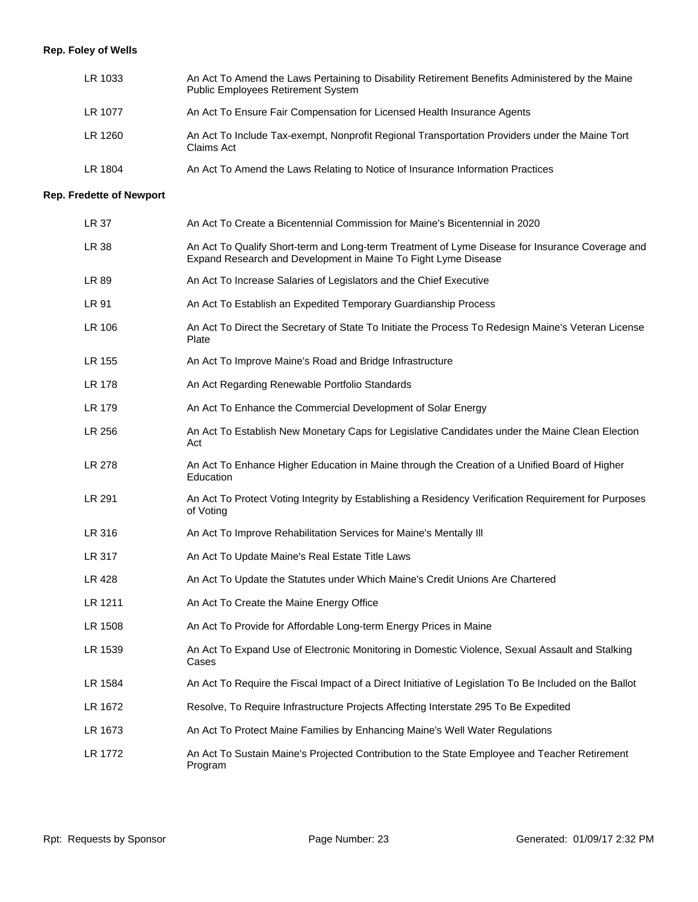# **Rep. Foley of Wells**

| LR 1033 | An Act To Amend the Laws Pertaining to Disability Retirement Benefits Administered by the Maine<br><b>Public Employees Retirement System</b> |
|---------|----------------------------------------------------------------------------------------------------------------------------------------------|
| LR 1077 | An Act To Ensure Fair Compensation for Licensed Health Insurance Agents                                                                      |
| LR 1260 | An Act To Include Tax-exempt, Nonprofit Regional Transportation Providers under the Maine Tort<br>Claims Act                                 |
| LR 1804 | An Act To Amend the Laws Relating to Notice of Insurance Information Practices                                                               |

# **Rep. Fredette of Newport**

| LR 37        | An Act To Create a Bicentennial Commission for Maine's Bicentennial in 2020                                                                                       |
|--------------|-------------------------------------------------------------------------------------------------------------------------------------------------------------------|
| <b>LR 38</b> | An Act To Qualify Short-term and Long-term Treatment of Lyme Disease for Insurance Coverage and<br>Expand Research and Development in Maine To Fight Lyme Disease |
| LR 89        | An Act To Increase Salaries of Legislators and the Chief Executive                                                                                                |
| LR 91        | An Act To Establish an Expedited Temporary Guardianship Process                                                                                                   |
| LR 106       | An Act To Direct the Secretary of State To Initiate the Process To Redesign Maine's Veteran License<br>Plate                                                      |
| LR 155       | An Act To Improve Maine's Road and Bridge Infrastructure                                                                                                          |
| LR 178       | An Act Regarding Renewable Portfolio Standards                                                                                                                    |
| LR 179       | An Act To Enhance the Commercial Development of Solar Energy                                                                                                      |
| LR 256       | An Act To Establish New Monetary Caps for Legislative Candidates under the Maine Clean Election<br>Act                                                            |
| LR 278       | An Act To Enhance Higher Education in Maine through the Creation of a Unified Board of Higher<br>Education                                                        |
| LR 291       | An Act To Protect Voting Integrity by Establishing a Residency Verification Requirement for Purposes<br>of Voting                                                 |
| LR 316       | An Act To Improve Rehabilitation Services for Maine's Mentally III                                                                                                |
| LR 317       | An Act To Update Maine's Real Estate Title Laws                                                                                                                   |
| LR 428       | An Act To Update the Statutes under Which Maine's Credit Unions Are Chartered                                                                                     |
| LR 1211      | An Act To Create the Maine Energy Office                                                                                                                          |
| LR 1508      | An Act To Provide for Affordable Long-term Energy Prices in Maine                                                                                                 |
| LR 1539      | An Act To Expand Use of Electronic Monitoring in Domestic Violence, Sexual Assault and Stalking<br>Cases                                                          |
| LR 1584      | An Act To Require the Fiscal Impact of a Direct Initiative of Legislation To Be Included on the Ballot                                                            |
| LR 1672      | Resolve, To Require Infrastructure Projects Affecting Interstate 295 To Be Expedited                                                                              |
| LR 1673      | An Act To Protect Maine Families by Enhancing Maine's Well Water Regulations                                                                                      |
| LR 1772      | An Act To Sustain Maine's Projected Contribution to the State Employee and Teacher Retirement<br>Program                                                          |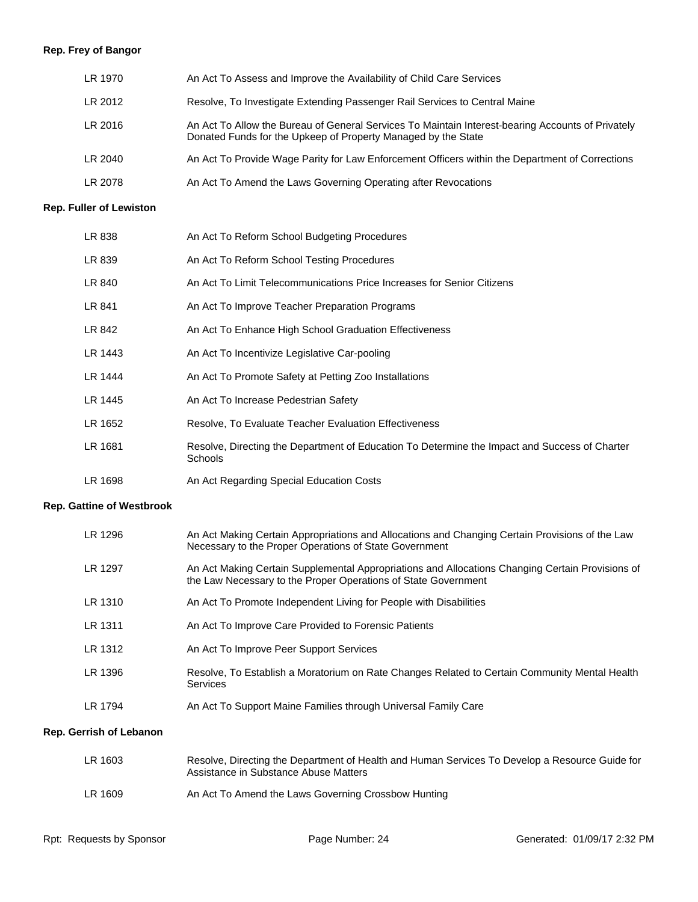# **Rep. Frey of Bangor**

| LR 1970 | An Act To Assess and Improve the Availability of Child Care Services                                                                                               |
|---------|--------------------------------------------------------------------------------------------------------------------------------------------------------------------|
| LR 2012 | Resolve, To Investigate Extending Passenger Rail Services to Central Maine                                                                                         |
| LR 2016 | An Act To Allow the Bureau of General Services To Maintain Interest-bearing Accounts of Privately<br>Donated Funds for the Upkeep of Property Managed by the State |
| LR 2040 | An Act To Provide Wage Parity for Law Enforcement Officers within the Department of Corrections                                                                    |
| LR 2078 | An Act To Amend the Laws Governing Operating after Revocations                                                                                                     |

#### **Rep. Fuller of Lewiston**

| LR 838  | An Act To Reform School Budgeting Procedures                                                             |
|---------|----------------------------------------------------------------------------------------------------------|
| LR 839  | An Act To Reform School Testing Procedures                                                               |
| LR 840  | An Act To Limit Telecommunications Price Increases for Senior Citizens                                   |
| LR 841  | An Act To Improve Teacher Preparation Programs                                                           |
| LR 842  | An Act To Enhance High School Graduation Effectiveness                                                   |
| LR 1443 | An Act To Incentivize Legislative Car-pooling                                                            |
| LR 1444 | An Act To Promote Safety at Petting Zoo Installations                                                    |
| LR 1445 | An Act To Increase Pedestrian Safety                                                                     |
| LR 1652 | Resolve, To Evaluate Teacher Evaluation Effectiveness                                                    |
| LR 1681 | Resolve, Directing the Department of Education To Determine the Impact and Success of Charter<br>Schools |
| LR 1698 | An Act Regarding Special Education Costs                                                                 |

#### **Rep. Gattine of Westbrook**

| LR 1296                        | An Act Making Certain Appropriations and Allocations and Changing Certain Provisions of the Law<br>Necessary to the Proper Operations of State Government          |
|--------------------------------|--------------------------------------------------------------------------------------------------------------------------------------------------------------------|
| LR 1297                        | An Act Making Certain Supplemental Appropriations and Allocations Changing Certain Provisions of<br>the Law Necessary to the Proper Operations of State Government |
| LR 1310                        | An Act To Promote Independent Living for People with Disabilities                                                                                                  |
| LR 1311                        | An Act To Improve Care Provided to Forensic Patients                                                                                                               |
| LR 1312                        | An Act To Improve Peer Support Services                                                                                                                            |
| LR 1396                        | Resolve, To Establish a Moratorium on Rate Changes Related to Certain Community Mental Health<br><b>Services</b>                                                   |
| LR 1794                        | An Act To Support Maine Families through Universal Family Care                                                                                                     |
| <b>Rep. Gerrish of Lebanon</b> |                                                                                                                                                                    |

# LR 1609 An Act To Amend the Laws Governing Crossbow Hunting LR 1603 Resolve, Directing the Department of Health and Human Services To Develop a Resource Guide for Assistance in Substance Abuse Matters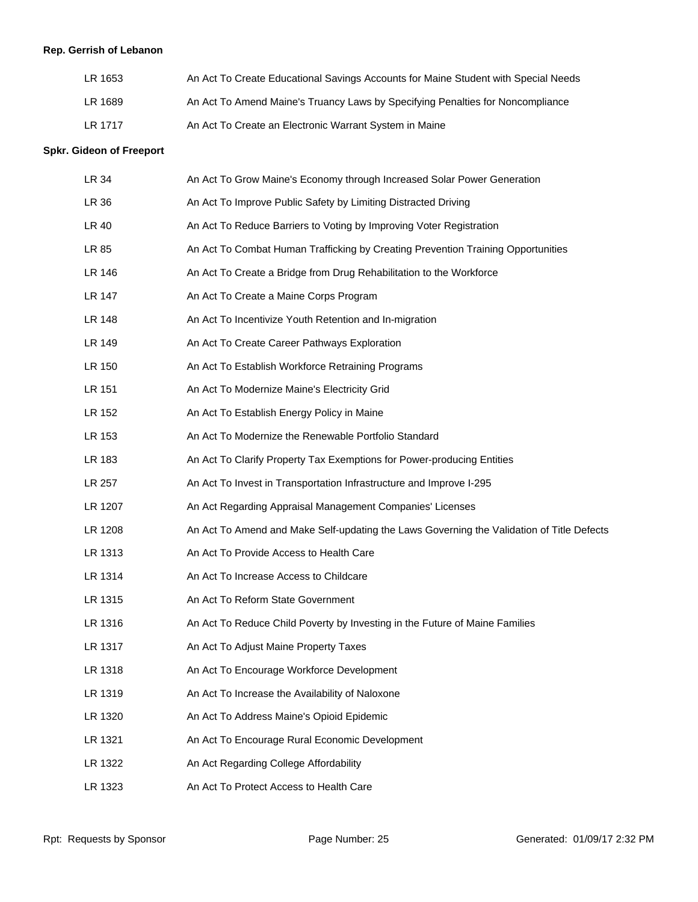# **Rep. Gerrish of Lebanon**

| LR 1653 | An Act To Create Educational Savings Accounts for Maine Student with Special Needs |
|---------|------------------------------------------------------------------------------------|
| LR 1689 | An Act To Amend Maine's Truancy Laws by Specifying Penalties for Noncompliance     |
| LR 1717 | An Act To Create an Electronic Warrant System in Maine                             |

#### **Spkr. Gideon of Freeport**

| LR 34   | An Act To Grow Maine's Economy through Increased Solar Power Generation                   |
|---------|-------------------------------------------------------------------------------------------|
| LR 36   | An Act To Improve Public Safety by Limiting Distracted Driving                            |
| LR 40   | An Act To Reduce Barriers to Voting by Improving Voter Registration                       |
| LR 85   | An Act To Combat Human Trafficking by Creating Prevention Training Opportunities          |
| LR 146  | An Act To Create a Bridge from Drug Rehabilitation to the Workforce                       |
| LR 147  | An Act To Create a Maine Corps Program                                                    |
| LR 148  | An Act To Incentivize Youth Retention and In-migration                                    |
| LR 149  | An Act To Create Career Pathways Exploration                                              |
| LR 150  | An Act To Establish Workforce Retraining Programs                                         |
| LR 151  | An Act To Modernize Maine's Electricity Grid                                              |
| LR 152  | An Act To Establish Energy Policy in Maine                                                |
| LR 153  | An Act To Modernize the Renewable Portfolio Standard                                      |
| LR 183  | An Act To Clarify Property Tax Exemptions for Power-producing Entities                    |
| LR 257  | An Act To Invest in Transportation Infrastructure and Improve I-295                       |
| LR 1207 | An Act Regarding Appraisal Management Companies' Licenses                                 |
| LR 1208 | An Act To Amend and Make Self-updating the Laws Governing the Validation of Title Defects |
| LR 1313 | An Act To Provide Access to Health Care                                                   |
| LR 1314 | An Act To Increase Access to Childcare                                                    |
| LR 1315 | An Act To Reform State Government                                                         |
| LR 1316 | An Act To Reduce Child Poverty by Investing in the Future of Maine Families               |
| LR 1317 | An Act To Adjust Maine Property Taxes                                                     |
| LR 1318 | An Act To Encourage Workforce Development                                                 |
| LR 1319 | An Act To Increase the Availability of Naloxone                                           |
| LR 1320 | An Act To Address Maine's Opioid Epidemic                                                 |
| LR 1321 | An Act To Encourage Rural Economic Development                                            |
| LR 1322 | An Act Regarding College Affordability                                                    |
| LR 1323 | An Act To Protect Access to Health Care                                                   |
|         |                                                                                           |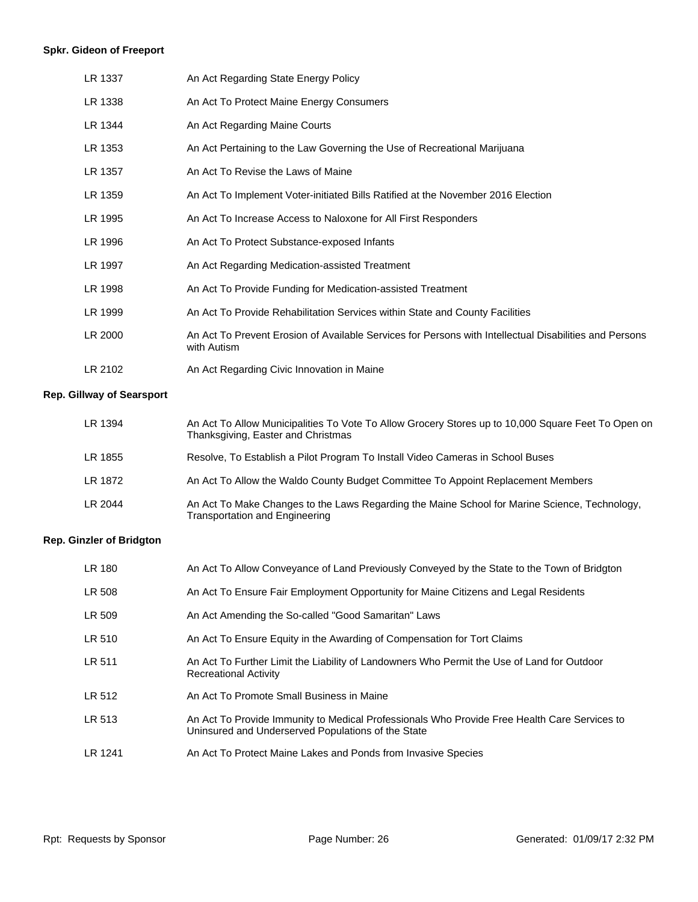# **Spkr. Gideon of Freeport**

| LR 1337 | An Act Regarding State Energy Policy                                                                                  |
|---------|-----------------------------------------------------------------------------------------------------------------------|
| LR 1338 | An Act To Protect Maine Energy Consumers                                                                              |
| LR 1344 | An Act Regarding Maine Courts                                                                                         |
| LR 1353 | An Act Pertaining to the Law Governing the Use of Recreational Marijuana                                              |
| LR 1357 | An Act To Revise the Laws of Maine                                                                                    |
| LR 1359 | An Act To Implement Voter-initiated Bills Ratified at the November 2016 Election                                      |
| LR 1995 | An Act To Increase Access to Naloxone for All First Responders                                                        |
| LR 1996 | An Act To Protect Substance-exposed Infants                                                                           |
| LR 1997 | An Act Regarding Medication-assisted Treatment                                                                        |
| LR 1998 | An Act To Provide Funding for Medication-assisted Treatment                                                           |
| LR 1999 | An Act To Provide Rehabilitation Services within State and County Facilities                                          |
| LR 2000 | An Act To Prevent Erosion of Available Services for Persons with Intellectual Disabilities and Persons<br>with Autism |
| LR 2102 | An Act Regarding Civic Innovation in Maine                                                                            |

# **Rep. Gillway of Searsport**

| LR 1394 | An Act To Allow Municipalities To Vote To Allow Grocery Stores up to 10,000 Square Feet To Open on<br>Thanksgiving, Easter and Christmas |
|---------|------------------------------------------------------------------------------------------------------------------------------------------|
| LR 1855 | Resolve, To Establish a Pilot Program To Install Video Cameras in School Buses                                                           |
| LR 1872 | An Act To Allow the Waldo County Budget Committee To Appoint Replacement Members                                                         |
| LR 2044 | An Act To Make Changes to the Laws Regarding the Maine School for Marine Science, Technology,<br><b>Transportation and Engineering</b>   |

# **Rep. Ginzler of Bridgton**

| LR 180  | An Act To Allow Conveyance of Land Previously Conveyed by the State to the Town of Bridgton                                                        |
|---------|----------------------------------------------------------------------------------------------------------------------------------------------------|
| LR 508  | An Act To Ensure Fair Employment Opportunity for Maine Citizens and Legal Residents                                                                |
| LR 509  | An Act Amending the So-called "Good Samaritan" Laws                                                                                                |
| LR 510  | An Act To Ensure Equity in the Awarding of Compensation for Tort Claims                                                                            |
| LR 511  | An Act To Further Limit the Liability of Landowners Who Permit the Use of Land for Outdoor<br><b>Recreational Activity</b>                         |
| LR 512  | An Act To Promote Small Business in Maine                                                                                                          |
| LR 513  | An Act To Provide Immunity to Medical Professionals Who Provide Free Health Care Services to<br>Uninsured and Underserved Populations of the State |
| LR 1241 | An Act To Protect Maine Lakes and Ponds from Invasive Species                                                                                      |
|         |                                                                                                                                                    |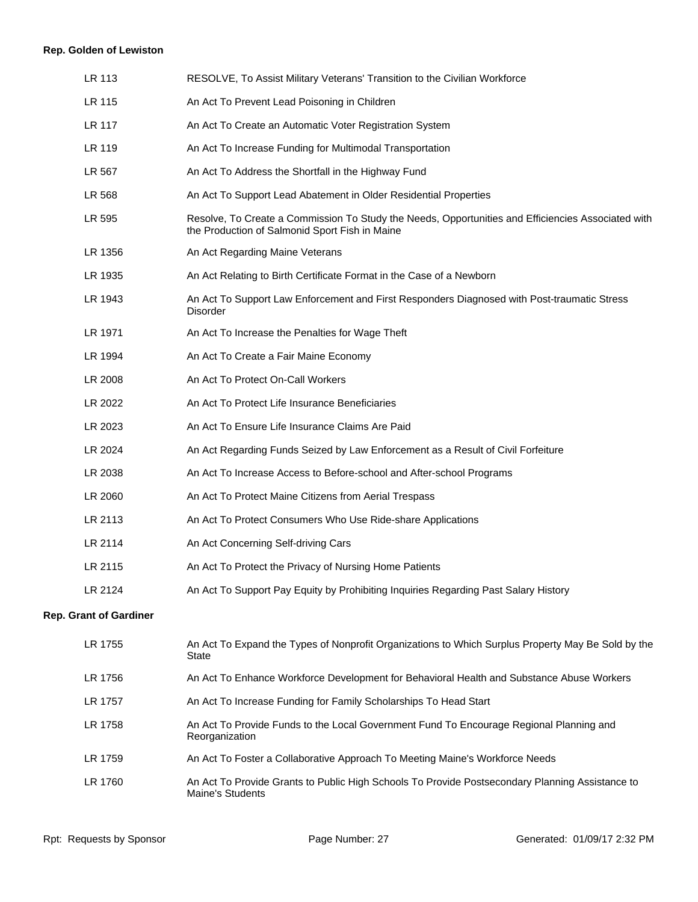# **Rep. Golden of Lewiston**

| LR 113                        | RESOLVE, To Assist Military Veterans' Transition to the Civilian Workforce                                                                           |
|-------------------------------|------------------------------------------------------------------------------------------------------------------------------------------------------|
| LR 115                        | An Act To Prevent Lead Poisoning in Children                                                                                                         |
| LR 117                        | An Act To Create an Automatic Voter Registration System                                                                                              |
| LR 119                        | An Act To Increase Funding for Multimodal Transportation                                                                                             |
| LR 567                        | An Act To Address the Shortfall in the Highway Fund                                                                                                  |
| LR 568                        | An Act To Support Lead Abatement in Older Residential Properties                                                                                     |
| LR 595                        | Resolve, To Create a Commission To Study the Needs, Opportunities and Efficiencies Associated with<br>the Production of Salmonid Sport Fish in Maine |
| LR 1356                       | An Act Regarding Maine Veterans                                                                                                                      |
| LR 1935                       | An Act Relating to Birth Certificate Format in the Case of a Newborn                                                                                 |
| LR 1943                       | An Act To Support Law Enforcement and First Responders Diagnosed with Post-traumatic Stress<br><b>Disorder</b>                                       |
| LR 1971                       | An Act To Increase the Penalties for Wage Theft                                                                                                      |
| LR 1994                       | An Act To Create a Fair Maine Economy                                                                                                                |
| LR 2008                       | An Act To Protect On-Call Workers                                                                                                                    |
| LR 2022                       | An Act To Protect Life Insurance Beneficiaries                                                                                                       |
| LR 2023                       | An Act To Ensure Life Insurance Claims Are Paid                                                                                                      |
| LR 2024                       | An Act Regarding Funds Seized by Law Enforcement as a Result of Civil Forfeiture                                                                     |
| LR 2038                       | An Act To Increase Access to Before-school and After-school Programs                                                                                 |
| LR 2060                       | An Act To Protect Maine Citizens from Aerial Trespass                                                                                                |
| LR 2113                       | An Act To Protect Consumers Who Use Ride-share Applications                                                                                          |
| LR 2114                       | An Act Concerning Self-driving Cars                                                                                                                  |
| LR 2115                       | An Act To Protect the Privacy of Nursing Home Patients                                                                                               |
| LR 2124                       | An Act To Support Pay Equity by Prohibiting Inquiries Regarding Past Salary History                                                                  |
| <b>Rep. Grant of Gardiner</b> |                                                                                                                                                      |
| LR 1755                       | An Act To Expand the Types of Nonprofit Organizations to Which Surplus Property May Be Sold by the<br><b>State</b>                                   |
| LR 1756                       | An Act To Enhance Workforce Development for Behavioral Health and Substance Abuse Workers                                                            |
| LR 1757                       | An Act To Increase Funding for Family Scholarships To Head Start                                                                                     |
| LR 1758                       | An Act To Provide Funds to the Local Government Fund To Encourage Regional Planning and<br>Reorganization                                            |
| LR 1759                       | An Act To Foster a Collaborative Approach To Meeting Maine's Workforce Needs                                                                         |
| LR 1760                       | An Act To Provide Grants to Public High Schools To Provide Postsecondary Planning Assistance to<br>Maine's Students                                  |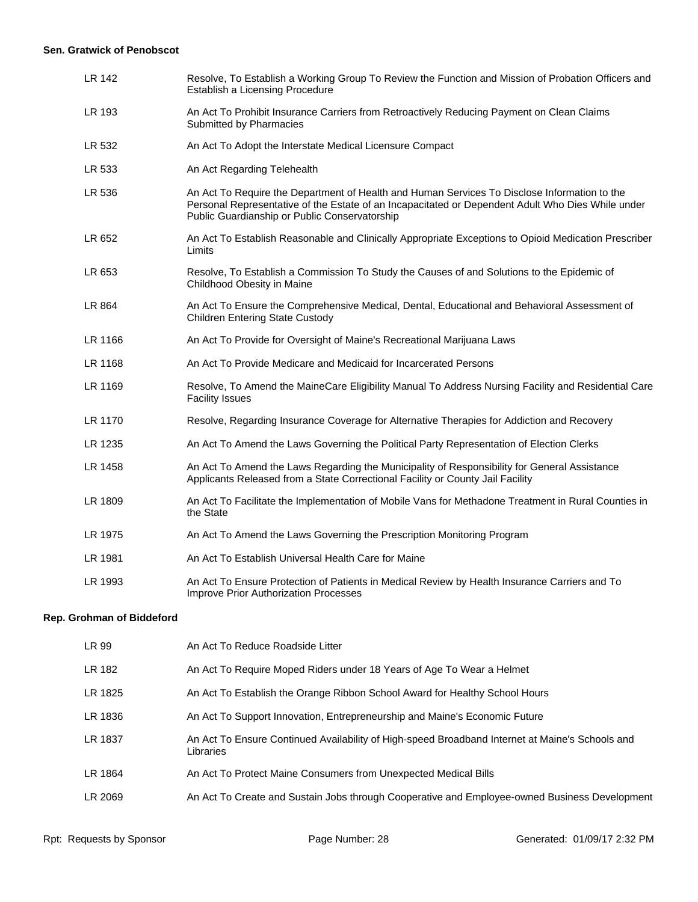#### **Sen. Gratwick of Penobscot**

| LR 142  | Resolve, To Establish a Working Group To Review the Function and Mission of Probation Officers and<br>Establish a Licensing Procedure                                                                                                              |
|---------|----------------------------------------------------------------------------------------------------------------------------------------------------------------------------------------------------------------------------------------------------|
| LR 193  | An Act To Prohibit Insurance Carriers from Retroactively Reducing Payment on Clean Claims<br>Submitted by Pharmacies                                                                                                                               |
| LR 532  | An Act To Adopt the Interstate Medical Licensure Compact                                                                                                                                                                                           |
| LR 533  | An Act Regarding Telehealth                                                                                                                                                                                                                        |
| LR 536  | An Act To Require the Department of Health and Human Services To Disclose Information to the<br>Personal Representative of the Estate of an Incapacitated or Dependent Adult Who Dies While under<br>Public Guardianship or Public Conservatorship |
| LR 652  | An Act To Establish Reasonable and Clinically Appropriate Exceptions to Opioid Medication Prescriber<br>Limits                                                                                                                                     |
| LR 653  | Resolve, To Establish a Commission To Study the Causes of and Solutions to the Epidemic of<br>Childhood Obesity in Maine                                                                                                                           |
| LR 864  | An Act To Ensure the Comprehensive Medical, Dental, Educational and Behavioral Assessment of<br><b>Children Entering State Custody</b>                                                                                                             |
| LR 1166 | An Act To Provide for Oversight of Maine's Recreational Marijuana Laws                                                                                                                                                                             |
| LR 1168 | An Act To Provide Medicare and Medicaid for Incarcerated Persons                                                                                                                                                                                   |
| LR 1169 | Resolve, To Amend the MaineCare Eligibility Manual To Address Nursing Facility and Residential Care<br><b>Facility Issues</b>                                                                                                                      |
| LR 1170 | Resolve, Regarding Insurance Coverage for Alternative Therapies for Addiction and Recovery                                                                                                                                                         |
| LR 1235 | An Act To Amend the Laws Governing the Political Party Representation of Election Clerks                                                                                                                                                           |
| LR 1458 | An Act To Amend the Laws Regarding the Municipality of Responsibility for General Assistance<br>Applicants Released from a State Correctional Facility or County Jail Facility                                                                     |
| LR 1809 | An Act To Facilitate the Implementation of Mobile Vans for Methadone Treatment in Rural Counties in<br>the State                                                                                                                                   |
| LR 1975 | An Act To Amend the Laws Governing the Prescription Monitoring Program                                                                                                                                                                             |
| LR 1981 | An Act To Establish Universal Health Care for Maine                                                                                                                                                                                                |
| LR 1993 | An Act To Ensure Protection of Patients in Medical Review by Health Insurance Carriers and To<br><b>Improve Prior Authorization Processes</b>                                                                                                      |

# **Rep. Grohman of Biddeford**

| LR 99   | An Act To Reduce Roadside Litter                                                                             |
|---------|--------------------------------------------------------------------------------------------------------------|
| LR 182  | An Act To Require Moped Riders under 18 Years of Age To Wear a Helmet                                        |
| LR 1825 | An Act To Establish the Orange Ribbon School Award for Healthy School Hours                                  |
| LR 1836 | An Act To Support Innovation, Entrepreneurship and Maine's Economic Future                                   |
| LR 1837 | An Act To Ensure Continued Availability of High-speed Broadband Internet at Maine's Schools and<br>Libraries |
| LR 1864 | An Act To Protect Maine Consumers from Unexpected Medical Bills                                              |
| LR 2069 | An Act To Create and Sustain Jobs through Cooperative and Employee-owned Business Development                |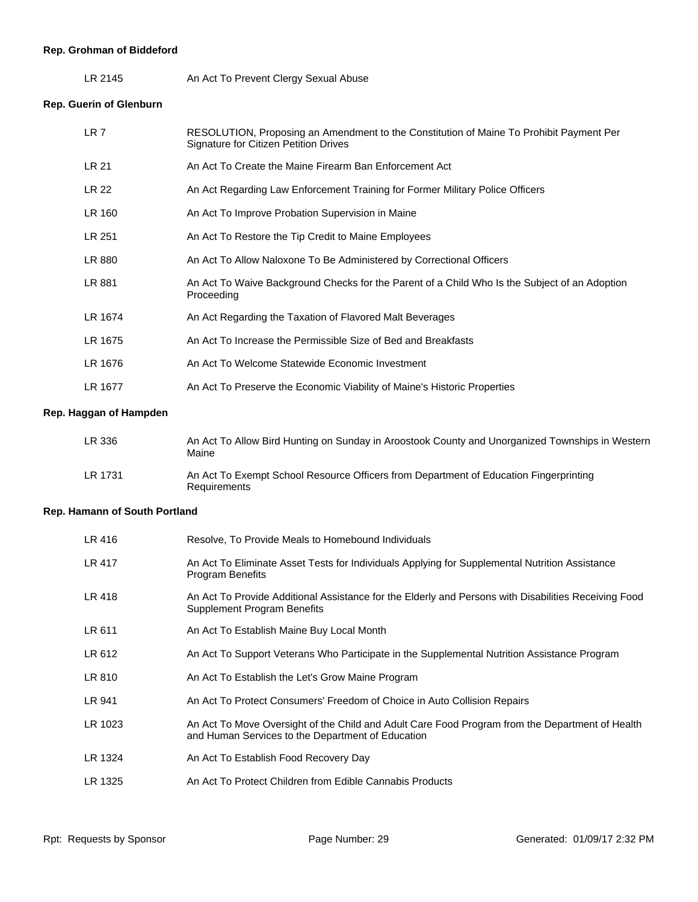# **Rep. Grohman of Biddeford**

LR 2145 An Act To Prevent Clergy Sexual Abuse

**Rep. Guerin of Glenburn**

| LR <sub>7</sub> | RESOLUTION, Proposing an Amendment to the Constitution of Maine To Prohibit Payment Per<br><b>Signature for Citizen Petition Drives</b> |
|-----------------|-----------------------------------------------------------------------------------------------------------------------------------------|
| LR 21           | An Act To Create the Maine Firearm Ban Enforcement Act                                                                                  |
| LR 22           | An Act Regarding Law Enforcement Training for Former Military Police Officers                                                           |
| LR 160          | An Act To Improve Probation Supervision in Maine                                                                                        |
| LR 251          | An Act To Restore the Tip Credit to Maine Employees                                                                                     |
| LR 880          | An Act To Allow Naloxone To Be Administered by Correctional Officers                                                                    |
| LR 881          | An Act To Waive Background Checks for the Parent of a Child Who Is the Subject of an Adoption<br>Proceeding                             |
| LR 1674         | An Act Regarding the Taxation of Flavored Malt Beverages                                                                                |
| LR 1675         | An Act To Increase the Permissible Size of Bed and Breakfasts                                                                           |
| LR 1676         | An Act To Welcome Statewide Economic Investment                                                                                         |
| LR 1677         | An Act To Preserve the Economic Viability of Maine's Historic Properties                                                                |

# **Rep. Haggan of Hampden**

| LR 336  | An Act To Allow Bird Hunting on Sunday in Aroostook County and Unorganized Townships in Western<br>Maine |
|---------|----------------------------------------------------------------------------------------------------------|
| LR 1731 | An Act To Exempt School Resource Officers from Department of Education Fingerprinting<br>Requirements    |

# **Rep. Hamann of South Portland**

| LR 416        | Resolve, To Provide Meals to Homebound Individuals                                                                                                   |
|---------------|------------------------------------------------------------------------------------------------------------------------------------------------------|
| <b>LR 417</b> | An Act To Eliminate Asset Tests for Individuals Applying for Supplemental Nutrition Assistance<br><b>Program Benefits</b>                            |
| LR 418        | An Act To Provide Additional Assistance for the Elderly and Persons with Disabilities Receiving Food<br>Supplement Program Benefits                  |
| LR 611        | An Act To Establish Maine Buy Local Month                                                                                                            |
| LR 612        | An Act To Support Veterans Who Participate in the Supplemental Nutrition Assistance Program                                                          |
| LR 810        | An Act To Establish the Let's Grow Maine Program                                                                                                     |
| LR 941        | An Act To Protect Consumers' Freedom of Choice in Auto Collision Repairs                                                                             |
| LR 1023       | An Act To Move Oversight of the Child and Adult Care Food Program from the Department of Health<br>and Human Services to the Department of Education |
| LR 1324       | An Act To Establish Food Recovery Day                                                                                                                |
| LR 1325       | An Act To Protect Children from Edible Cannabis Products                                                                                             |
|               |                                                                                                                                                      |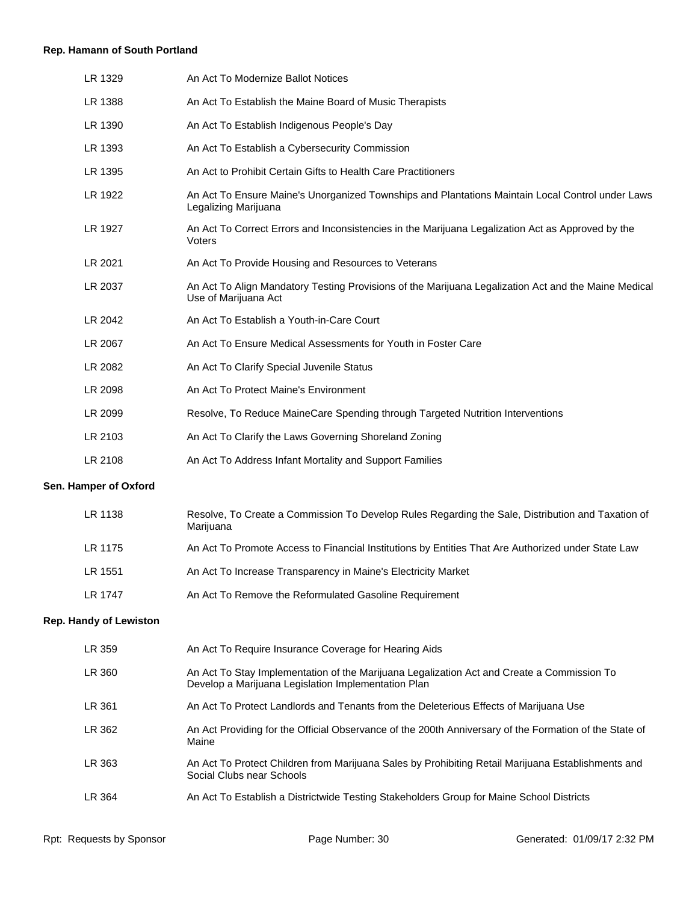# **Rep. Hamann of South Portland**

| LR 1329 | An Act To Modernize Ballot Notices                                                                                           |
|---------|------------------------------------------------------------------------------------------------------------------------------|
| LR 1388 | An Act To Establish the Maine Board of Music Therapists                                                                      |
| LR 1390 | An Act To Establish Indigenous People's Day                                                                                  |
| LR 1393 | An Act To Establish a Cybersecurity Commission                                                                               |
| LR 1395 | An Act to Prohibit Certain Gifts to Health Care Practitioners                                                                |
| LR 1922 | An Act To Ensure Maine's Unorganized Townships and Plantations Maintain Local Control under Laws<br>Legalizing Marijuana     |
| LR 1927 | An Act To Correct Errors and Inconsistencies in the Marijuana Legalization Act as Approved by the<br>Voters                  |
| LR 2021 | An Act To Provide Housing and Resources to Veterans                                                                          |
| LR 2037 | An Act To Align Mandatory Testing Provisions of the Marijuana Legalization Act and the Maine Medical<br>Use of Marijuana Act |
| LR 2042 | An Act To Establish a Youth-in-Care Court                                                                                    |
| LR 2067 | An Act To Ensure Medical Assessments for Youth in Foster Care                                                                |
| LR 2082 | An Act To Clarify Special Juvenile Status                                                                                    |
| LR 2098 | An Act To Protect Maine's Environment                                                                                        |
| LR 2099 | Resolve, To Reduce MaineCare Spending through Targeted Nutrition Interventions                                               |
| LR 2103 | An Act To Clarify the Laws Governing Shoreland Zoning                                                                        |
| LR 2108 | An Act To Address Infant Mortality and Support Families                                                                      |

# **Sen. Hamper of Oxford**

| LR 1138 | Resolve, To Create a Commission To Develop Rules Regarding the Sale, Distribution and Taxation of<br>Marijuana |
|---------|----------------------------------------------------------------------------------------------------------------|
| LR 1175 | An Act To Promote Access to Financial Institutions by Entities That Are Authorized under State Law             |
| LR 1551 | An Act To Increase Transparency in Maine's Electricity Market                                                  |
| LR 1747 | An Act To Remove the Reformulated Gasoline Requirement                                                         |

# **Rep. Handy of Lewiston**

| LR 359 | An Act To Require Insurance Coverage for Hearing Aids                                                                                             |
|--------|---------------------------------------------------------------------------------------------------------------------------------------------------|
| LR 360 | An Act To Stay Implementation of the Marijuana Legalization Act and Create a Commission To<br>Develop a Marijuana Legislation Implementation Plan |
| LR 361 | An Act To Protect Landlords and Tenants from the Deleterious Effects of Marijuana Use                                                             |
| LR 362 | An Act Providing for the Official Observance of the 200th Anniversary of the Formation of the State of<br>Maine                                   |
| LR 363 | An Act To Protect Children from Marijuana Sales by Prohibiting Retail Marijuana Establishments and<br>Social Clubs near Schools                   |
| LR 364 | An Act To Establish a Districtwide Testing Stakeholders Group for Maine School Districts                                                          |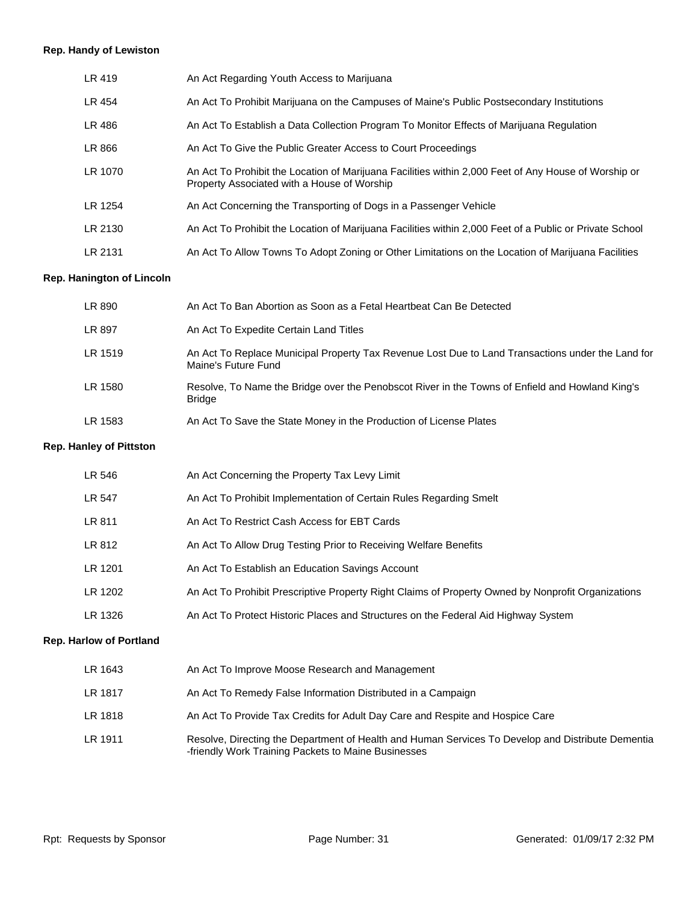#### **Rep. Handy of Lewiston**

| LR 419  | An Act Regarding Youth Access to Marijuana                                                                                                          |
|---------|-----------------------------------------------------------------------------------------------------------------------------------------------------|
| LR 454  | An Act To Prohibit Marijuana on the Campuses of Maine's Public Postsecondary Institutions                                                           |
| LR 486  | An Act To Establish a Data Collection Program To Monitor Effects of Marijuana Regulation                                                            |
| LR 866  | An Act To Give the Public Greater Access to Court Proceedings                                                                                       |
| LR 1070 | An Act To Prohibit the Location of Marijuana Facilities within 2,000 Feet of Any House of Worship or<br>Property Associated with a House of Worship |
| LR 1254 | An Act Concerning the Transporting of Dogs in a Passenger Vehicle                                                                                   |
| LR 2130 | An Act To Prohibit the Location of Marijuana Facilities within 2,000 Feet of a Public or Private School                                             |
| LR 2131 | An Act To Allow Towns To Adopt Zoning or Other Limitations on the Location of Marijuana Facilities                                                  |
|         |                                                                                                                                                     |

#### **Rep. Hanington of Lincoln**

| LR 890  | An Act To Ban Abortion as Soon as a Fetal Heartbeat Can Be Detected                                                      |
|---------|--------------------------------------------------------------------------------------------------------------------------|
| LR 897  | An Act To Expedite Certain Land Titles                                                                                   |
| LR 1519 | An Act To Replace Municipal Property Tax Revenue Lost Due to Land Transactions under the Land for<br>Maine's Future Fund |
| LR 1580 | Resolve, To Name the Bridge over the Penobscot River in the Towns of Enfield and Howland King's<br><b>Bridge</b>         |
| LR 1583 | An Act To Save the State Money in the Production of License Plates                                                       |

#### **Rep. Hanley of Pittston**

| LR 1643                        | An Act To Improve Moose Research and Management                                                    |
|--------------------------------|----------------------------------------------------------------------------------------------------|
| <b>Rep. Harlow of Portland</b> |                                                                                                    |
| LR 1326                        | An Act To Protect Historic Places and Structures on the Federal Aid Highway System                 |
| LR 1202                        | An Act To Prohibit Prescriptive Property Right Claims of Property Owned by Nonprofit Organizations |
| LR 1201                        | An Act To Establish an Education Savings Account                                                   |
| LR 812                         | An Act To Allow Drug Testing Prior to Receiving Welfare Benefits                                   |
| LR 811                         | An Act To Restrict Cash Access for EBT Cards                                                       |
| LR 547                         | An Act To Prohibit Implementation of Certain Rules Regarding Smelt                                 |
| LR 546                         | An Act Concerning the Property Tax Levy Limit                                                      |

| LR 1817 | An Act To Remedy False Information Distributed in a Campaign |
|---------|--------------------------------------------------------------|
|---------|--------------------------------------------------------------|

- LR 1818 An Act To Provide Tax Credits for Adult Day Care and Respite and Hospice Care
- LR 1911 Resolve, Directing the Department of Health and Human Services To Develop and Distribute Dementia -friendly Work Training Packets to Maine Businesses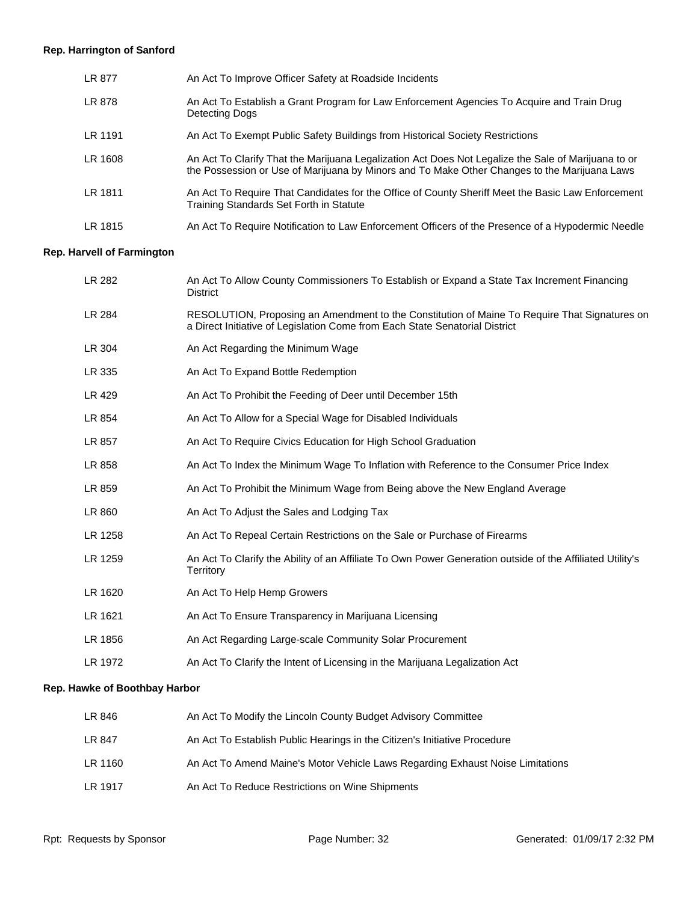# **Rep. Harrington of Sanford**

| LR 877  | An Act To Improve Officer Safety at Roadside Incidents                                                                                                                                              |
|---------|-----------------------------------------------------------------------------------------------------------------------------------------------------------------------------------------------------|
| LR 878  | An Act To Establish a Grant Program for Law Enforcement Agencies To Acquire and Train Drug<br>Detecting Dogs                                                                                        |
| LR 1191 | An Act To Exempt Public Safety Buildings from Historical Society Restrictions                                                                                                                       |
| LR 1608 | An Act To Clarify That the Marijuana Legalization Act Does Not Legalize the Sale of Marijuana to or<br>the Possession or Use of Marijuana by Minors and To Make Other Changes to the Marijuana Laws |
| LR 1811 | An Act To Require That Candidates for the Office of County Sheriff Meet the Basic Law Enforcement<br>Training Standards Set Forth in Statute                                                        |
| LR 1815 | An Act To Require Notification to Law Enforcement Officers of the Presence of a Hypodermic Needle                                                                                                   |

# **Rep. Harvell of Farmington**

| LR 282  | An Act To Allow County Commissioners To Establish or Expand a State Tax Increment Financing<br><b>District</b>                                                               |
|---------|------------------------------------------------------------------------------------------------------------------------------------------------------------------------------|
| LR 284  | RESOLUTION, Proposing an Amendment to the Constitution of Maine To Require That Signatures on<br>a Direct Initiative of Legislation Come from Each State Senatorial District |
| LR 304  | An Act Regarding the Minimum Wage                                                                                                                                            |
| LR 335  | An Act To Expand Bottle Redemption                                                                                                                                           |
| LR 429  | An Act To Prohibit the Feeding of Deer until December 15th                                                                                                                   |
| LR 854  | An Act To Allow for a Special Wage for Disabled Individuals                                                                                                                  |
| LR 857  | An Act To Require Civics Education for High School Graduation                                                                                                                |
| LR 858  | An Act To Index the Minimum Wage To Inflation with Reference to the Consumer Price Index                                                                                     |
| LR 859  | An Act To Prohibit the Minimum Wage from Being above the New England Average                                                                                                 |
| LR 860  | An Act To Adjust the Sales and Lodging Tax                                                                                                                                   |
| LR 1258 | An Act To Repeal Certain Restrictions on the Sale or Purchase of Firearms                                                                                                    |
| LR 1259 | An Act To Clarify the Ability of an Affiliate To Own Power Generation outside of the Affiliated Utility's<br>Territory                                                       |
| LR 1620 | An Act To Help Hemp Growers                                                                                                                                                  |
| LR 1621 | An Act To Ensure Transparency in Marijuana Licensing                                                                                                                         |
| LR 1856 | An Act Regarding Large-scale Community Solar Procurement                                                                                                                     |
| LR 1972 | An Act To Clarify the Intent of Licensing in the Marijuana Legalization Act                                                                                                  |
|         |                                                                                                                                                                              |

# **Rep. Hawke of Boothbay Harbor**

| LR 846  | An Act To Modify the Lincoln County Budget Advisory Committee                  |
|---------|--------------------------------------------------------------------------------|
| LR 847  | An Act To Establish Public Hearings in the Citizen's Initiative Procedure      |
| LR 1160 | An Act To Amend Maine's Motor Vehicle Laws Regarding Exhaust Noise Limitations |
| LR 1917 | An Act To Reduce Restrictions on Wine Shipments                                |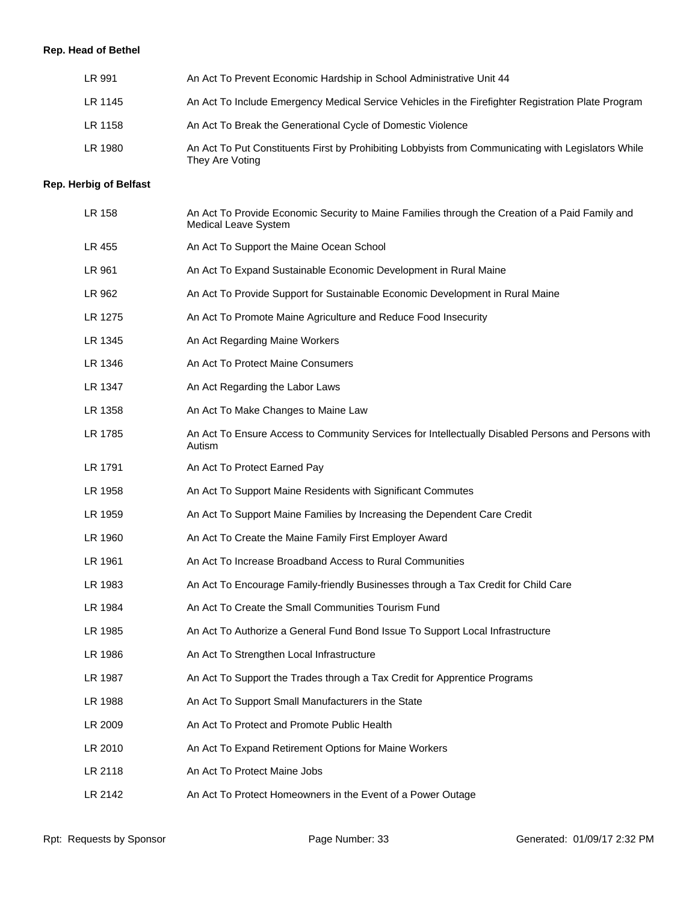# **Rep. Head of Bethel**

| LR 991  | An Act To Prevent Economic Hardship in School Administrative Unit 44                                                   |
|---------|------------------------------------------------------------------------------------------------------------------------|
| LR 1145 | An Act To Include Emergency Medical Service Vehicles in the Firefighter Registration Plate Program                     |
| LR 1158 | An Act To Break the Generational Cycle of Domestic Violence                                                            |
| LR 1980 | An Act To Put Constituents First by Prohibiting Lobbyists from Communicating with Legislators While<br>They Are Voting |

# **Rep. Herbig of Belfast**

| LR 158  | An Act To Provide Economic Security to Maine Families through the Creation of a Paid Family and<br><b>Medical Leave System</b> |
|---------|--------------------------------------------------------------------------------------------------------------------------------|
| LR 455  | An Act To Support the Maine Ocean School                                                                                       |
| LR 961  | An Act To Expand Sustainable Economic Development in Rural Maine                                                               |
| LR 962  | An Act To Provide Support for Sustainable Economic Development in Rural Maine                                                  |
| LR 1275 | An Act To Promote Maine Agriculture and Reduce Food Insecurity                                                                 |
| LR 1345 | An Act Regarding Maine Workers                                                                                                 |
| LR 1346 | An Act To Protect Maine Consumers                                                                                              |
| LR 1347 | An Act Regarding the Labor Laws                                                                                                |
| LR 1358 | An Act To Make Changes to Maine Law                                                                                            |
| LR 1785 | An Act To Ensure Access to Community Services for Intellectually Disabled Persons and Persons with<br>Autism                   |
| LR 1791 | An Act To Protect Earned Pay                                                                                                   |
| LR 1958 | An Act To Support Maine Residents with Significant Commutes                                                                    |
| LR 1959 | An Act To Support Maine Families by Increasing the Dependent Care Credit                                                       |
| LR 1960 | An Act To Create the Maine Family First Employer Award                                                                         |
| LR 1961 | An Act To Increase Broadband Access to Rural Communities                                                                       |
| LR 1983 | An Act To Encourage Family-friendly Businesses through a Tax Credit for Child Care                                             |
| LR 1984 | An Act To Create the Small Communities Tourism Fund                                                                            |
| LR 1985 | An Act To Authorize a General Fund Bond Issue To Support Local Infrastructure                                                  |
| LR 1986 | An Act To Strengthen Local Infrastructure                                                                                      |
| LR 1987 | An Act To Support the Trades through a Tax Credit for Apprentice Programs                                                      |
| LR 1988 | An Act To Support Small Manufacturers in the State                                                                             |
| LR 2009 | An Act To Protect and Promote Public Health                                                                                    |
| LR 2010 | An Act To Expand Retirement Options for Maine Workers                                                                          |
| LR 2118 | An Act To Protect Maine Jobs                                                                                                   |
| LR 2142 | An Act To Protect Homeowners in the Event of a Power Outage                                                                    |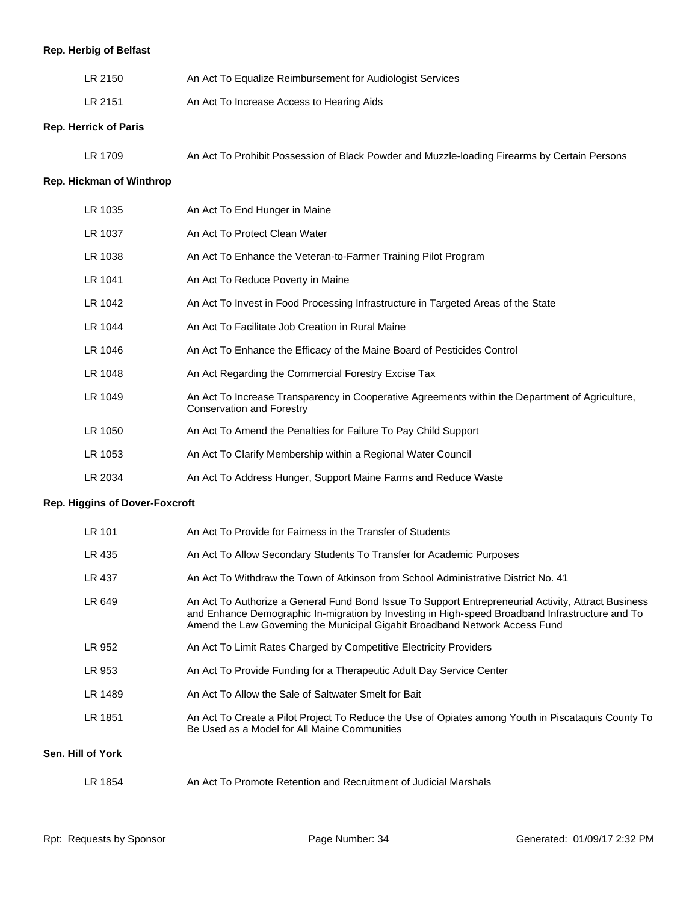# **Rep. Herbig of Belfast**

| LR 2150 | An Act To Equalize Reimbursement for Audiologist Services |
|---------|-----------------------------------------------------------|
| LR 2151 | An Act To Increase Access to Hearing Aids                 |

#### **Rep. Herrick of Paris**

| An Act To Prohibit Possession of Black Powder and Muzzle-loading Firearms by Certain Persons |
|----------------------------------------------------------------------------------------------|
|----------------------------------------------------------------------------------------------|

# **Rep. Hickman of Winthrop**

| LR 1035 | An Act To End Hunger in Maine                                                                                                       |
|---------|-------------------------------------------------------------------------------------------------------------------------------------|
| LR 1037 | An Act To Protect Clean Water                                                                                                       |
| LR 1038 | An Act To Enhance the Veteran-to-Farmer Training Pilot Program                                                                      |
| LR 1041 | An Act To Reduce Poverty in Maine                                                                                                   |
| LR 1042 | An Act To Invest in Food Processing Infrastructure in Targeted Areas of the State                                                   |
| LR 1044 | An Act To Facilitate Job Creation in Rural Maine                                                                                    |
| LR 1046 | An Act To Enhance the Efficacy of the Maine Board of Pesticides Control                                                             |
| LR 1048 | An Act Regarding the Commercial Forestry Excise Tax                                                                                 |
| LR 1049 | An Act To Increase Transparency in Cooperative Agreements within the Department of Agriculture,<br><b>Conservation and Forestry</b> |
| LR 1050 | An Act To Amend the Penalties for Failure To Pay Child Support                                                                      |
| LR 1053 | An Act To Clarify Membership within a Regional Water Council                                                                        |
| LR 2034 | An Act To Address Hunger, Support Maine Farms and Reduce Waste                                                                      |

#### **Rep. Higgins of Dover-Foxcroft**

| LR 101            | An Act To Provide for Fairness in the Transfer of Students                                                                                                                                                                                                                            |
|-------------------|---------------------------------------------------------------------------------------------------------------------------------------------------------------------------------------------------------------------------------------------------------------------------------------|
| LR 435            | An Act To Allow Secondary Students To Transfer for Academic Purposes                                                                                                                                                                                                                  |
| LR 437            | An Act To Withdraw the Town of Atkinson from School Administrative District No. 41                                                                                                                                                                                                    |
| LR 649            | An Act To Authorize a General Fund Bond Issue To Support Entrepreneurial Activity, Attract Business<br>and Enhance Demographic In-migration by Investing in High-speed Broadband Infrastructure and To<br>Amend the Law Governing the Municipal Gigabit Broadband Network Access Fund |
| LR 952            | An Act To Limit Rates Charged by Competitive Electricity Providers                                                                                                                                                                                                                    |
| LR 953            | An Act To Provide Funding for a Therapeutic Adult Day Service Center                                                                                                                                                                                                                  |
| LR 1489           | An Act To Allow the Sale of Saltwater Smelt for Bait                                                                                                                                                                                                                                  |
| LR 1851           | An Act To Create a Pilot Project To Reduce the Use of Opiates among Youth in Piscataquis County To<br>Be Used as a Model for All Maine Communities                                                                                                                                    |
| Sen. Hill of York |                                                                                                                                                                                                                                                                                       |
| LR 1854           | An Act To Promote Retention and Recruitment of Judicial Marshals                                                                                                                                                                                                                      |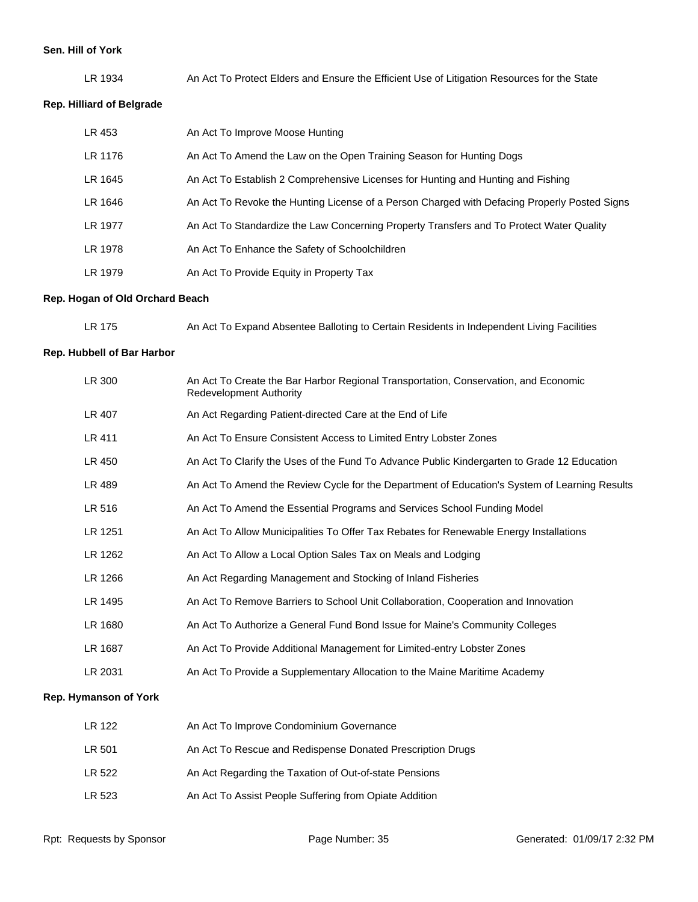#### **Sen. Hill of York**

LR 1934 An Act To Protect Elders and Ensure the Efficient Use of Litigation Resources for the State

# **Rep. Hilliard of Belgrade**

| LR 453  | An Act To Improve Moose Hunting                                                              |
|---------|----------------------------------------------------------------------------------------------|
| LR 1176 | An Act To Amend the Law on the Open Training Season for Hunting Dogs                         |
| LR 1645 | An Act To Establish 2 Comprehensive Licenses for Hunting and Hunting and Fishing             |
| LR 1646 | An Act To Revoke the Hunting License of a Person Charged with Defacing Properly Posted Signs |
| LR 1977 | An Act To Standardize the Law Concerning Property Transfers and To Protect Water Quality     |
| LR 1978 | An Act To Enhance the Safety of Schoolchildren                                               |
| LR 1979 | An Act To Provide Equity in Property Tax                                                     |

# **Rep. Hogan of Old Orchard Beach**

| LR 175 | An Act To Expand Absentee Balloting to Certain Residents in Independent Living Facilities |  |  |
|--------|-------------------------------------------------------------------------------------------|--|--|
|        |                                                                                           |  |  |

#### **Rep. Hubbell of Bar Harbor**

| LR 300                | An Act To Create the Bar Harbor Regional Transportation, Conservation, and Economic<br><b>Redevelopment Authority</b> |
|-----------------------|-----------------------------------------------------------------------------------------------------------------------|
| LR 407                | An Act Regarding Patient-directed Care at the End of Life                                                             |
| LR 411                | An Act To Ensure Consistent Access to Limited Entry Lobster Zones                                                     |
| LR 450                | An Act To Clarify the Uses of the Fund To Advance Public Kindergarten to Grade 12 Education                           |
| LR 489                | An Act To Amend the Review Cycle for the Department of Education's System of Learning Results                         |
| LR 516                | An Act To Amend the Essential Programs and Services School Funding Model                                              |
| LR 1251               | An Act To Allow Municipalities To Offer Tax Rebates for Renewable Energy Installations                                |
| LR 1262               | An Act To Allow a Local Option Sales Tax on Meals and Lodging                                                         |
| LR 1266               | An Act Regarding Management and Stocking of Inland Fisheries                                                          |
| LR 1495               | An Act To Remove Barriers to School Unit Collaboration, Cooperation and Innovation                                    |
| LR 1680               | An Act To Authorize a General Fund Bond Issue for Maine's Community Colleges                                          |
| LR 1687               | An Act To Provide Additional Management for Limited-entry Lobster Zones                                               |
| LR 2031               | An Act To Provide a Supplementary Allocation to the Maine Maritime Academy                                            |
| Rep. Hymanson of York |                                                                                                                       |
| LR 122                | An Act To Improve Condominium Governance                                                                              |
| LR 501                | An Act To Rescue and Redispense Donated Prescription Drugs                                                            |
| LR 522                | An Act Regarding the Taxation of Out-of-state Pensions                                                                |
| LR 523                | An Act To Assist People Suffering from Opiate Addition                                                                |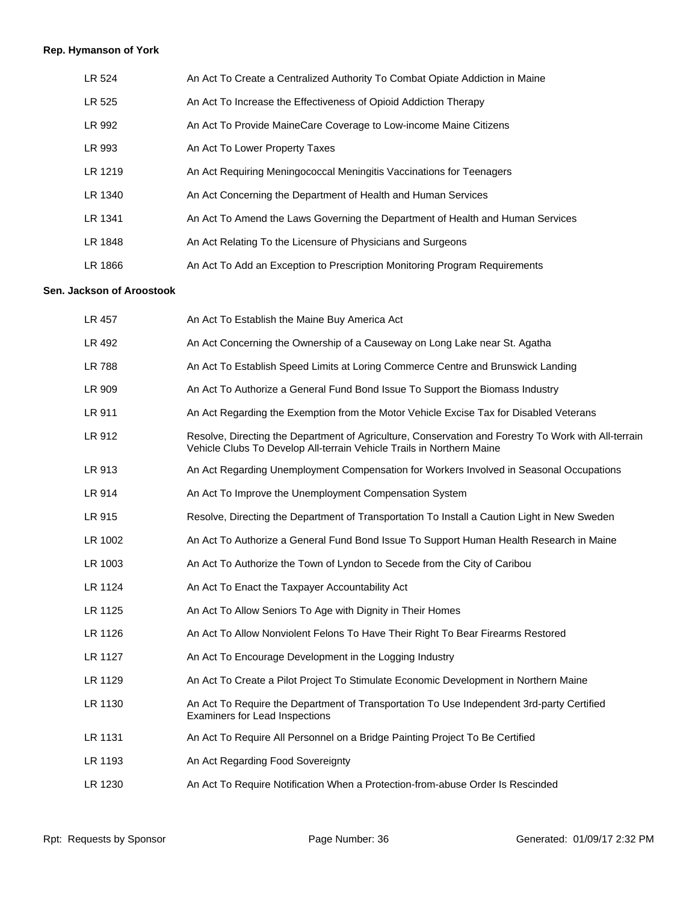# **Rep. Hymanson of York**

| LR 524  | An Act To Create a Centralized Authority To Combat Opiate Addiction in Maine   |
|---------|--------------------------------------------------------------------------------|
| LR 525  | An Act To Increase the Effectiveness of Opioid Addiction Therapy               |
| LR 992  | An Act To Provide MaineCare Coverage to Low-income Maine Citizens              |
| LR 993  | An Act To Lower Property Taxes                                                 |
| LR 1219 | An Act Requiring Meningococcal Meningitis Vaccinations for Teenagers           |
| LR 1340 | An Act Concerning the Department of Health and Human Services                  |
| LR 1341 | An Act To Amend the Laws Governing the Department of Health and Human Services |
| LR 1848 | An Act Relating To the Licensure of Physicians and Surgeons                    |
| LR 1866 | An Act To Add an Exception to Prescription Monitoring Program Requirements     |

# **Sen. Jackson of Aroostook**

| An Act To Establish the Maine Buy America Act                                                                                                                                 |
|-------------------------------------------------------------------------------------------------------------------------------------------------------------------------------|
| An Act Concerning the Ownership of a Causeway on Long Lake near St. Agatha                                                                                                    |
| An Act To Establish Speed Limits at Loring Commerce Centre and Brunswick Landing                                                                                              |
| An Act To Authorize a General Fund Bond Issue To Support the Biomass Industry                                                                                                 |
| An Act Regarding the Exemption from the Motor Vehicle Excise Tax for Disabled Veterans                                                                                        |
| Resolve, Directing the Department of Agriculture, Conservation and Forestry To Work with All-terrain<br>Vehicle Clubs To Develop All-terrain Vehicle Trails in Northern Maine |
| An Act Regarding Unemployment Compensation for Workers Involved in Seasonal Occupations                                                                                       |
| An Act To Improve the Unemployment Compensation System                                                                                                                        |
| Resolve, Directing the Department of Transportation To Install a Caution Light in New Sweden                                                                                  |
| An Act To Authorize a General Fund Bond Issue To Support Human Health Research in Maine                                                                                       |
| An Act To Authorize the Town of Lyndon to Secede from the City of Caribou                                                                                                     |
| An Act To Enact the Taxpayer Accountability Act                                                                                                                               |
| An Act To Allow Seniors To Age with Dignity in Their Homes                                                                                                                    |
| An Act To Allow Nonviolent Felons To Have Their Right To Bear Firearms Restored                                                                                               |
| An Act To Encourage Development in the Logging Industry                                                                                                                       |
| An Act To Create a Pilot Project To Stimulate Economic Development in Northern Maine                                                                                          |
| An Act To Require the Department of Transportation To Use Independent 3rd-party Certified<br><b>Examiners for Lead Inspections</b>                                            |
| An Act To Require All Personnel on a Bridge Painting Project To Be Certified                                                                                                  |
| An Act Regarding Food Sovereignty                                                                                                                                             |
| An Act To Require Notification When a Protection-from-abuse Order Is Rescinded                                                                                                |
|                                                                                                                                                                               |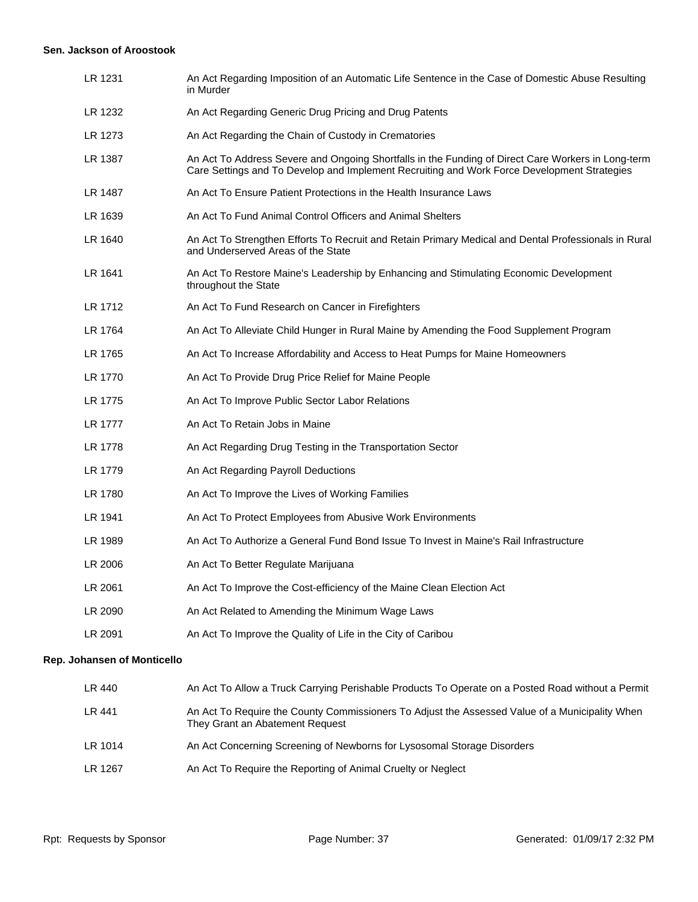#### **Sen. Jackson of Aroostook**

| LR 1231                     | An Act Regarding Imposition of an Automatic Life Sentence in the Case of Domestic Abuse Resulting<br>in Murder                                                                                    |
|-----------------------------|---------------------------------------------------------------------------------------------------------------------------------------------------------------------------------------------------|
| LR 1232                     | An Act Regarding Generic Drug Pricing and Drug Patents                                                                                                                                            |
| LR 1273                     | An Act Regarding the Chain of Custody in Crematories                                                                                                                                              |
| LR 1387                     | An Act To Address Severe and Ongoing Shortfalls in the Funding of Direct Care Workers in Long-term<br>Care Settings and To Develop and Implement Recruiting and Work Force Development Strategies |
| LR 1487                     | An Act To Ensure Patient Protections in the Health Insurance Laws                                                                                                                                 |
| LR 1639                     | An Act To Fund Animal Control Officers and Animal Shelters                                                                                                                                        |
| LR 1640                     | An Act To Strengthen Efforts To Recruit and Retain Primary Medical and Dental Professionals in Rural<br>and Underserved Areas of the State                                                        |
| LR 1641                     | An Act To Restore Maine's Leadership by Enhancing and Stimulating Economic Development<br>throughout the State                                                                                    |
| LR 1712                     | An Act To Fund Research on Cancer in Firefighters                                                                                                                                                 |
| LR 1764                     | An Act To Alleviate Child Hunger in Rural Maine by Amending the Food Supplement Program                                                                                                           |
| LR 1765                     | An Act To Increase Affordability and Access to Heat Pumps for Maine Homeowners                                                                                                                    |
| LR 1770                     | An Act To Provide Drug Price Relief for Maine People                                                                                                                                              |
| LR 1775                     | An Act To Improve Public Sector Labor Relations                                                                                                                                                   |
| LR 1777                     | An Act To Retain Jobs in Maine                                                                                                                                                                    |
| LR 1778                     | An Act Regarding Drug Testing in the Transportation Sector                                                                                                                                        |
| LR 1779                     | An Act Regarding Payroll Deductions                                                                                                                                                               |
| LR 1780                     | An Act To Improve the Lives of Working Families                                                                                                                                                   |
| LR 1941                     | An Act To Protect Employees from Abusive Work Environments                                                                                                                                        |
| LR 1989                     | An Act To Authorize a General Fund Bond Issue To Invest in Maine's Rail Infrastructure                                                                                                            |
| LR 2006                     | An Act To Better Regulate Marijuana                                                                                                                                                               |
| LR 2061                     | An Act To Improve the Cost-efficiency of the Maine Clean Election Act                                                                                                                             |
| LR 2090                     | An Act Related to Amending the Minimum Wage Laws                                                                                                                                                  |
| LR 2091                     | An Act To Improve the Quality of Life in the City of Caribou                                                                                                                                      |
| Rep. Johansen of Monticello |                                                                                                                                                                                                   |

| LR 440  | An Act To Allow a Truck Carrying Perishable Products To Operate on a Posted Road without a Permit                                 |
|---------|-----------------------------------------------------------------------------------------------------------------------------------|
| LR 441  | An Act To Require the County Commissioners To Adjust the Assessed Value of a Municipality When<br>They Grant an Abatement Request |
| LR 1014 | An Act Concerning Screening of Newborns for Lysosomal Storage Disorders                                                           |
| LR 1267 | An Act To Require the Reporting of Animal Cruelty or Neglect                                                                      |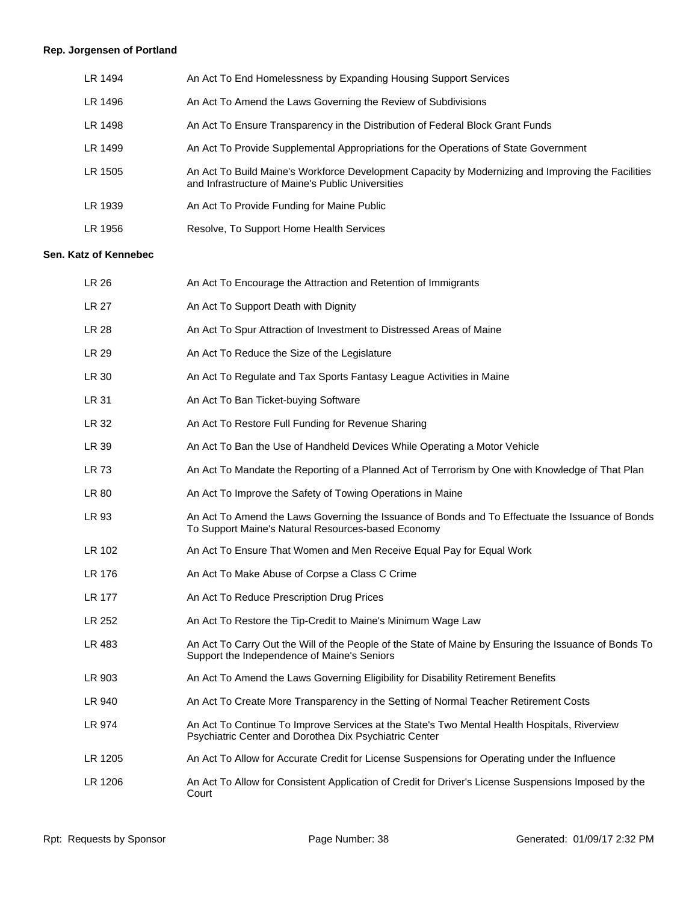# **Rep. Jorgensen of Portland**

| LR 1494 | An Act To End Homelessness by Expanding Housing Support Services                                                                                        |
|---------|---------------------------------------------------------------------------------------------------------------------------------------------------------|
| LR 1496 | An Act To Amend the Laws Governing the Review of Subdivisions                                                                                           |
| LR 1498 | An Act To Ensure Transparency in the Distribution of Federal Block Grant Funds                                                                          |
| LR 1499 | An Act To Provide Supplemental Appropriations for the Operations of State Government                                                                    |
| LR 1505 | An Act To Build Maine's Workforce Development Capacity by Modernizing and Improving the Facilities<br>and Infrastructure of Maine's Public Universities |
| LR 1939 | An Act To Provide Funding for Maine Public                                                                                                              |
| LR 1956 | Resolve, To Support Home Health Services                                                                                                                |

# **Sen. Katz of Kennebec**

| LR 26        | An Act To Encourage the Attraction and Retention of Immigrants                                                                                         |
|--------------|--------------------------------------------------------------------------------------------------------------------------------------------------------|
| <b>LR 27</b> | An Act To Support Death with Dignity                                                                                                                   |
| LR 28        | An Act To Spur Attraction of Investment to Distressed Areas of Maine                                                                                   |
| LR 29        | An Act To Reduce the Size of the Legislature                                                                                                           |
| LR 30        | An Act To Regulate and Tax Sports Fantasy League Activities in Maine                                                                                   |
| LR 31        | An Act To Ban Ticket-buying Software                                                                                                                   |
| LR 32        | An Act To Restore Full Funding for Revenue Sharing                                                                                                     |
| LR 39        | An Act To Ban the Use of Handheld Devices While Operating a Motor Vehicle                                                                              |
| LR 73        | An Act To Mandate the Reporting of a Planned Act of Terrorism by One with Knowledge of That Plan                                                       |
| LR 80        | An Act To Improve the Safety of Towing Operations in Maine                                                                                             |
| LR 93        | An Act To Amend the Laws Governing the Issuance of Bonds and To Effectuate the Issuance of Bonds<br>To Support Maine's Natural Resources-based Economy |
| LR 102       | An Act To Ensure That Women and Men Receive Equal Pay for Equal Work                                                                                   |
| LR 176       | An Act To Make Abuse of Corpse a Class C Crime                                                                                                         |
| LR 177       | An Act To Reduce Prescription Drug Prices                                                                                                              |
| LR 252       | An Act To Restore the Tip-Credit to Maine's Minimum Wage Law                                                                                           |
| LR 483       | An Act To Carry Out the Will of the People of the State of Maine by Ensuring the Issuance of Bonds To<br>Support the Independence of Maine's Seniors   |
| LR 903       | An Act To Amend the Laws Governing Eligibility for Disability Retirement Benefits                                                                      |
| LR 940       | An Act To Create More Transparency in the Setting of Normal Teacher Retirement Costs                                                                   |
| LR 974       | An Act To Continue To Improve Services at the State's Two Mental Health Hospitals, Riverview<br>Psychiatric Center and Dorothea Dix Psychiatric Center |
| LR 1205      | An Act To Allow for Accurate Credit for License Suspensions for Operating under the Influence                                                          |
| LR 1206      | An Act To Allow for Consistent Application of Credit for Driver's License Suspensions Imposed by the<br>Court                                          |
|              |                                                                                                                                                        |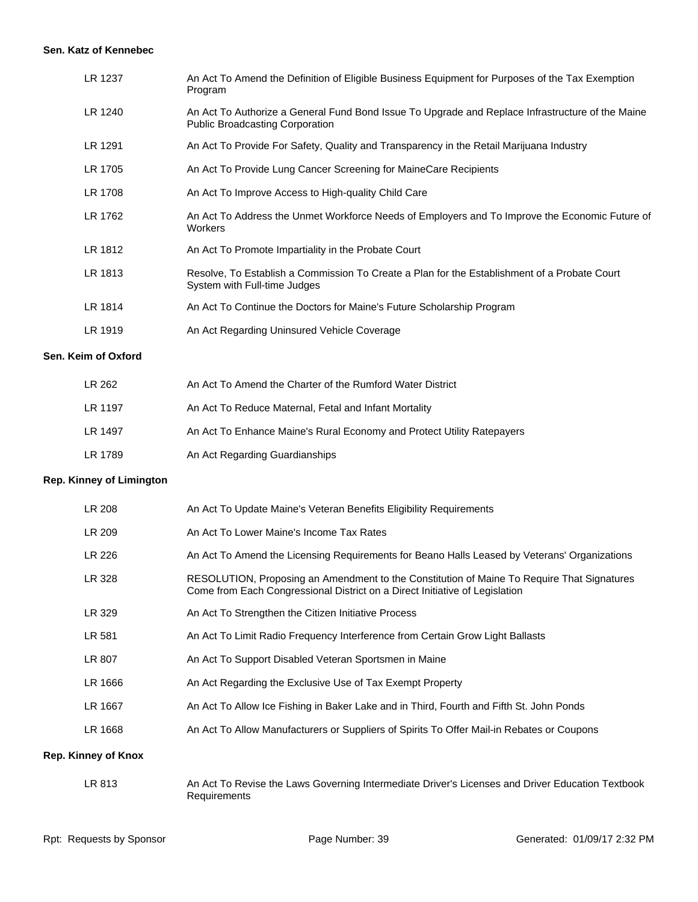#### **Sen. Katz of Kennebec**

| LR 1237                    | An Act To Amend the Definition of Eligible Business Equipment for Purposes of the Tax Exemption<br>Program                                                                |
|----------------------------|---------------------------------------------------------------------------------------------------------------------------------------------------------------------------|
| LR 1240                    | An Act To Authorize a General Fund Bond Issue To Upgrade and Replace Infrastructure of the Maine<br><b>Public Broadcasting Corporation</b>                                |
| LR 1291                    | An Act To Provide For Safety, Quality and Transparency in the Retail Marijuana Industry                                                                                   |
| LR 1705                    | An Act To Provide Lung Cancer Screening for MaineCare Recipients                                                                                                          |
| LR 1708                    | An Act To Improve Access to High-quality Child Care                                                                                                                       |
| LR 1762                    | An Act To Address the Unmet Workforce Needs of Employers and To Improve the Economic Future of<br>Workers                                                                 |
| LR 1812                    | An Act To Promote Impartiality in the Probate Court                                                                                                                       |
| LR 1813                    | Resolve, To Establish a Commission To Create a Plan for the Establishment of a Probate Court<br>System with Full-time Judges                                              |
| LR 1814                    | An Act To Continue the Doctors for Maine's Future Scholarship Program                                                                                                     |
| LR 1919                    | An Act Regarding Uninsured Vehicle Coverage                                                                                                                               |
| Keim of Oxford             |                                                                                                                                                                           |
| LR 262                     | An Act To Amend the Charter of the Rumford Water District                                                                                                                 |
| LR 1197                    | An Act To Reduce Maternal, Fetal and Infant Mortality                                                                                                                     |
| LR 1497                    | An Act To Enhance Maine's Rural Economy and Protect Utility Ratepayers                                                                                                    |
| LR 1789                    | An Act Regarding Guardianships                                                                                                                                            |
| <b>Kinney of Limington</b> |                                                                                                                                                                           |
| LR 208                     | An Act To Update Maine's Veteran Benefits Eligibility Requirements                                                                                                        |
| LR 209                     | An Act To Lower Maine's Income Tax Rates                                                                                                                                  |
| LR 226                     | An Act To Amend the Licensing Requirements for Beano Halls Leased by Veterans' Organizations                                                                              |
| LR 328                     | RESOLUTION, Proposing an Amendment to the Constitution of Maine To Require That Signatures<br>Come from Each Congressional District on a Direct Initiative of Legislation |
| LR 329                     | An Act To Strengthen the Citizen Initiative Process                                                                                                                       |
| LR 581                     | An Act To Limit Radio Frequency Interference from Certain Grow Light Ballasts                                                                                             |
| LR 807                     | An Act To Support Disabled Veteran Sportsmen in Maine                                                                                                                     |
| LR 1666                    | An Act Regarding the Exclusive Use of Tax Exempt Property                                                                                                                 |
|                            |                                                                                                                                                                           |

- LR 1667 An Act To Allow Ice Fishing in Baker Lake and in Third, Fourth and Fifth St. John Ponds
- LR 1668 An Act To Allow Manufacturers or Suppliers of Spirits To Offer Mail-in Rebates or Coupons

#### **Rep. Kinney of Knox**

**Rep.** 

Sen.

LR 813 An Act To Revise the Laws Governing Intermediate Driver's Licenses and Driver Education Textbook Requirements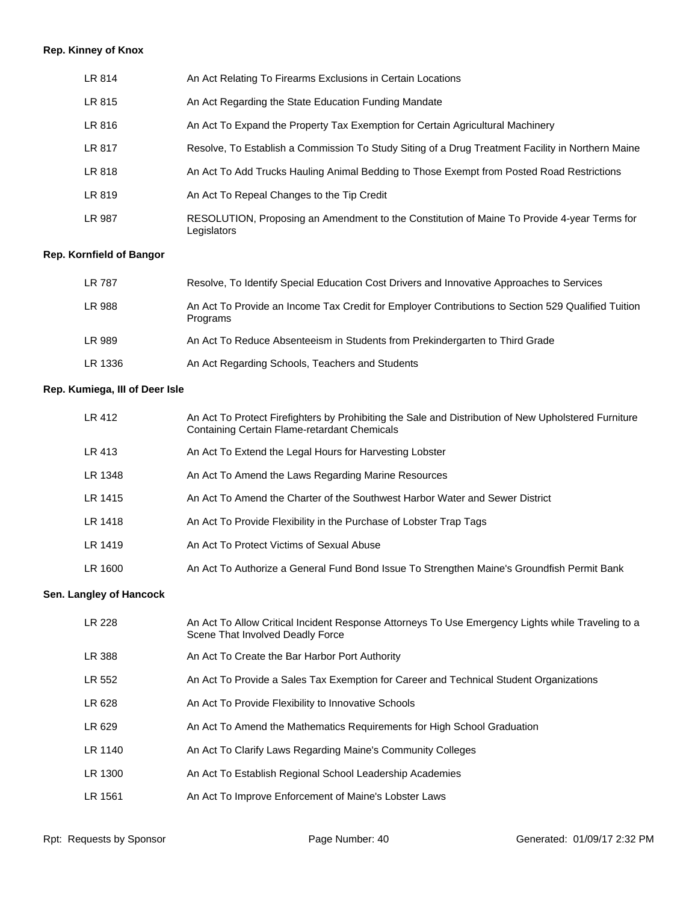# **Rep. Kinney of Knox**

| LR 814 | An Act Relating To Firearms Exclusions in Certain Locations                                                |
|--------|------------------------------------------------------------------------------------------------------------|
| LR 815 | An Act Regarding the State Education Funding Mandate                                                       |
| LR 816 | An Act To Expand the Property Tax Exemption for Certain Agricultural Machinery                             |
| LR 817 | Resolve, To Establish a Commission To Study Siting of a Drug Treatment Facility in Northern Maine          |
| LR 818 | An Act To Add Trucks Hauling Animal Bedding to Those Exempt from Posted Road Restrictions                  |
| LR 819 | An Act To Repeal Changes to the Tip Credit                                                                 |
| LR 987 | RESOLUTION, Proposing an Amendment to the Constitution of Maine To Provide 4-year Terms for<br>Legislators |

# **Rep. Kornfield of Bangor**

| LR 787  | Resolve, To Identify Special Education Cost Drivers and Innovative Approaches to Services                      |
|---------|----------------------------------------------------------------------------------------------------------------|
| LR 988  | An Act To Provide an Income Tax Credit for Employer Contributions to Section 529 Qualified Tuition<br>Programs |
| LR 989  | An Act To Reduce Absenteeism in Students from Prekindergarten to Third Grade                                   |
| LR 1336 | An Act Regarding Schools, Teachers and Students                                                                |

# **Rep. Kumiega, III of Deer Isle**

| LR 412  | An Act To Protect Firefighters by Prohibiting the Sale and Distribution of New Upholstered Furniture<br>Containing Certain Flame-retardant Chemicals |
|---------|------------------------------------------------------------------------------------------------------------------------------------------------------|
| LR 413  | An Act To Extend the Legal Hours for Harvesting Lobster                                                                                              |
| LR 1348 | An Act To Amend the Laws Regarding Marine Resources                                                                                                  |
| LR 1415 | An Act To Amend the Charter of the Southwest Harbor Water and Sewer District                                                                         |
| LR 1418 | An Act To Provide Flexibility in the Purchase of Lobster Trap Tags                                                                                   |
| LR 1419 | An Act To Protect Victims of Sexual Abuse                                                                                                            |
| LR 1600 | An Act To Authorize a General Fund Bond Issue To Strengthen Maine's Groundfish Permit Bank                                                           |

# **Sen. Langley of Hancock**

| LR 228  | An Act To Allow Critical Incident Response Attorneys To Use Emergency Lights while Traveling to a<br>Scene That Involved Deadly Force |
|---------|---------------------------------------------------------------------------------------------------------------------------------------|
| LR 388  | An Act To Create the Bar Harbor Port Authority                                                                                        |
| LR 552  | An Act To Provide a Sales Tax Exemption for Career and Technical Student Organizations                                                |
| LR 628  | An Act To Provide Flexibility to Innovative Schools                                                                                   |
| LR 629  | An Act To Amend the Mathematics Requirements for High School Graduation                                                               |
| LR 1140 | An Act To Clarify Laws Regarding Maine's Community Colleges                                                                           |
| LR 1300 | An Act To Establish Regional School Leadership Academies                                                                              |
| LR 1561 | An Act To Improve Enforcement of Maine's Lobster Laws                                                                                 |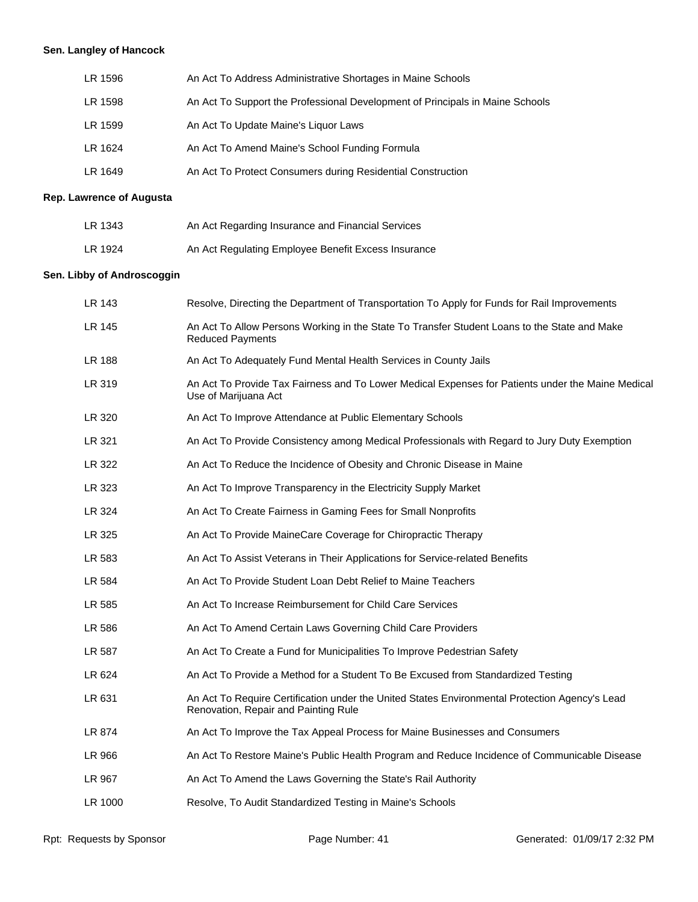# **Sen. Langley of Hancock**

| An Act To Address Administrative Shortages in Maine Schools                   |
|-------------------------------------------------------------------------------|
| An Act To Support the Professional Development of Principals in Maine Schools |
| An Act To Update Maine's Liquor Laws                                          |
| An Act To Amend Maine's School Funding Formula                                |
| An Act To Protect Consumers during Residential Construction                   |
|                                                                               |

# **Rep. Lawrence of Augusta**

| LR 1343 | An Act Regarding Insurance and Financial Services   |
|---------|-----------------------------------------------------|
| LR 1924 | An Act Regulating Employee Benefit Excess Insurance |

# **Sen. Libby of Androscoggin**

| LR 143        | Resolve, Directing the Department of Transportation To Apply for Funds for Rail Improvements                                           |
|---------------|----------------------------------------------------------------------------------------------------------------------------------------|
| LR 145        | An Act To Allow Persons Working in the State To Transfer Student Loans to the State and Make<br><b>Reduced Payments</b>                |
| <b>LR 188</b> | An Act To Adequately Fund Mental Health Services in County Jails                                                                       |
| LR 319        | An Act To Provide Tax Fairness and To Lower Medical Expenses for Patients under the Maine Medical<br>Use of Marijuana Act              |
| LR 320        | An Act To Improve Attendance at Public Elementary Schools                                                                              |
| LR 321        | An Act To Provide Consistency among Medical Professionals with Regard to Jury Duty Exemption                                           |
| LR 322        | An Act To Reduce the Incidence of Obesity and Chronic Disease in Maine                                                                 |
| LR 323        | An Act To Improve Transparency in the Electricity Supply Market                                                                        |
| LR 324        | An Act To Create Fairness in Gaming Fees for Small Nonprofits                                                                          |
| LR 325        | An Act To Provide Maine Care Coverage for Chiropractic Therapy                                                                         |
| LR 583        | An Act To Assist Veterans in Their Applications for Service-related Benefits                                                           |
| LR 584        | An Act To Provide Student Loan Debt Relief to Maine Teachers                                                                           |
| LR 585        | An Act To Increase Reimbursement for Child Care Services                                                                               |
| LR 586        | An Act To Amend Certain Laws Governing Child Care Providers                                                                            |
| LR 587        | An Act To Create a Fund for Municipalities To Improve Pedestrian Safety                                                                |
| LR 624        | An Act To Provide a Method for a Student To Be Excused from Standardized Testing                                                       |
| LR 631        | An Act To Require Certification under the United States Environmental Protection Agency's Lead<br>Renovation, Repair and Painting Rule |
| LR 874        | An Act To Improve the Tax Appeal Process for Maine Businesses and Consumers                                                            |
| LR 966        | An Act To Restore Maine's Public Health Program and Reduce Incidence of Communicable Disease                                           |
| LR 967        | An Act To Amend the Laws Governing the State's Rail Authority                                                                          |
| LR 1000       | Resolve, To Audit Standardized Testing in Maine's Schools                                                                              |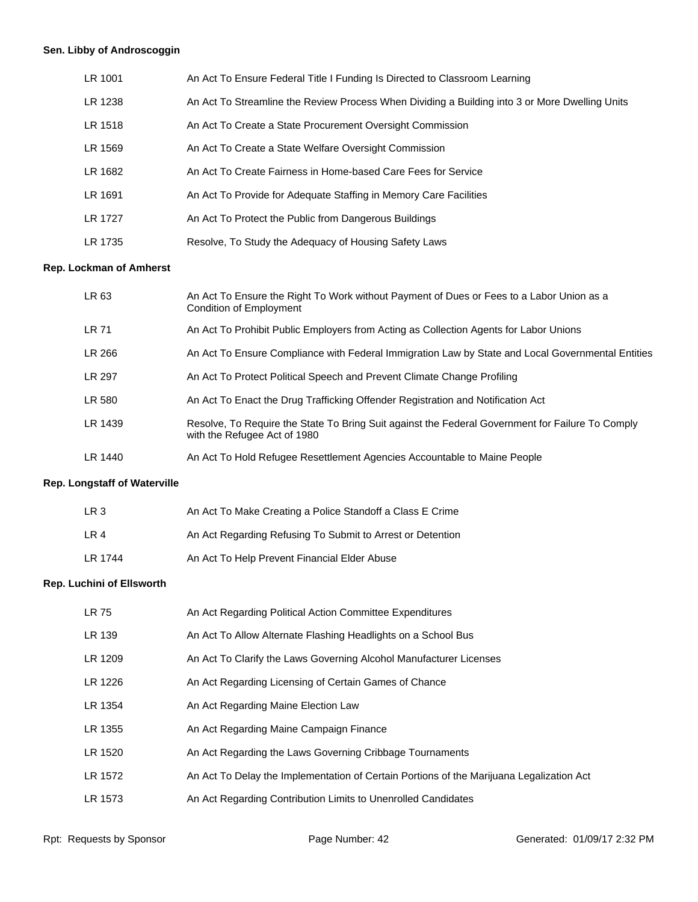# **Sen. Libby of Androscoggin**

| LR 1001        | An Act To Ensure Federal Title I Funding Is Directed to Classroom Learning                     |
|----------------|------------------------------------------------------------------------------------------------|
| LR 1238        | An Act To Streamline the Review Process When Dividing a Building into 3 or More Dwelling Units |
| LR 1518        | An Act To Create a State Procurement Oversight Commission                                      |
| LR 1569        | An Act To Create a State Welfare Oversight Commission                                          |
| LR 1682        | An Act To Create Fairness in Home-based Care Fees for Service                                  |
| LR 1691        | An Act To Provide for Adequate Staffing in Memory Care Facilities                              |
| <b>LR 1727</b> | An Act To Protect the Public from Dangerous Buildings                                          |
| LR 1735        | Resolve, To Study the Adequacy of Housing Safety Laws                                          |

#### **Rep. Lockman of Amherst**

| LR 63         | An Act To Ensure the Right To Work without Payment of Dues or Fees to a Labor Union as a<br>Condition of Employment              |
|---------------|----------------------------------------------------------------------------------------------------------------------------------|
| <b>LR 71</b>  | An Act To Prohibit Public Employers from Acting as Collection Agents for Labor Unions                                            |
| LR 266        | An Act To Ensure Compliance with Federal Immigration Law by State and Local Governmental Entities                                |
| <b>LR 297</b> | An Act To Protect Political Speech and Prevent Climate Change Profiling                                                          |
| LR 580        | An Act To Enact the Drug Trafficking Offender Registration and Notification Act                                                  |
| LR 1439       | Resolve, To Require the State To Bring Suit against the Federal Government for Failure To Comply<br>with the Refugee Act of 1980 |
| LR 1440       | An Act To Hold Refugee Resettlement Agencies Accountable to Maine People                                                         |

# **Rep. Longstaff of Waterville**

| LR 3    | An Act To Make Creating a Police Standoff a Class E Crime  |
|---------|------------------------------------------------------------|
| LR 4    | An Act Regarding Refusing To Submit to Arrest or Detention |
| LR 1744 | An Act To Help Prevent Financial Elder Abuse               |

#### **Rep. Luchini of Ellsworth**

| <b>LR 75</b> | An Act Regarding Political Action Committee Expenditures                                 |
|--------------|------------------------------------------------------------------------------------------|
| LR 139       | An Act To Allow Alternate Flashing Headlights on a School Bus                            |
| LR 1209      | An Act To Clarify the Laws Governing Alcohol Manufacturer Licenses                       |
| LR 1226      | An Act Regarding Licensing of Certain Games of Chance                                    |
| LR 1354      | An Act Regarding Maine Election Law                                                      |
| LR 1355      | An Act Regarding Maine Campaign Finance                                                  |
| LR 1520      | An Act Regarding the Laws Governing Cribbage Tournaments                                 |
| LR 1572      | An Act To Delay the Implementation of Certain Portions of the Marijuana Legalization Act |
| LR 1573      | An Act Regarding Contribution Limits to Unenrolled Candidates                            |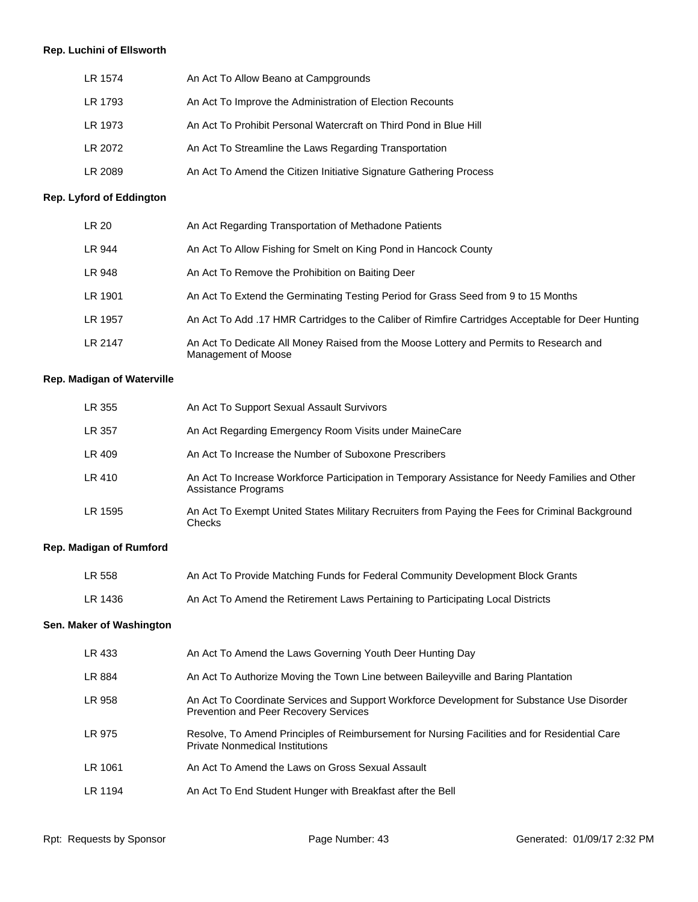# **Rep. Luchini of Ellsworth**

| LR 1574 | An Act To Allow Beano at Campgrounds                               |
|---------|--------------------------------------------------------------------|
| LR 1793 | An Act To Improve the Administration of Election Recounts          |
| LR 1973 | An Act To Prohibit Personal Watercraft on Third Pond in Blue Hill  |
| LR 2072 | An Act To Streamline the Laws Regarding Transportation             |
| LR 2089 | An Act To Amend the Citizen Initiative Signature Gathering Process |

# **Rep. Lyford of Eddington**

| LR 20   | An Act Regarding Transportation of Methadone Patients                                                         |
|---------|---------------------------------------------------------------------------------------------------------------|
| LR 944  | An Act To Allow Fishing for Smelt on King Pond in Hancock County                                              |
| LR 948  | An Act To Remove the Prohibition on Baiting Deer                                                              |
| LR 1901 | An Act To Extend the Germinating Testing Period for Grass Seed from 9 to 15 Months                            |
| LR 1957 | An Act To Add .17 HMR Cartridges to the Caliber of Rimfire Cartridges Acceptable for Deer Hunting             |
| LR 2147 | An Act To Dedicate All Money Raised from the Moose Lottery and Permits to Research and<br>Management of Moose |

#### **Rep. Madigan of Waterville**

| LR 355  | An Act To Support Sexual Assault Survivors                                                                             |
|---------|------------------------------------------------------------------------------------------------------------------------|
| LR 357  | An Act Regarding Emergency Room Visits under MaineCare                                                                 |
| LR 409  | An Act To Increase the Number of Suboxone Prescribers                                                                  |
| LR 410  | An Act To Increase Workforce Participation in Temporary Assistance for Needy Families and Other<br>Assistance Programs |
| LR 1595 | An Act To Exempt United States Military Recruiters from Paying the Fees for Criminal Background<br>Checks              |

# **Rep. Madigan of Rumford**

| LR 558  | An Act To Provide Matching Funds for Federal Community Development Block Grants |
|---------|---------------------------------------------------------------------------------|
| LR 1436 | An Act To Amend the Retirement Laws Pertaining to Participating Local Districts |

# **Sen. Maker of Washington**

| LR 433  | An Act To Amend the Laws Governing Youth Deer Hunting Day                                                                                  |
|---------|--------------------------------------------------------------------------------------------------------------------------------------------|
| LR 884  | An Act To Authorize Moving the Town Line between Baileyville and Baring Plantation                                                         |
| LR 958  | An Act To Coordinate Services and Support Workforce Development for Substance Use Disorder<br><b>Prevention and Peer Recovery Services</b> |
| LR 975  | Resolve, To Amend Principles of Reimbursement for Nursing Facilities and for Residential Care<br><b>Private Nonmedical Institutions</b>    |
| LR 1061 | An Act To Amend the Laws on Gross Sexual Assault                                                                                           |
| LR 1194 | An Act To End Student Hunger with Breakfast after the Bell                                                                                 |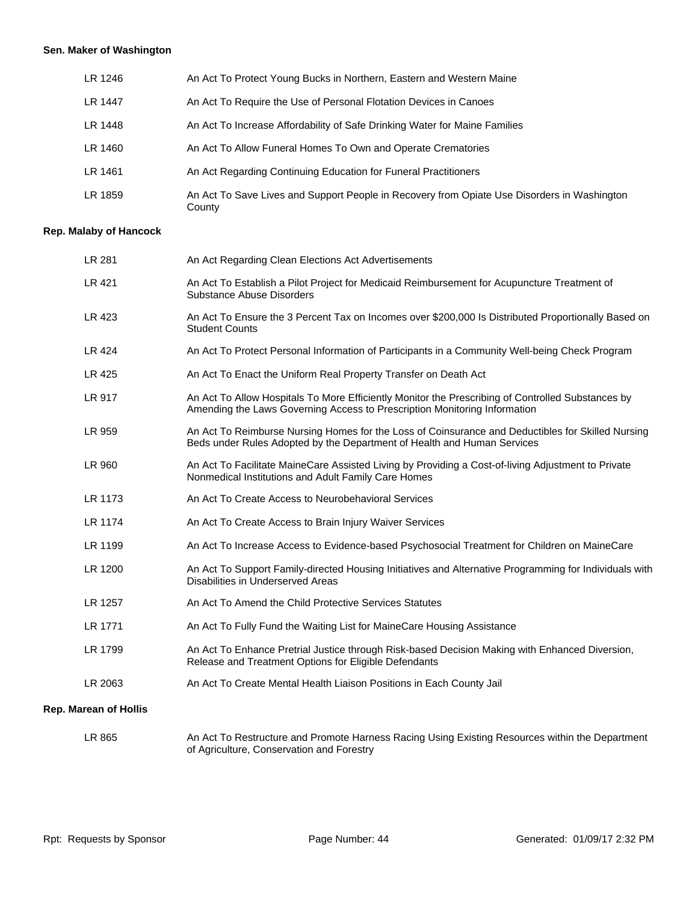# **Sen. Maker of Washington**

| LR 1246 | An Act To Protect Young Bucks in Northern, Eastern and Western Maine                                  |
|---------|-------------------------------------------------------------------------------------------------------|
| LR 1447 | An Act To Require the Use of Personal Flotation Devices in Canoes                                     |
| LR 1448 | An Act To Increase Affordability of Safe Drinking Water for Maine Families                            |
| LR 1460 | An Act To Allow Funeral Homes To Own and Operate Crematories                                          |
| LR 1461 | An Act Regarding Continuing Education for Funeral Practitioners                                       |
| LR 1859 | An Act To Save Lives and Support People in Recovery from Opiate Use Disorders in Washington<br>County |

#### **Rep. Malaby of Hancock**

| LR 281                       | An Act Regarding Clean Elections Act Advertisements                                                                                                                            |
|------------------------------|--------------------------------------------------------------------------------------------------------------------------------------------------------------------------------|
| LR 421                       | An Act To Establish a Pilot Project for Medicaid Reimbursement for Acupuncture Treatment of<br>Substance Abuse Disorders                                                       |
| LR 423                       | An Act To Ensure the 3 Percent Tax on Incomes over \$200,000 Is Distributed Proportionally Based on<br><b>Student Counts</b>                                                   |
| LR 424                       | An Act To Protect Personal Information of Participants in a Community Well-being Check Program                                                                                 |
| LR 425                       | An Act To Enact the Uniform Real Property Transfer on Death Act                                                                                                                |
| LR 917                       | An Act To Allow Hospitals To More Efficiently Monitor the Prescribing of Controlled Substances by<br>Amending the Laws Governing Access to Prescription Monitoring Information |
| LR 959                       | An Act To Reimburse Nursing Homes for the Loss of Coinsurance and Deductibles for Skilled Nursing<br>Beds under Rules Adopted by the Department of Health and Human Services   |
| LR 960                       | An Act To Facilitate MaineCare Assisted Living by Providing a Cost-of-living Adjustment to Private<br>Nonmedical Institutions and Adult Family Care Homes                      |
| LR 1173                      | An Act To Create Access to Neurobehavioral Services                                                                                                                            |
| LR 1174                      | An Act To Create Access to Brain Injury Waiver Services                                                                                                                        |
| LR 1199                      | An Act To Increase Access to Evidence-based Psychosocial Treatment for Children on MaineCare                                                                                   |
| LR 1200                      | An Act To Support Family-directed Housing Initiatives and Alternative Programming for Individuals with<br>Disabilities in Underserved Areas                                    |
| LR 1257                      | An Act To Amend the Child Protective Services Statutes                                                                                                                         |
| LR 1771                      | An Act To Fully Fund the Waiting List for MaineCare Housing Assistance                                                                                                         |
| LR 1799                      | An Act To Enhance Pretrial Justice through Risk-based Decision Making with Enhanced Diversion,<br>Release and Treatment Options for Eligible Defendants                        |
| LR 2063                      | An Act To Create Mental Health Liaison Positions in Each County Jail                                                                                                           |
| <b>Rep. Marean of Hollis</b> |                                                                                                                                                                                |

of Agriculture, Conservation and Forestry

LR 865 An Act To Restructure and Promote Harness Racing Using Existing Resources within the Department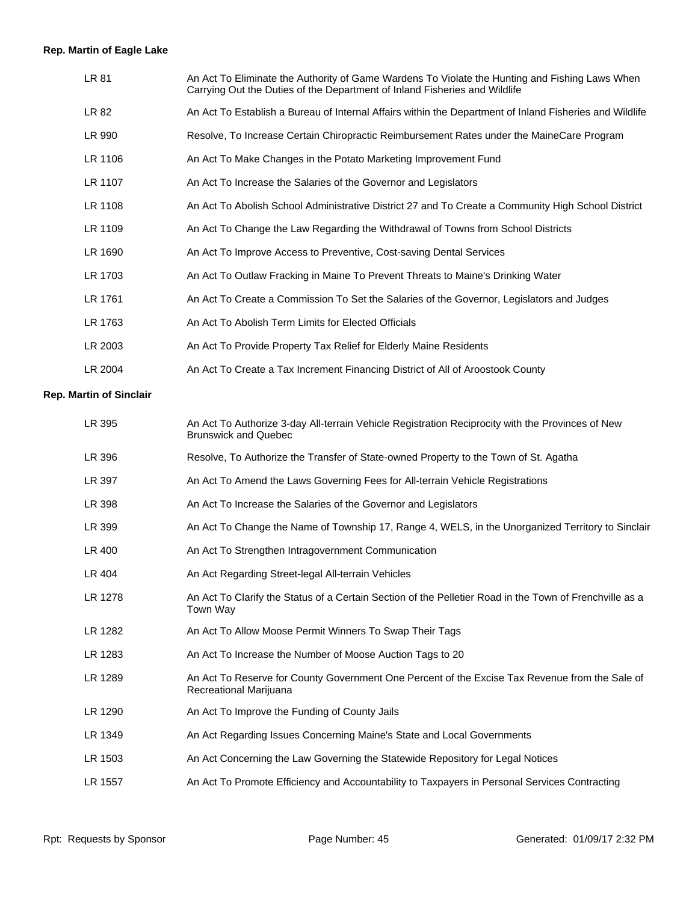# **Rep. Martin of Eagle Lake**

| LR 81   | An Act To Eliminate the Authority of Game Wardens To Violate the Hunting and Fishing Laws When<br>Carrying Out the Duties of the Department of Inland Fisheries and Wildlife |
|---------|------------------------------------------------------------------------------------------------------------------------------------------------------------------------------|
| LR 82   | An Act To Establish a Bureau of Internal Affairs within the Department of Inland Fisheries and Wildlife                                                                      |
| LR 990  | Resolve, To Increase Certain Chiropractic Reimbursement Rates under the MaineCare Program                                                                                    |
| LR 1106 | An Act To Make Changes in the Potato Marketing Improvement Fund                                                                                                              |
| LR 1107 | An Act To Increase the Salaries of the Governor and Legislators                                                                                                              |
| LR 1108 | An Act To Abolish School Administrative District 27 and To Create a Community High School District                                                                           |
| LR 1109 | An Act To Change the Law Regarding the Withdrawal of Towns from School Districts                                                                                             |
| LR 1690 | An Act To Improve Access to Preventive, Cost-saving Dental Services                                                                                                          |
| LR 1703 | An Act To Outlaw Fracking in Maine To Prevent Threats to Maine's Drinking Water                                                                                              |
| LR 1761 | An Act To Create a Commission To Set the Salaries of the Governor, Legislators and Judges                                                                                    |
| LR 1763 | An Act To Abolish Term Limits for Elected Officials                                                                                                                          |
| LR 2003 | An Act To Provide Property Tax Relief for Elderly Maine Residents                                                                                                            |
| LR 2004 | An Act To Create a Tax Increment Financing District of All of Aroostook County                                                                                               |
|         |                                                                                                                                                                              |

# **Rep. Martin of Sinclair**

| An Act To Authorize 3-day All-terrain Vehicle Registration Reciprocity with the Provinces of New<br><b>Brunswick and Quebec</b> |
|---------------------------------------------------------------------------------------------------------------------------------|
| Resolve, To Authorize the Transfer of State-owned Property to the Town of St. Agatha                                            |
| An Act To Amend the Laws Governing Fees for All-terrain Vehicle Registrations                                                   |
| An Act To Increase the Salaries of the Governor and Legislators                                                                 |
| An Act To Change the Name of Township 17, Range 4, WELS, in the Unorganized Territory to Sinclair                               |
| An Act To Strengthen Intragovernment Communication                                                                              |
| An Act Regarding Street-legal All-terrain Vehicles                                                                              |
| An Act To Clarify the Status of a Certain Section of the Pelletier Road in the Town of Frenchville as a<br>Town Way             |
| An Act To Allow Moose Permit Winners To Swap Their Tags                                                                         |
| An Act To Increase the Number of Moose Auction Tags to 20                                                                       |
| An Act To Reserve for County Government One Percent of the Excise Tax Revenue from the Sale of<br>Recreational Marijuana        |
| An Act To Improve the Funding of County Jails                                                                                   |
| An Act Regarding Issues Concerning Maine's State and Local Governments                                                          |
| An Act Concerning the Law Governing the Statewide Repository for Legal Notices                                                  |
| An Act To Promote Efficiency and Accountability to Taxpayers in Personal Services Contracting                                   |
|                                                                                                                                 |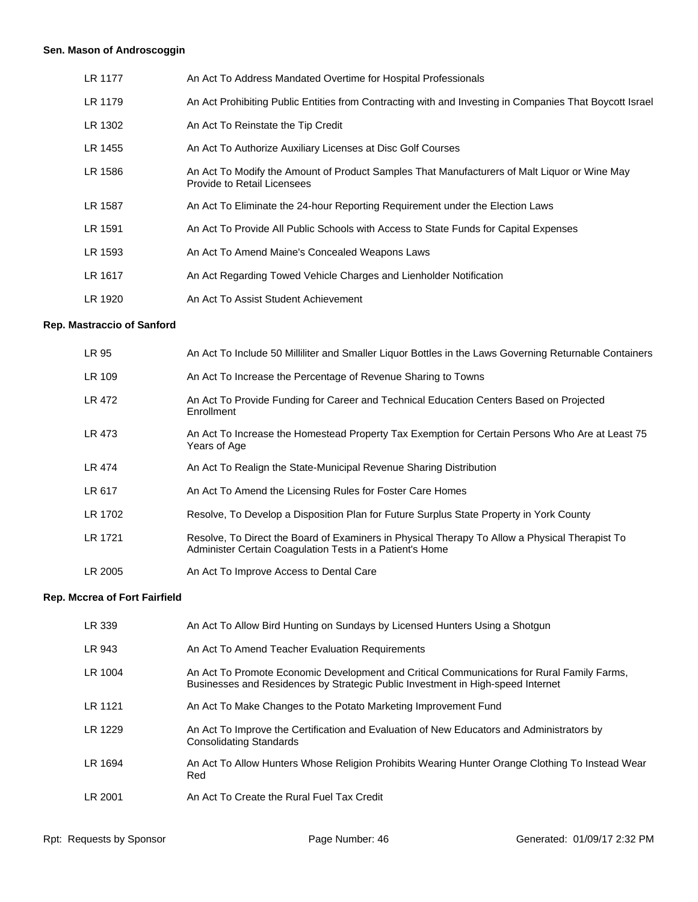# **Sen. Mason of Androscoggin**

| LR 1177 | An Act To Address Mandated Overtime for Hospital Professionals                                                              |
|---------|-----------------------------------------------------------------------------------------------------------------------------|
| LR 1179 | An Act Prohibiting Public Entities from Contracting with and Investing in Companies That Boycott Israel                     |
| LR 1302 | An Act To Reinstate the Tip Credit                                                                                          |
| LR 1455 | An Act To Authorize Auxiliary Licenses at Disc Golf Courses                                                                 |
| LR 1586 | An Act To Modify the Amount of Product Samples That Manufacturers of Malt Liquor or Wine May<br>Provide to Retail Licensees |
| LR 1587 | An Act To Eliminate the 24-hour Reporting Requirement under the Election Laws                                               |
| LR 1591 | An Act To Provide All Public Schools with Access to State Funds for Capital Expenses                                        |
| LR 1593 | An Act To Amend Maine's Concealed Weapons Laws                                                                              |
| LR 1617 | An Act Regarding Towed Vehicle Charges and Lienholder Notification                                                          |
| LR 1920 | An Act To Assist Student Achievement                                                                                        |

# **Rep. Mastraccio of Sanford**

| LR 95   | An Act To Include 50 Milliliter and Smaller Liquor Bottles in the Laws Governing Returnable Containers                                                     |
|---------|------------------------------------------------------------------------------------------------------------------------------------------------------------|
| LR 109  | An Act To Increase the Percentage of Revenue Sharing to Towns                                                                                              |
| LR 472  | An Act To Provide Funding for Career and Technical Education Centers Based on Projected<br>Enrollment                                                      |
| LR 473  | An Act To Increase the Homestead Property Tax Exemption for Certain Persons Who Are at Least 75<br>Years of Age                                            |
| LR 474  | An Act To Realign the State-Municipal Revenue Sharing Distribution                                                                                         |
| LR 617  | An Act To Amend the Licensing Rules for Foster Care Homes                                                                                                  |
| LR 1702 | Resolve, To Develop a Disposition Plan for Future Surplus State Property in York County                                                                    |
| LR 1721 | Resolve, To Direct the Board of Examiners in Physical Therapy To Allow a Physical Therapist To<br>Administer Certain Coagulation Tests in a Patient's Home |
| LR 2005 | An Act To Improve Access to Dental Care                                                                                                                    |

# **Rep. Mccrea of Fort Fairfield**

| LR 339  | An Act To Allow Bird Hunting on Sundays by Licensed Hunters Using a Shotgun                                                                                                   |
|---------|-------------------------------------------------------------------------------------------------------------------------------------------------------------------------------|
| LR 943  | An Act To Amend Teacher Evaluation Requirements                                                                                                                               |
| LR 1004 | An Act To Promote Economic Development and Critical Communications for Rural Family Farms,<br>Businesses and Residences by Strategic Public Investment in High-speed Internet |
| LR 1121 | An Act To Make Changes to the Potato Marketing Improvement Fund                                                                                                               |
| LR 1229 | An Act To Improve the Certification and Evaluation of New Educators and Administrators by<br>Consolidating Standards                                                          |
| LR 1694 | An Act To Allow Hunters Whose Religion Prohibits Wearing Hunter Orange Clothing To Instead Wear<br>Red                                                                        |
| LR 2001 | An Act To Create the Rural Fuel Tax Credit                                                                                                                                    |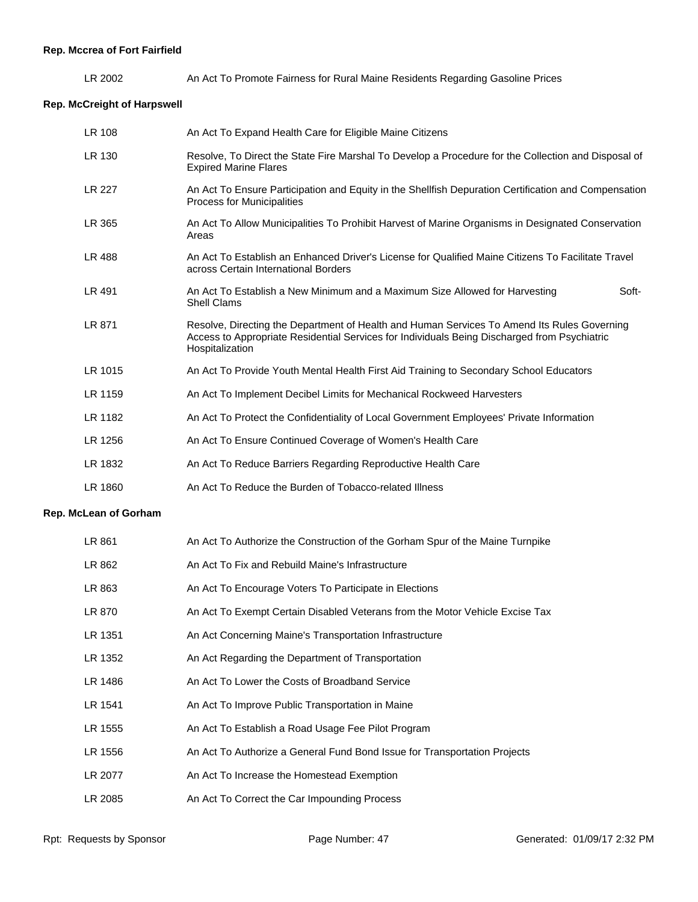LR 2002 An Act To Promote Fairness for Rural Maine Residents Regarding Gasoline Prices

# **Rep. McCreight of Harpswell**

| LR 108  | An Act To Expand Health Care for Eligible Maine Citizens                                                                                                                                                       |
|---------|----------------------------------------------------------------------------------------------------------------------------------------------------------------------------------------------------------------|
| LR 130  | Resolve, To Direct the State Fire Marshal To Develop a Procedure for the Collection and Disposal of<br><b>Expired Marine Flares</b>                                                                            |
| LR 227  | An Act To Ensure Participation and Equity in the Shellfish Depuration Certification and Compensation<br><b>Process for Municipalities</b>                                                                      |
| LR 365  | An Act To Allow Municipalities To Prohibit Harvest of Marine Organisms in Designated Conservation<br>Areas                                                                                                     |
| LR 488  | An Act To Establish an Enhanced Driver's License for Qualified Maine Citizens To Facilitate Travel<br>across Certain International Borders                                                                     |
| LR 491  | An Act To Establish a New Minimum and a Maximum Size Allowed for Harvesting<br>Soft-<br><b>Shell Clams</b>                                                                                                     |
| LR 871  | Resolve, Directing the Department of Health and Human Services To Amend Its Rules Governing<br>Access to Appropriate Residential Services for Individuals Being Discharged from Psychiatric<br>Hospitalization |
| LR 1015 | An Act To Provide Youth Mental Health First Aid Training to Secondary School Educators                                                                                                                         |
| LR 1159 | An Act To Implement Decibel Limits for Mechanical Rockweed Harvesters                                                                                                                                          |
| LR 1182 | An Act To Protect the Confidentiality of Local Government Employees' Private Information                                                                                                                       |
| LR 1256 | An Act To Ensure Continued Coverage of Women's Health Care                                                                                                                                                     |
| LR 1832 | An Act To Reduce Barriers Regarding Reproductive Health Care                                                                                                                                                   |
| LR 1860 | An Act To Reduce the Burden of Tobacco-related Illness                                                                                                                                                         |
|         |                                                                                                                                                                                                                |

# **Rep. McLean of Gorham**

| LR 861  | An Act To Authorize the Construction of the Gorham Spur of the Maine Turnpike |
|---------|-------------------------------------------------------------------------------|
| LR 862  | An Act To Fix and Rebuild Maine's Infrastructure                              |
| LR 863  | An Act To Encourage Voters To Participate in Elections                        |
| LR 870  | An Act To Exempt Certain Disabled Veterans from the Motor Vehicle Excise Tax  |
| LR 1351 | An Act Concerning Maine's Transportation Infrastructure                       |
| LR 1352 | An Act Regarding the Department of Transportation                             |
| LR 1486 | An Act To Lower the Costs of Broadband Service                                |
| LR 1541 | An Act To Improve Public Transportation in Maine                              |
| LR 1555 | An Act To Establish a Road Usage Fee Pilot Program                            |
| LR 1556 | An Act To Authorize a General Fund Bond Issue for Transportation Projects     |
| LR 2077 | An Act To Increase the Homestead Exemption                                    |
| LR 2085 | An Act To Correct the Car Impounding Process                                  |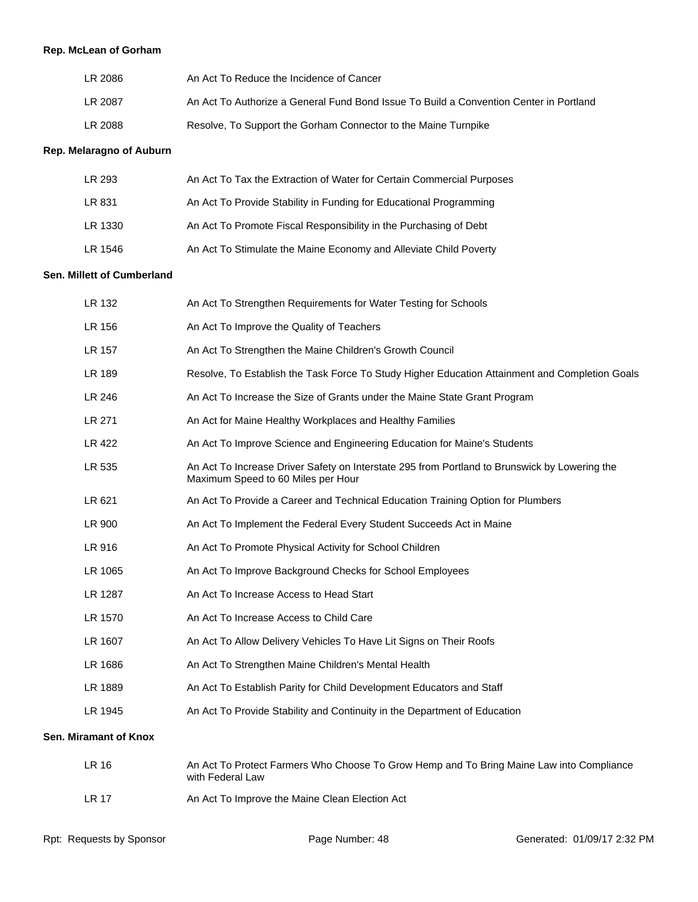# **Rep. McLean of Gorham**

| LR 2086 | An Act To Reduce the Incidence of Cancer                                               |
|---------|----------------------------------------------------------------------------------------|
| LR 2087 | An Act To Authorize a General Fund Bond Issue To Build a Convention Center in Portland |
| LR 2088 | Resolve, To Support the Gorham Connector to the Maine Turnpike                         |

#### **Rep. Melaragno of Auburn**

| LR 293  | An Act To Tax the Extraction of Water for Certain Commercial Purposes |
|---------|-----------------------------------------------------------------------|
| LR 831  | An Act To Provide Stability in Funding for Educational Programming    |
| LR 1330 | An Act To Promote Fiscal Responsibility in the Purchasing of Debt     |
| LR 1546 | An Act To Stimulate the Maine Economy and Alleviate Child Poverty     |

#### **Sen. Millett of Cumberland**

| LR 132                | An Act To Strengthen Requirements for Water Testing for Schools                                                                     |
|-----------------------|-------------------------------------------------------------------------------------------------------------------------------------|
| LR 156                | An Act To Improve the Quality of Teachers                                                                                           |
| LR 157                | An Act To Strengthen the Maine Children's Growth Council                                                                            |
| LR 189                | Resolve, To Establish the Task Force To Study Higher Education Attainment and Completion Goals                                      |
| LR 246                | An Act To Increase the Size of Grants under the Maine State Grant Program                                                           |
| LR 271                | An Act for Maine Healthy Workplaces and Healthy Families                                                                            |
| <b>LR 422</b>         | An Act To Improve Science and Engineering Education for Maine's Students                                                            |
| LR 535                | An Act To Increase Driver Safety on Interstate 295 from Portland to Brunswick by Lowering the<br>Maximum Speed to 60 Miles per Hour |
| LR 621                | An Act To Provide a Career and Technical Education Training Option for Plumbers                                                     |
| LR 900                | An Act To Implement the Federal Every Student Succeeds Act in Maine                                                                 |
| LR 916                | An Act To Promote Physical Activity for School Children                                                                             |
| LR 1065               | An Act To Improve Background Checks for School Employees                                                                            |
| LR 1287               | An Act To Increase Access to Head Start                                                                                             |
| LR 1570               | An Act To Increase Access to Child Care                                                                                             |
| LR 1607               | An Act To Allow Delivery Vehicles To Have Lit Signs on Their Roofs                                                                  |
| LR 1686               | An Act To Strengthen Maine Children's Mental Health                                                                                 |
| LR 1889               | An Act To Establish Parity for Child Development Educators and Staff                                                                |
| LR 1945               | An Act To Provide Stability and Continuity in the Department of Education                                                           |
| Sen. Miramant of Knox |                                                                                                                                     |
| <b>LR 16</b>          | An Act To Protect Farmers Who Choose To Grow Hemp and To Bring Maine Law into Compliance<br>with Federal Law                        |

LR 17 An Act To Improve the Maine Clean Election Act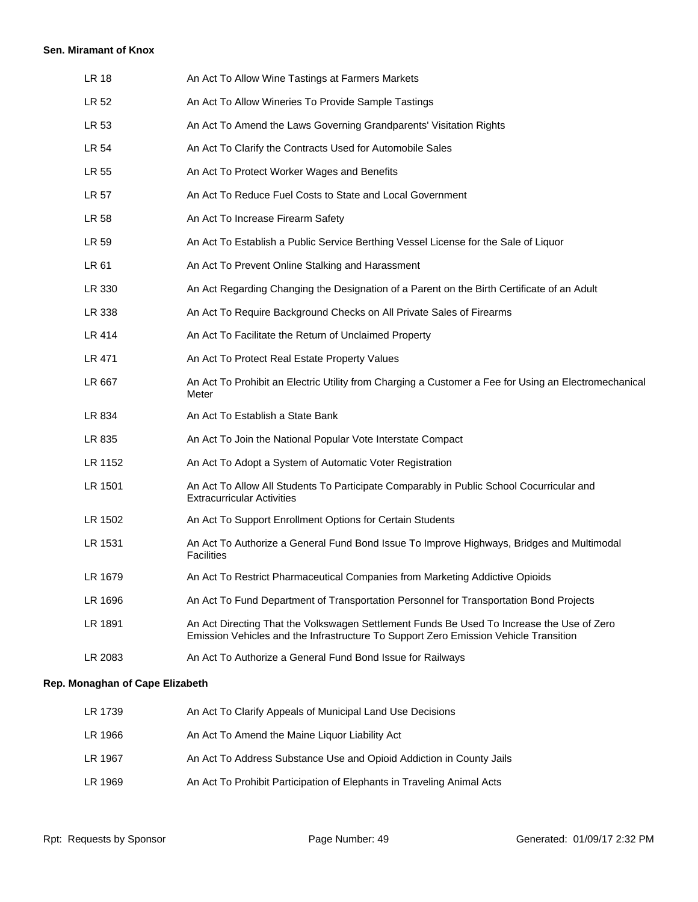#### **Sen. Miramant of Knox**

| <b>LR 18</b> | An Act To Allow Wine Tastings at Farmers Markets                                                                                                                                  |
|--------------|-----------------------------------------------------------------------------------------------------------------------------------------------------------------------------------|
| LR 52        | An Act To Allow Wineries To Provide Sample Tastings                                                                                                                               |
| LR 53        | An Act To Amend the Laws Governing Grandparents' Visitation Rights                                                                                                                |
| LR 54        | An Act To Clarify the Contracts Used for Automobile Sales                                                                                                                         |
| LR 55        | An Act To Protect Worker Wages and Benefits                                                                                                                                       |
| LR 57        | An Act To Reduce Fuel Costs to State and Local Government                                                                                                                         |
| LR 58        | An Act To Increase Firearm Safety                                                                                                                                                 |
| LR 59        | An Act To Establish a Public Service Berthing Vessel License for the Sale of Liquor                                                                                               |
| LR 61        | An Act To Prevent Online Stalking and Harassment                                                                                                                                  |
| LR 330       | An Act Regarding Changing the Designation of a Parent on the Birth Certificate of an Adult                                                                                        |
| LR 338       | An Act To Require Background Checks on All Private Sales of Firearms                                                                                                              |
| LR 414       | An Act To Facilitate the Return of Unclaimed Property                                                                                                                             |
| LR 471       | An Act To Protect Real Estate Property Values                                                                                                                                     |
| LR 667       | An Act To Prohibit an Electric Utility from Charging a Customer a Fee for Using an Electromechanical<br>Meter                                                                     |
| LR 834       | An Act To Establish a State Bank                                                                                                                                                  |
| LR 835       | An Act To Join the National Popular Vote Interstate Compact                                                                                                                       |
| LR 1152      | An Act To Adopt a System of Automatic Voter Registration                                                                                                                          |
| LR 1501      | An Act To Allow All Students To Participate Comparably in Public School Cocurricular and<br><b>Extracurricular Activities</b>                                                     |
| LR 1502      | An Act To Support Enrollment Options for Certain Students                                                                                                                         |
| LR 1531      | An Act To Authorize a General Fund Bond Issue To Improve Highways, Bridges and Multimodal<br><b>Facilities</b>                                                                    |
| LR 1679      | An Act To Restrict Pharmaceutical Companies from Marketing Addictive Opioids                                                                                                      |
| LR 1696      | An Act To Fund Department of Transportation Personnel for Transportation Bond Projects                                                                                            |
| LR 1891      | An Act Directing That the Volkswagen Settlement Funds Be Used To Increase the Use of Zero<br>Emission Vehicles and the Infrastructure To Support Zero Emission Vehicle Transition |
| LR 2083      | An Act To Authorize a General Fund Bond Issue for Railways                                                                                                                        |
|              |                                                                                                                                                                                   |

# **Rep. Monaghan of Cape Elizabeth**

| LR 1739 | An Act To Clarify Appeals of Municipal Land Use Decisions              |
|---------|------------------------------------------------------------------------|
| LR 1966 | An Act To Amend the Maine Liquor Liability Act                         |
| LR 1967 | An Act To Address Substance Use and Opioid Addiction in County Jails   |
| LR 1969 | An Act To Prohibit Participation of Elephants in Traveling Animal Acts |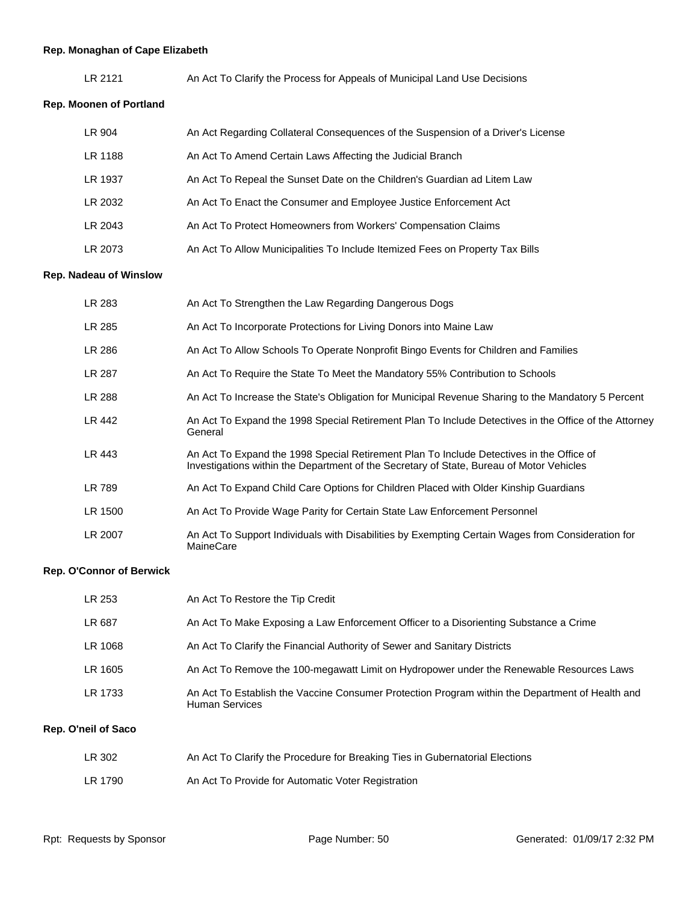# **Rep. Monaghan of Cape Elizabeth**

| LR 2121 | An Act To Clarify the Process for Appeals of Municipal Land Use Decisions |
|---------|---------------------------------------------------------------------------|
|---------|---------------------------------------------------------------------------|

# **Rep. Moonen of Portland**

| LR 904  | An Act Regarding Collateral Consequences of the Suspension of a Driver's License |
|---------|----------------------------------------------------------------------------------|
| LR 1188 | An Act To Amend Certain Laws Affecting the Judicial Branch                       |
| LR 1937 | An Act To Repeal the Sunset Date on the Children's Guardian ad Litem Law         |
| LR 2032 | An Act To Enact the Consumer and Employee Justice Enforcement Act                |
| LR 2043 | An Act To Protect Homeowners from Workers' Compensation Claims                   |
| LR 2073 | An Act To Allow Municipalities To Include Itemized Fees on Property Tax Bills    |

#### **Rep. Nadeau of Winslow**

| LR 283  | An Act To Strengthen the Law Regarding Dangerous Dogs                                                                                                                                |
|---------|--------------------------------------------------------------------------------------------------------------------------------------------------------------------------------------|
| LR 285  | An Act To Incorporate Protections for Living Donors into Maine Law                                                                                                                   |
| LR 286  | An Act To Allow Schools To Operate Nonprofit Bingo Events for Children and Families                                                                                                  |
| LR 287  | An Act To Require the State To Meet the Mandatory 55% Contribution to Schools                                                                                                        |
| LR 288  | An Act To Increase the State's Obligation for Municipal Revenue Sharing to the Mandatory 5 Percent                                                                                   |
| LR 442  | An Act To Expand the 1998 Special Retirement Plan To Include Detectives in the Office of the Attorney<br>General                                                                     |
| LR 443  | An Act To Expand the 1998 Special Retirement Plan To Include Detectives in the Office of<br>Investigations within the Department of the Secretary of State, Bureau of Motor Vehicles |
| LR 789  | An Act To Expand Child Care Options for Children Placed with Older Kinship Guardians                                                                                                 |
| LR 1500 | An Act To Provide Wage Parity for Certain State Law Enforcement Personnel                                                                                                            |
| LR 2007 | An Act To Support Individuals with Disabilities by Exempting Certain Wages from Consideration for<br>MaineCare                                                                       |

#### **Rep. O'Connor of Berwick**

| LR 253  | An Act To Restore the Tip Credit                                                                                         |
|---------|--------------------------------------------------------------------------------------------------------------------------|
| LR 687  | An Act To Make Exposing a Law Enforcement Officer to a Disorienting Substance a Crime                                    |
| LR 1068 | An Act To Clarify the Financial Authority of Sewer and Sanitary Districts                                                |
| LR 1605 | An Act To Remove the 100-megawatt Limit on Hydropower under the Renewable Resources Laws                                 |
| LR 1733 | An Act To Establish the Vaccine Consumer Protection Program within the Department of Health and<br><b>Human Services</b> |

# **Rep. O'neil of Saco**

| LR 302  | An Act To Clarify the Procedure for Breaking Ties in Gubernatorial Elections |
|---------|------------------------------------------------------------------------------|
| LR 1790 | An Act To Provide for Automatic Voter Registration                           |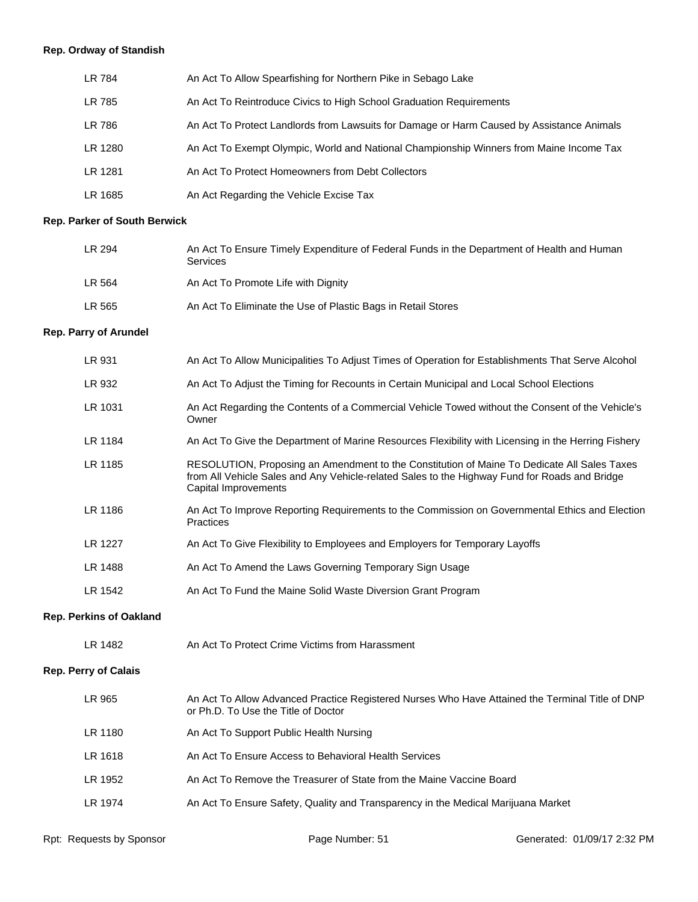# **Rep. Ordway of Standish**

| LR 784  | An Act To Allow Spearfishing for Northern Pike in Sebago Lake                             |
|---------|-------------------------------------------------------------------------------------------|
| LR 785  | An Act To Reintroduce Civics to High School Graduation Requirements                       |
| LR 786  | An Act To Protect Landlords from Lawsuits for Damage or Harm Caused by Assistance Animals |
| LR 1280 | An Act To Exempt Olympic, World and National Championship Winners from Maine Income Tax   |
| LR 1281 | An Act To Protect Homeowners from Debt Collectors                                         |
| LR 1685 | An Act Regarding the Vehicle Excise Tax                                                   |

# **Rep. Parker of South Berwick**

| LR 294 | An Act To Ensure Timely Expenditure of Federal Funds in the Department of Health and Human<br><b>Services</b> |
|--------|---------------------------------------------------------------------------------------------------------------|
| LR 564 | An Act To Promote Life with Dignity                                                                           |
| LR 565 | An Act To Eliminate the Use of Plastic Bags in Retail Stores                                                  |

# **Rep. Parry of Arundel**

| LR 931                         | An Act To Allow Municipalities To Adjust Times of Operation for Establishments That Serve Alcohol                                                                                                                    |  |
|--------------------------------|----------------------------------------------------------------------------------------------------------------------------------------------------------------------------------------------------------------------|--|
| LR 932                         | An Act To Adjust the Timing for Recounts in Certain Municipal and Local School Elections                                                                                                                             |  |
| LR 1031                        | An Act Regarding the Contents of a Commercial Vehicle Towed without the Consent of the Vehicle's<br>Owner                                                                                                            |  |
| LR 1184                        | An Act To Give the Department of Marine Resources Flexibility with Licensing in the Herring Fishery                                                                                                                  |  |
| LR 1185                        | RESOLUTION, Proposing an Amendment to the Constitution of Maine To Dedicate All Sales Taxes<br>from All Vehicle Sales and Any Vehicle-related Sales to the Highway Fund for Roads and Bridge<br>Capital Improvements |  |
| LR 1186                        | An Act To Improve Reporting Requirements to the Commission on Governmental Ethics and Election<br>Practices                                                                                                          |  |
| LR 1227                        | An Act To Give Flexibility to Employees and Employers for Temporary Layoffs                                                                                                                                          |  |
| LR 1488                        | An Act To Amend the Laws Governing Temporary Sign Usage                                                                                                                                                              |  |
| LR 1542                        | An Act To Fund the Maine Solid Waste Diversion Grant Program                                                                                                                                                         |  |
| <b>Rep. Perkins of Oakland</b> |                                                                                                                                                                                                                      |  |
| LR 1482                        | An Act To Protect Crime Victims from Harassment                                                                                                                                                                      |  |
| <b>Rep. Perry of Calais</b>    |                                                                                                                                                                                                                      |  |

| LR 965  | An Act To Allow Advanced Practice Registered Nurses Who Have Attained the Terminal Title of DNP<br>or Ph.D. To Use the Title of Doctor |
|---------|----------------------------------------------------------------------------------------------------------------------------------------|
| LR 1180 | An Act To Support Public Health Nursing                                                                                                |
| LR 1618 | An Act To Ensure Access to Behavioral Health Services                                                                                  |
| LR 1952 | An Act To Remove the Treasurer of State from the Maine Vaccine Board                                                                   |
| LR 1974 | An Act To Ensure Safety, Quality and Transparency in the Medical Marijuana Market                                                      |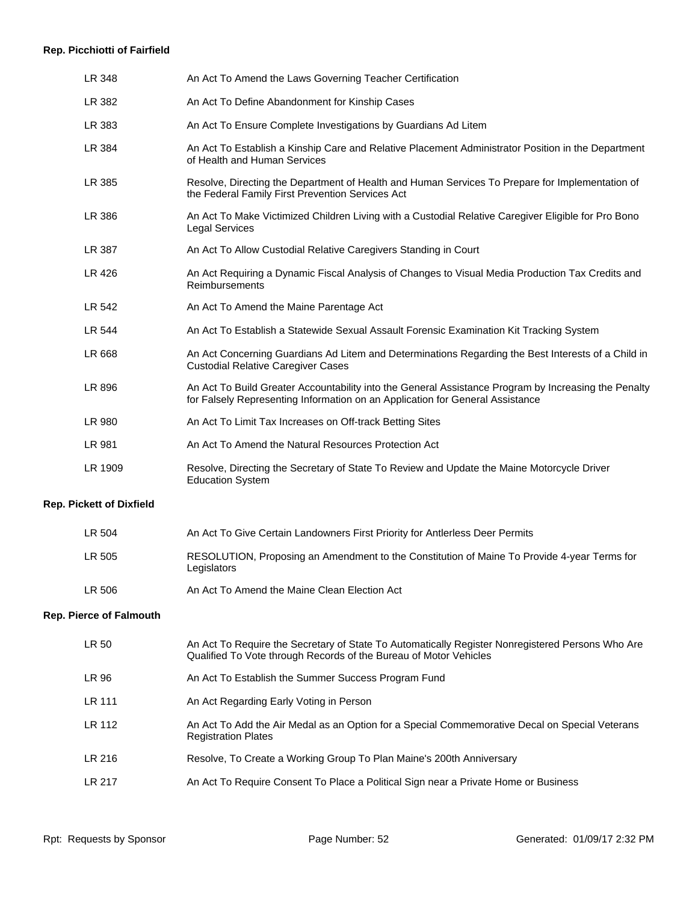#### **Rep. Picchiotti of Fairfield**

| LR 348                          | An Act To Amend the Laws Governing Teacher Certification                                                                                                                              |
|---------------------------------|---------------------------------------------------------------------------------------------------------------------------------------------------------------------------------------|
| LR 382                          | An Act To Define Abandonment for Kinship Cases                                                                                                                                        |
| LR 383                          | An Act To Ensure Complete Investigations by Guardians Ad Litem                                                                                                                        |
| LR 384                          | An Act To Establish a Kinship Care and Relative Placement Administrator Position in the Department<br>of Health and Human Services                                                    |
| LR 385                          | Resolve, Directing the Department of Health and Human Services To Prepare for Implementation of<br>the Federal Family First Prevention Services Act                                   |
| LR 386                          | An Act To Make Victimized Children Living with a Custodial Relative Caregiver Eligible for Pro Bono<br><b>Legal Services</b>                                                          |
| LR 387                          | An Act To Allow Custodial Relative Caregivers Standing in Court                                                                                                                       |
| LR 426                          | An Act Requiring a Dynamic Fiscal Analysis of Changes to Visual Media Production Tax Credits and<br>Reimbursements                                                                    |
| LR 542                          | An Act To Amend the Maine Parentage Act                                                                                                                                               |
| LR 544                          | An Act To Establish a Statewide Sexual Assault Forensic Examination Kit Tracking System                                                                                               |
| LR 668                          | An Act Concerning Guardians Ad Litem and Determinations Regarding the Best Interests of a Child in<br><b>Custodial Relative Caregiver Cases</b>                                       |
| LR 896                          | An Act To Build Greater Accountability into the General Assistance Program by Increasing the Penalty<br>for Falsely Representing Information on an Application for General Assistance |
| LR 980                          | An Act To Limit Tax Increases on Off-track Betting Sites                                                                                                                              |
| LR 981                          | An Act To Amend the Natural Resources Protection Act                                                                                                                                  |
| LR 1909                         | Resolve, Directing the Secretary of State To Review and Update the Maine Motorcycle Driver<br><b>Education System</b>                                                                 |
| <b>Rep. Pickett of Dixfield</b> |                                                                                                                                                                                       |
| LR 504                          | An Act To Give Certain Landowners First Priority for Antlerless Deer Permits                                                                                                          |
| LR 505                          | RESOLUTION, Proposing an Amendment to the Constitution of Maine To Provide 4-year Terms for<br>Legislators                                                                            |
| LR 506                          | An Act To Amend the Maine Clean Election Act                                                                                                                                          |
| <b>Rep. Pierce of Falmouth</b>  |                                                                                                                                                                                       |
| LR 50                           | An Act To Require the Secretary of State To Automatically Register Nonregistered Persons Who Are<br>Qualified To Vote through Records of the Bureau of Motor Vehicles                 |
| LR 96                           | An Act To Establish the Summer Success Program Fund                                                                                                                                   |

- LR 111 An Act Regarding Early Voting in Person
- LR 112 An Act To Add the Air Medal as an Option for a Special Commemorative Decal on Special Veterans Registration Plates
- LR 216 Resolve, To Create a Working Group To Plan Maine's 200th Anniversary
- LR 217 An Act To Require Consent To Place a Political Sign near a Private Home or Business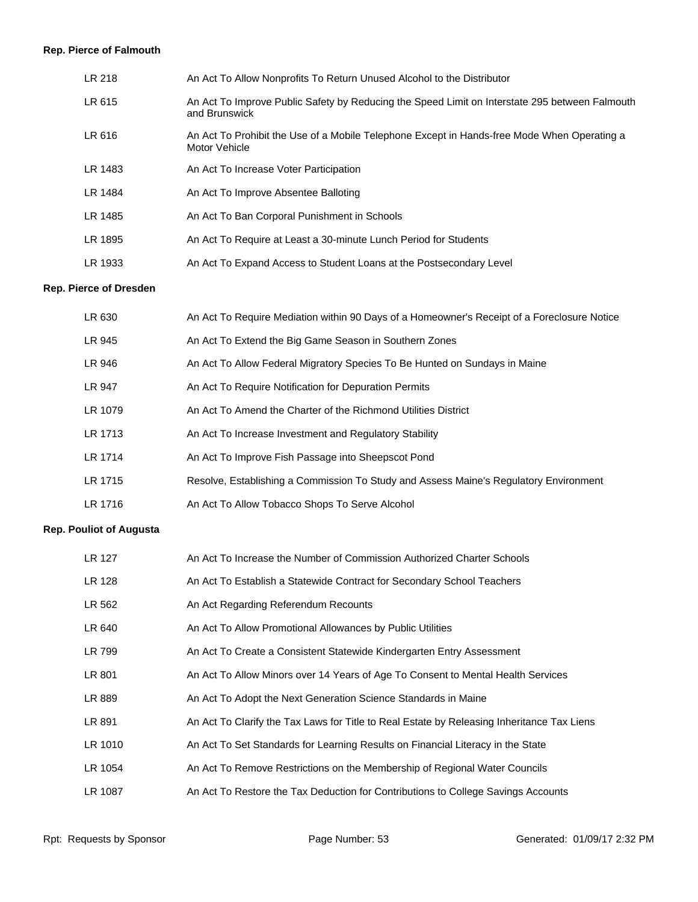# **Rep. Pierce of Falmouth**

| LR 218  | An Act To Allow Nonprofits To Return Unused Alcohol to the Distributor                                          |
|---------|-----------------------------------------------------------------------------------------------------------------|
| LR 615  | An Act To Improve Public Safety by Reducing the Speed Limit on Interstate 295 between Falmouth<br>and Brunswick |
| LR 616  | An Act To Prohibit the Use of a Mobile Telephone Except in Hands-free Mode When Operating a<br>Motor Vehicle    |
| LR 1483 | An Act To Increase Voter Participation                                                                          |
| LR 1484 | An Act To Improve Absentee Balloting                                                                            |
| LR 1485 | An Act To Ban Corporal Punishment in Schools                                                                    |
| LR 1895 | An Act To Require at Least a 30-minute Lunch Period for Students                                                |
| LR 1933 | An Act To Expand Access to Student Loans at the Postsecondary Level                                             |
|         |                                                                                                                 |

# **Rep. Pierce of Dresden**

| LR 630  | An Act To Require Mediation within 90 Days of a Homeowner's Receipt of a Foreclosure Notice |
|---------|---------------------------------------------------------------------------------------------|
| LR 945  | An Act To Extend the Big Game Season in Southern Zones                                      |
| LR 946  | An Act To Allow Federal Migratory Species To Be Hunted on Sundays in Maine                  |
| LR 947  | An Act To Require Notification for Depuration Permits                                       |
| LR 1079 | An Act To Amend the Charter of the Richmond Utilities District                              |
| LR 1713 | An Act To Increase Investment and Regulatory Stability                                      |
| LR 1714 | An Act To Improve Fish Passage into Sheepscot Pond                                          |
| LR 1715 | Resolve, Establishing a Commission To Study and Assess Maine's Regulatory Environment       |
| LR 1716 | An Act To Allow Tobacco Shops To Serve Alcohol                                              |

# **Rep. Pouliot of Augusta**

| LR 127  | An Act To Increase the Number of Commission Authorized Charter Schools                     |
|---------|--------------------------------------------------------------------------------------------|
| LR 128  | An Act To Establish a Statewide Contract for Secondary School Teachers                     |
| LR 562  | An Act Regarding Referendum Recounts                                                       |
| LR 640  | An Act To Allow Promotional Allowances by Public Utilities                                 |
| LR 799  | An Act To Create a Consistent Statewide Kindergarten Entry Assessment                      |
| LR 801  | An Act To Allow Minors over 14 Years of Age To Consent to Mental Health Services           |
| LR 889  | An Act To Adopt the Next Generation Science Standards in Maine                             |
| LR 891  | An Act To Clarify the Tax Laws for Title to Real Estate by Releasing Inheritance Tax Liens |
| LR 1010 | An Act To Set Standards for Learning Results on Financial Literacy in the State            |
| LR 1054 | An Act To Remove Restrictions on the Membership of Regional Water Councils                 |
| LR 1087 | An Act To Restore the Tax Deduction for Contributions to College Savings Accounts          |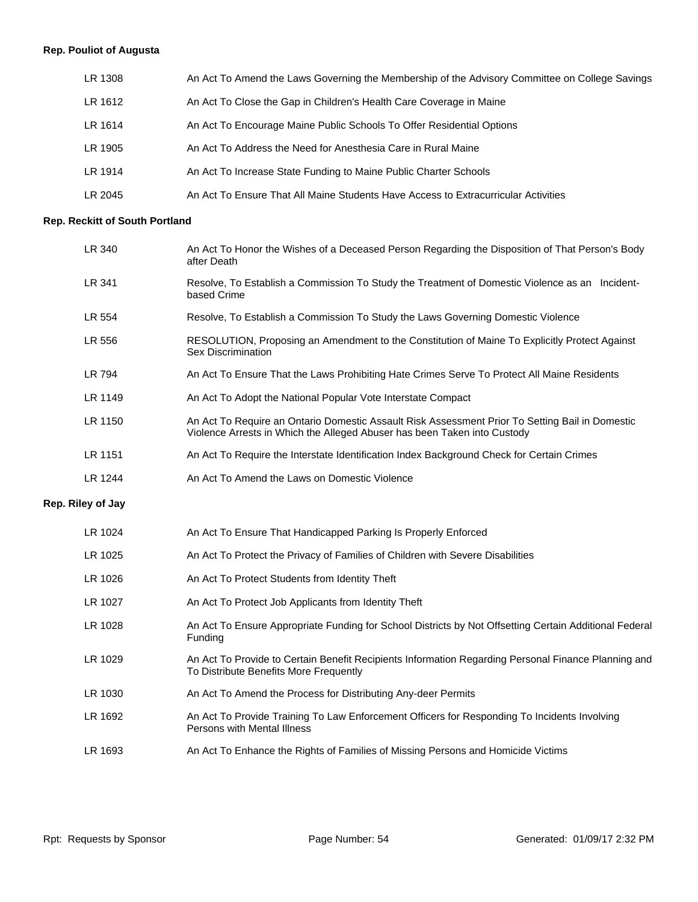# **Rep. Pouliot of Augusta**

| LR 1308 | An Act To Amend the Laws Governing the Membership of the Advisory Committee on College Savings |
|---------|------------------------------------------------------------------------------------------------|
| LR 1612 | An Act To Close the Gap in Children's Health Care Coverage in Maine                            |
| LR 1614 | An Act To Encourage Maine Public Schools To Offer Residential Options                          |
| LR 1905 | An Act To Address the Need for Anesthesia Care in Rural Maine                                  |
| LR 1914 | An Act To Increase State Funding to Maine Public Charter Schools                               |
| LR 2045 | An Act To Ensure That All Maine Students Have Access to Extracurricular Activities             |

# **Rep. Reckitt of South Portland**

| LR 340            | An Act To Honor the Wishes of a Deceased Person Regarding the Disposition of That Person's Body<br>after Death                                                              |
|-------------------|-----------------------------------------------------------------------------------------------------------------------------------------------------------------------------|
| LR 341            | Resolve, To Establish a Commission To Study the Treatment of Domestic Violence as an Incident-<br>based Crime                                                               |
| LR 554            | Resolve, To Establish a Commission To Study the Laws Governing Domestic Violence                                                                                            |
| LR 556            | RESOLUTION, Proposing an Amendment to the Constitution of Maine To Explicitly Protect Against<br>Sex Discrimination                                                         |
| LR 794            | An Act To Ensure That the Laws Prohibiting Hate Crimes Serve To Protect All Maine Residents                                                                                 |
| LR 1149           | An Act To Adopt the National Popular Vote Interstate Compact                                                                                                                |
| LR 1150           | An Act To Require an Ontario Domestic Assault Risk Assessment Prior To Setting Bail in Domestic<br>Violence Arrests in Which the Alleged Abuser has been Taken into Custody |
| LR 1151           | An Act To Require the Interstate Identification Index Background Check for Certain Crimes                                                                                   |
| LR 1244           | An Act To Amend the Laws on Domestic Violence                                                                                                                               |
| Rep. Riley of Jay |                                                                                                                                                                             |
| LR 1024           | An Act To Ensure That Handicapped Parking Is Properly Enforced                                                                                                              |
| LR 1025           | An Act To Protect the Privacy of Families of Children with Severe Disabilities                                                                                              |
| LR 1026           | An Act To Protect Students from Identity Theft                                                                                                                              |
| LR 1027           | An Act To Protect Job Applicants from Identity Theft                                                                                                                        |
| LR 1028           | An Act To Ensure Appropriate Funding for School Districts by Not Offsetting Certain Additional Federal<br>Funding                                                           |
| LR 1029           | An Act To Provide to Certain Benefit Recipients Information Regarding Personal Finance Planning and<br>To Distribute Benefits More Frequently                               |
| LR 1030           | An Act To Amend the Process for Distributing Any-deer Permits                                                                                                               |
| LR 1692           | An Act To Provide Training To Law Enforcement Officers for Responding To Incidents Involving<br>Persons with Mental Illness                                                 |
| LR 1693           | An Act To Enhance the Rights of Families of Missing Persons and Homicide Victims                                                                                            |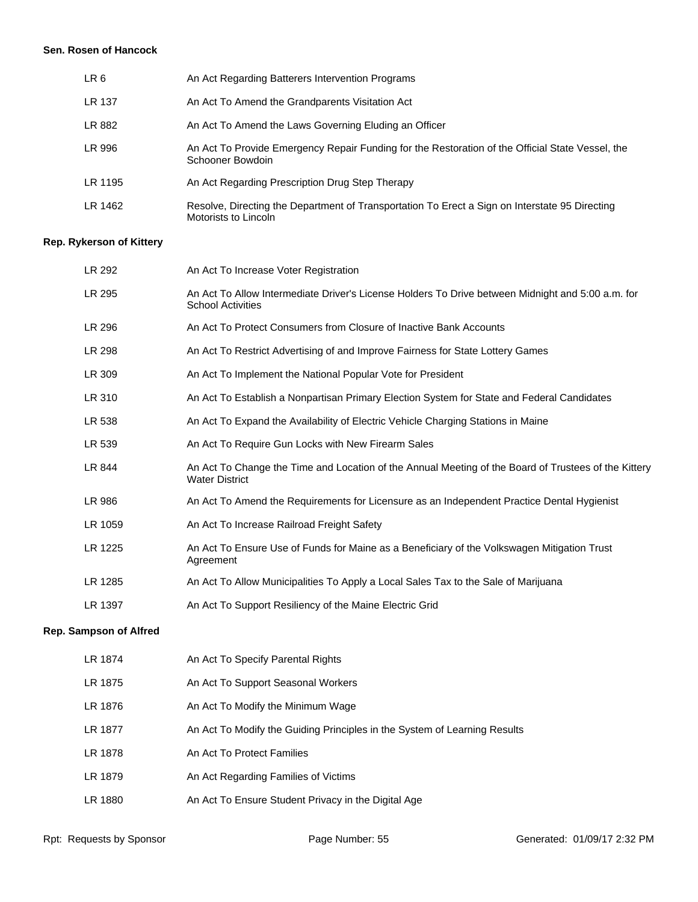#### **Sen. Rosen of Hancock**

| LR 6    | An Act Regarding Batterers Intervention Programs                                                                       |
|---------|------------------------------------------------------------------------------------------------------------------------|
| LR 137  | An Act To Amend the Grandparents Visitation Act                                                                        |
| LR 882  | An Act To Amend the Laws Governing Eluding an Officer                                                                  |
| LR 996  | An Act To Provide Emergency Repair Funding for the Restoration of the Official State Vessel, the<br>Schooner Bowdoin   |
| LR 1195 | An Act Regarding Prescription Drug Step Therapy                                                                        |
| LR 1462 | Resolve, Directing the Department of Transportation To Erect a Sign on Interstate 95 Directing<br>Motorists to Lincoln |

# **Rep. Rykerson of Kittery**

| LR 292                        | An Act To Increase Voter Registration                                                                                         |
|-------------------------------|-------------------------------------------------------------------------------------------------------------------------------|
| LR 295                        | An Act To Allow Intermediate Driver's License Holders To Drive between Midnight and 5:00 a.m. for<br><b>School Activities</b> |
| LR 296                        | An Act To Protect Consumers from Closure of Inactive Bank Accounts                                                            |
| LR 298                        | An Act To Restrict Advertising of and Improve Fairness for State Lottery Games                                                |
| LR 309                        | An Act To Implement the National Popular Vote for President                                                                   |
| LR 310                        | An Act To Establish a Nonpartisan Primary Election System for State and Federal Candidates                                    |
| LR 538                        | An Act To Expand the Availability of Electric Vehicle Charging Stations in Maine                                              |
| LR 539                        | An Act To Require Gun Locks with New Firearm Sales                                                                            |
| LR 844                        | An Act To Change the Time and Location of the Annual Meeting of the Board of Trustees of the Kittery<br><b>Water District</b> |
| LR 986                        | An Act To Amend the Requirements for Licensure as an Independent Practice Dental Hygienist                                    |
| LR 1059                       | An Act To Increase Railroad Freight Safety                                                                                    |
| LR 1225                       | An Act To Ensure Use of Funds for Maine as a Beneficiary of the Volkswagen Mitigation Trust<br>Agreement                      |
| LR 1285                       | An Act To Allow Municipalities To Apply a Local Sales Tax to the Sale of Marijuana                                            |
| LR 1397                       | An Act To Support Resiliency of the Maine Electric Grid                                                                       |
| <b>Rep. Sampson of Alfred</b> |                                                                                                                               |
| LR 1874                       | An Act To Specify Parental Rights                                                                                             |
| LR 1875                       | An Act To Support Seasonal Workers                                                                                            |
| LR 1876                       | An Act To Modify the Minimum Wage                                                                                             |
| LR 1877                       | An Act To Modify the Guiding Principles in the System of Learning Results                                                     |
| LR 1878                       | An Act To Protect Families                                                                                                    |

LR 1880 An Act To Ensure Student Privacy in the Digital Age

LR 1879 An Act Regarding Families of Victims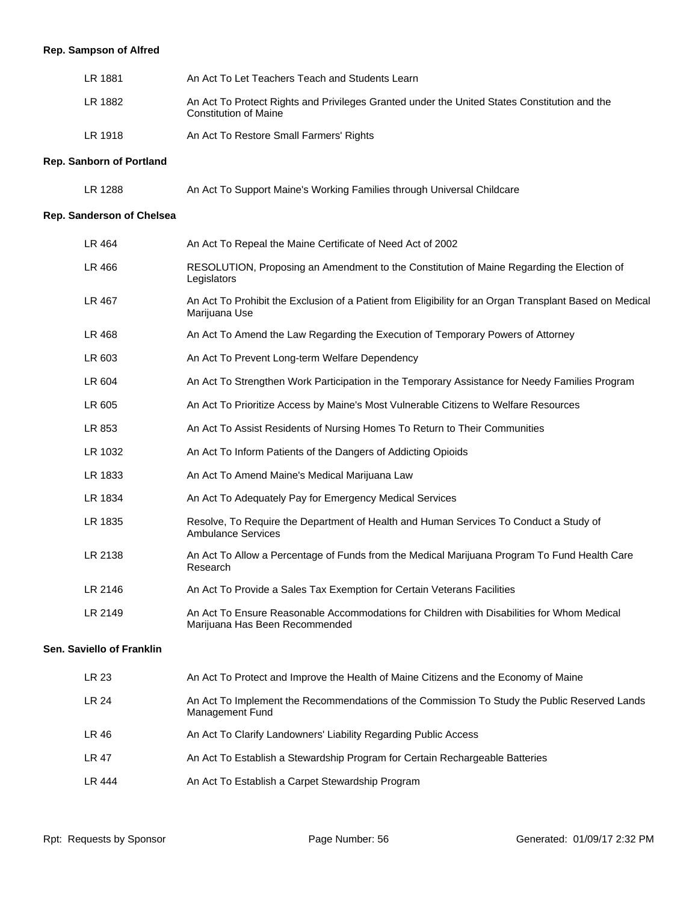# **Rep. Sampson of Alfred**

| LR 1881 | An Act To Let Teachers Teach and Students Learn                                                                              |
|---------|------------------------------------------------------------------------------------------------------------------------------|
| LR 1882 | An Act To Protect Rights and Privileges Granted under the United States Constitution and the<br><b>Constitution of Maine</b> |
| LR 1918 | An Act To Restore Small Farmers' Rights                                                                                      |

#### **Rep. Sanborn of Portland**

| LR 1288 | An Act To Support Maine's Working Families through Universal Childcare |  |  |  |
|---------|------------------------------------------------------------------------|--|--|--|
|---------|------------------------------------------------------------------------|--|--|--|

#### **Rep. Sanderson of Chelsea**

| An Act To Repeal the Maine Certificate of Need Act of 2002                                                                   |
|------------------------------------------------------------------------------------------------------------------------------|
| RESOLUTION, Proposing an Amendment to the Constitution of Maine Regarding the Election of<br>Legislators                     |
| An Act To Prohibit the Exclusion of a Patient from Eligibility for an Organ Transplant Based on Medical<br>Marijuana Use     |
| An Act To Amend the Law Regarding the Execution of Temporary Powers of Attorney                                              |
| An Act To Prevent Long-term Welfare Dependency                                                                               |
| An Act To Strengthen Work Participation in the Temporary Assistance for Needy Families Program                               |
| An Act To Prioritize Access by Maine's Most Vulnerable Citizens to Welfare Resources                                         |
| An Act To Assist Residents of Nursing Homes To Return to Their Communities                                                   |
| An Act To Inform Patients of the Dangers of Addicting Opioids                                                                |
| An Act To Amend Maine's Medical Marijuana Law                                                                                |
| An Act To Adequately Pay for Emergency Medical Services                                                                      |
| Resolve, To Require the Department of Health and Human Services To Conduct a Study of<br><b>Ambulance Services</b>           |
| An Act To Allow a Percentage of Funds from the Medical Marijuana Program To Fund Health Care<br>Research                     |
| An Act To Provide a Sales Tax Exemption for Certain Veterans Facilities                                                      |
| An Act To Ensure Reasonable Accommodations for Children with Disabilities for Whom Medical<br>Marijuana Has Been Recommended |
|                                                                                                                              |
| An Act To Protect and Improve the Health of Maine Citizens and the Economy of Maine                                          |
| An Act To Implement the Recommendations of the Commission To Study the Public Reserved Lands<br>Management Fund              |
| An Act To Clarify Landowners' Liability Regarding Public Access                                                              |
|                                                                                                                              |

- LR 47 An Act To Establish a Stewardship Program for Certain Rechargeable Batteries
- LR 444 An Act To Establish a Carpet Stewardship Program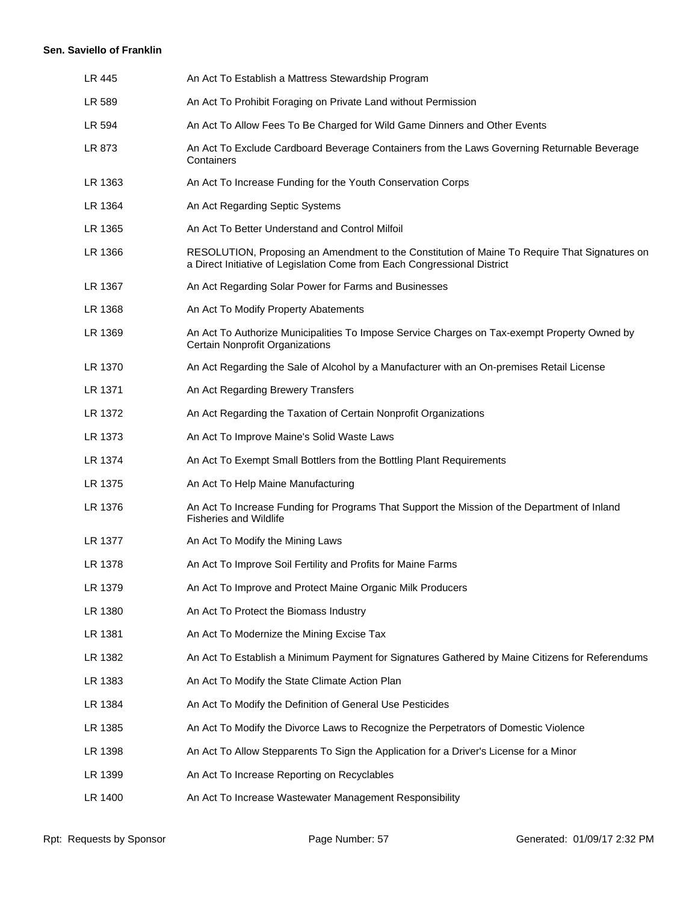#### **Sen. Saviello of Franklin**

| LR 445  | An Act To Establish a Mattress Stewardship Program                                                                                                                        |
|---------|---------------------------------------------------------------------------------------------------------------------------------------------------------------------------|
| LR 589  | An Act To Prohibit Foraging on Private Land without Permission                                                                                                            |
| LR 594  | An Act To Allow Fees To Be Charged for Wild Game Dinners and Other Events                                                                                                 |
| LR 873  | An Act To Exclude Cardboard Beverage Containers from the Laws Governing Returnable Beverage<br>Containers                                                                 |
| LR 1363 | An Act To Increase Funding for the Youth Conservation Corps                                                                                                               |
| LR 1364 | An Act Regarding Septic Systems                                                                                                                                           |
| LR 1365 | An Act To Better Understand and Control Milfoil                                                                                                                           |
| LR 1366 | RESOLUTION, Proposing an Amendment to the Constitution of Maine To Require That Signatures on<br>a Direct Initiative of Legislation Come from Each Congressional District |
| LR 1367 | An Act Regarding Solar Power for Farms and Businesses                                                                                                                     |
| LR 1368 | An Act To Modify Property Abatements                                                                                                                                      |
| LR 1369 | An Act To Authorize Municipalities To Impose Service Charges on Tax-exempt Property Owned by<br>Certain Nonprofit Organizations                                           |
| LR 1370 | An Act Regarding the Sale of Alcohol by a Manufacturer with an On-premises Retail License                                                                                 |
| LR 1371 | An Act Regarding Brewery Transfers                                                                                                                                        |
| LR 1372 | An Act Regarding the Taxation of Certain Nonprofit Organizations                                                                                                          |
| LR 1373 | An Act To Improve Maine's Solid Waste Laws                                                                                                                                |
| LR 1374 | An Act To Exempt Small Bottlers from the Bottling Plant Requirements                                                                                                      |
| LR 1375 | An Act To Help Maine Manufacturing                                                                                                                                        |
| LR 1376 | An Act To Increase Funding for Programs That Support the Mission of the Department of Inland<br><b>Fisheries and Wildlife</b>                                             |
| LR 1377 | An Act To Modify the Mining Laws                                                                                                                                          |
| LR 1378 | An Act To Improve Soil Fertility and Profits for Maine Farms                                                                                                              |
| LR 1379 | An Act To Improve and Protect Maine Organic Milk Producers                                                                                                                |
| LR 1380 | An Act To Protect the Biomass Industry                                                                                                                                    |
| LR 1381 | An Act To Modernize the Mining Excise Tax                                                                                                                                 |
| LR 1382 | An Act To Establish a Minimum Payment for Signatures Gathered by Maine Citizens for Referendums                                                                           |
| LR 1383 | An Act To Modify the State Climate Action Plan                                                                                                                            |
| LR 1384 | An Act To Modify the Definition of General Use Pesticides                                                                                                                 |
| LR 1385 | An Act To Modify the Divorce Laws to Recognize the Perpetrators of Domestic Violence                                                                                      |
| LR 1398 | An Act To Allow Stepparents To Sign the Application for a Driver's License for a Minor                                                                                    |
| LR 1399 | An Act To Increase Reporting on Recyclables                                                                                                                               |
| LR 1400 | An Act To Increase Wastewater Management Responsibility                                                                                                                   |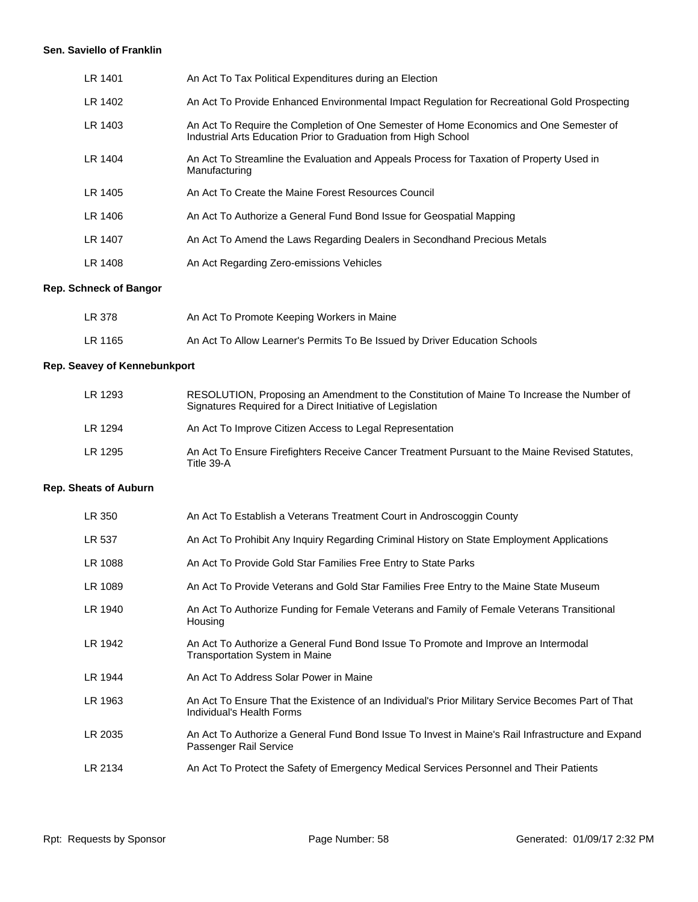#### **Sen. Saviello of Franklin**

| LR 1401 | An Act To Tax Political Expenditures during an Election                                                                                                  |
|---------|----------------------------------------------------------------------------------------------------------------------------------------------------------|
| LR 1402 | An Act To Provide Enhanced Environmental Impact Regulation for Recreational Gold Prospecting                                                             |
| LR 1403 | An Act To Require the Completion of One Semester of Home Economics and One Semester of<br>Industrial Arts Education Prior to Graduation from High School |
| LR 1404 | An Act To Streamline the Evaluation and Appeals Process for Taxation of Property Used in<br>Manufacturing                                                |
| LR 1405 | An Act To Create the Maine Forest Resources Council                                                                                                      |
| LR 1406 | An Act To Authorize a General Fund Bond Issue for Geospatial Mapping                                                                                     |
| LR 1407 | An Act To Amend the Laws Regarding Dealers in Secondhand Precious Metals                                                                                 |
| LR 1408 | An Act Regarding Zero-emissions Vehicles                                                                                                                 |
|         |                                                                                                                                                          |

# **Rep. Schneck of Bangor**

| LR 378  | An Act To Promote Keeping Workers in Maine                                 |
|---------|----------------------------------------------------------------------------|
| LR 1165 | An Act To Allow Learner's Permits To Be Issued by Driver Education Schools |

# **Rep. Seavey of Kennebunkport**

| LR 1293 | RESOLUTION, Proposing an Amendment to the Constitution of Maine To Increase the Number of<br>Signatures Required for a Direct Initiative of Legislation |
|---------|---------------------------------------------------------------------------------------------------------------------------------------------------------|
| LR 1294 | An Act To Improve Citizen Access to Legal Representation                                                                                                |
| LR 1295 | An Act To Ensure Firefighters Receive Cancer Treatment Pursuant to the Maine Revised Statutes.<br>Title 39-A                                            |

# **Rep. Sheats of Auburn**

| LR 350  | An Act To Establish a Veterans Treatment Court in Androscoggin County                                                           |
|---------|---------------------------------------------------------------------------------------------------------------------------------|
| LR 537  | An Act To Prohibit Any Inquiry Regarding Criminal History on State Employment Applications                                      |
| LR 1088 | An Act To Provide Gold Star Families Free Entry to State Parks                                                                  |
| LR 1089 | An Act To Provide Veterans and Gold Star Families Free Entry to the Maine State Museum                                          |
| LR 1940 | An Act To Authorize Funding for Female Veterans and Family of Female Veterans Transitional<br>Housing                           |
| LR 1942 | An Act To Authorize a General Fund Bond Issue To Promote and Improve an Intermodal<br>Transportation System in Maine            |
| LR 1944 | An Act To Address Solar Power in Maine                                                                                          |
| LR 1963 | An Act To Ensure That the Existence of an Individual's Prior Military Service Becomes Part of That<br>Individual's Health Forms |
| LR 2035 | An Act To Authorize a General Fund Bond Issue To Invest in Maine's Rail Infrastructure and Expand<br>Passenger Rail Service     |
| LR 2134 | An Act To Protect the Safety of Emergency Medical Services Personnel and Their Patients                                         |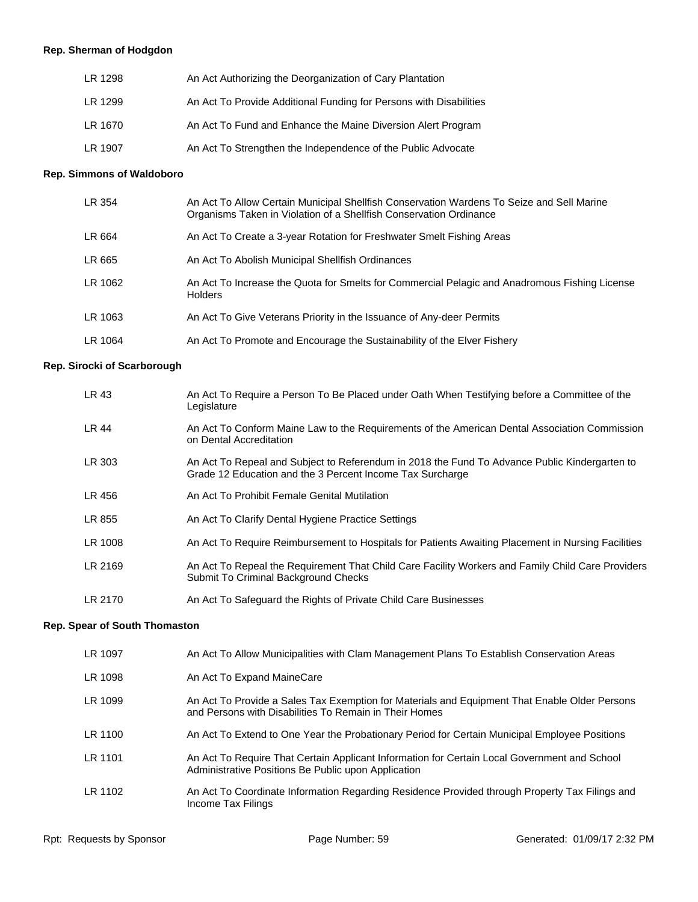# **Rep. Sherman of Hodgdon**

| LR 1298 | An Act Authorizing the Deorganization of Cary Plantation           |
|---------|--------------------------------------------------------------------|
| LR 1299 | An Act To Provide Additional Funding for Persons with Disabilities |
| LR 1670 | An Act To Fund and Enhance the Maine Diversion Alert Program       |
| LR 1907 | An Act To Strengthen the Independence of the Public Advocate       |

# **Rep. Simmons of Waldoboro**

| LR 354  | An Act To Allow Certain Municipal Shellfish Conservation Wardens To Seize and Sell Marine<br>Organisms Taken in Violation of a Shellfish Conservation Ordinance |
|---------|-----------------------------------------------------------------------------------------------------------------------------------------------------------------|
| LR 664  | An Act To Create a 3-year Rotation for Freshwater Smelt Fishing Areas                                                                                           |
| LR 665  | An Act To Abolish Municipal Shellfish Ordinances                                                                                                                |
| LR 1062 | An Act To Increase the Quota for Smelts for Commercial Pelagic and Anadromous Fishing License<br><b>Holders</b>                                                 |
| LR 1063 | An Act To Give Veterans Priority in the Issuance of Any-deer Permits                                                                                            |
| LR 1064 | An Act To Promote and Encourage the Sustainability of the Elver Fishery                                                                                         |

# **Rep. Sirocki of Scarborough**

| LR 43        | An Act To Require a Person To Be Placed under Oath When Testifying before a Committee of the<br>Legislature                                                |
|--------------|------------------------------------------------------------------------------------------------------------------------------------------------------------|
| <b>LR 44</b> | An Act To Conform Maine Law to the Requirements of the American Dental Association Commission<br>on Dental Accreditation                                   |
| LR 303       | An Act To Repeal and Subject to Referendum in 2018 the Fund To Advance Public Kindergarten to<br>Grade 12 Education and the 3 Percent Income Tax Surcharge |
| LR 456       | An Act To Prohibit Female Genital Mutilation                                                                                                               |
| LR 855       | An Act To Clarify Dental Hygiene Practice Settings                                                                                                         |
| LR 1008      | An Act To Require Reimbursement to Hospitals for Patients Awaiting Placement in Nursing Facilities                                                         |
| LR 2169      | An Act To Repeal the Requirement That Child Care Facility Workers and Family Child Care Providers<br>Submit To Criminal Background Checks                  |
| LR 2170      | An Act To Safeguard the Rights of Private Child Care Businesses                                                                                            |

# **Rep. Spear of South Thomaston**

| LR 1097 | An Act To Allow Municipalities with Clam Management Plans To Establish Conservation Areas                                                               |
|---------|---------------------------------------------------------------------------------------------------------------------------------------------------------|
| LR 1098 | An Act To Expand MaineCare                                                                                                                              |
| LR 1099 | An Act To Provide a Sales Tax Exemption for Materials and Equipment That Enable Older Persons<br>and Persons with Disabilities To Remain in Their Homes |
| LR 1100 | An Act To Extend to One Year the Probationary Period for Certain Municipal Employee Positions                                                           |
| LR 1101 | An Act To Require That Certain Applicant Information for Certain Local Government and School<br>Administrative Positions Be Public upon Application     |
| LR 1102 | An Act To Coordinate Information Regarding Residence Provided through Property Tax Filings and<br>Income Tax Filings                                    |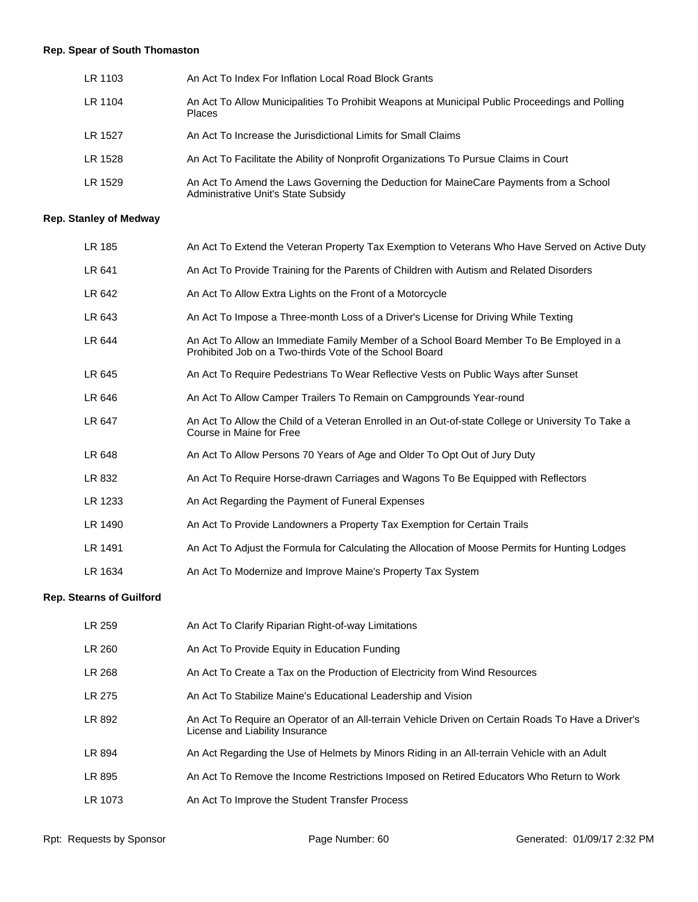# **Rep. Spear of South Thomaston**

| LR 1103 | An Act To Index For Inflation Local Road Block Grants                                                                        |
|---------|------------------------------------------------------------------------------------------------------------------------------|
| LR 1104 | An Act To Allow Municipalities To Prohibit Weapons at Municipal Public Proceedings and Polling<br><b>Places</b>              |
| LR 1527 | An Act To Increase the Jurisdictional Limits for Small Claims                                                                |
| LR 1528 | An Act To Facilitate the Ability of Nonprofit Organizations To Pursue Claims in Court                                        |
| LR 1529 | An Act To Amend the Laws Governing the Deduction for MaineCare Payments from a School<br>Administrative Unit's State Subsidy |

# **Rep. Stanley of Medway**

| LR 185  | An Act To Extend the Veteran Property Tax Exemption to Veterans Who Have Served on Active Duty                                                     |
|---------|----------------------------------------------------------------------------------------------------------------------------------------------------|
| LR 641  | An Act To Provide Training for the Parents of Children with Autism and Related Disorders                                                           |
| LR 642  | An Act To Allow Extra Lights on the Front of a Motorcycle                                                                                          |
| LR 643  | An Act To Impose a Three-month Loss of a Driver's License for Driving While Texting                                                                |
| LR 644  | An Act To Allow an Immediate Family Member of a School Board Member To Be Employed in a<br>Prohibited Job on a Two-thirds Vote of the School Board |
| LR 645  | An Act To Require Pedestrians To Wear Reflective Vests on Public Ways after Sunset                                                                 |
| LR 646  | An Act To Allow Camper Trailers To Remain on Campgrounds Year-round                                                                                |
| LR 647  | An Act To Allow the Child of a Veteran Enrolled in an Out-of-state College or University To Take a<br>Course in Maine for Free                     |
| LR 648  | An Act To Allow Persons 70 Years of Age and Older To Opt Out of Jury Duty                                                                          |
| LR 832  | An Act To Require Horse-drawn Carriages and Wagons To Be Equipped with Reflectors                                                                  |
| LR 1233 | An Act Regarding the Payment of Funeral Expenses                                                                                                   |
| LR 1490 | An Act To Provide Landowners a Property Tax Exemption for Certain Trails                                                                           |
| LR 1491 | An Act To Adjust the Formula for Calculating the Allocation of Moose Permits for Hunting Lodges                                                    |
| LR 1634 | An Act To Modernize and Improve Maine's Property Tax System                                                                                        |

# **Rep. Stearns of Guilford**

| LR 259  | An Act To Clarify Riparian Right-of-way Limitations                                                                                   |
|---------|---------------------------------------------------------------------------------------------------------------------------------------|
| LR 260  | An Act To Provide Equity in Education Funding                                                                                         |
| LR 268  | An Act To Create a Tax on the Production of Electricity from Wind Resources                                                           |
| LR 275  | An Act To Stabilize Maine's Educational Leadership and Vision                                                                         |
| LR 892  | An Act To Require an Operator of an All-terrain Vehicle Driven on Certain Roads To Have a Driver's<br>License and Liability Insurance |
| LR 894  | An Act Regarding the Use of Helmets by Minors Riding in an All-terrain Vehicle with an Adult                                          |
| LR 895  | An Act To Remove the Income Restrictions Imposed on Retired Educators Who Return to Work                                              |
| LR 1073 | An Act To Improve the Student Transfer Process                                                                                        |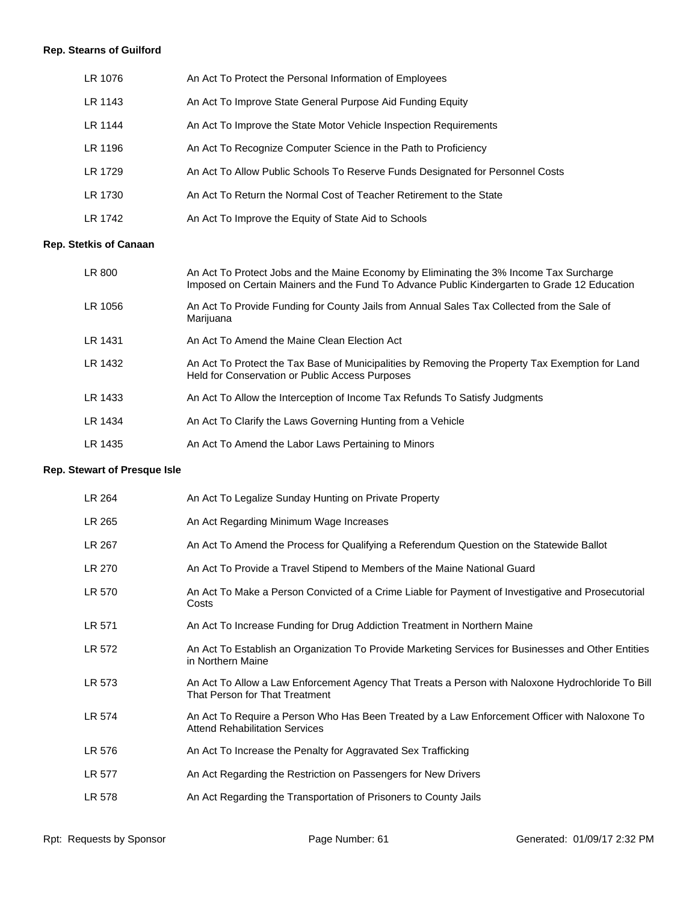# **Rep. Stearns of Guilford**

| LR 1076 | An Act To Protect the Personal Information of Employees                        |
|---------|--------------------------------------------------------------------------------|
| LR 1143 | An Act To Improve State General Purpose Aid Funding Equity                     |
| LR 1144 | An Act To Improve the State Motor Vehicle Inspection Requirements              |
| LR 1196 | An Act To Recognize Computer Science in the Path to Proficiency                |
| LR 1729 | An Act To Allow Public Schools To Reserve Funds Designated for Personnel Costs |
| LR 1730 | An Act To Return the Normal Cost of Teacher Retirement to the State            |
| LR 1742 | An Act To Improve the Equity of State Aid to Schools                           |

# **Rep. Stetkis of Canaan**

| LR 800  | An Act To Protect Jobs and the Maine Economy by Eliminating the 3% Income Tax Surcharge<br>Imposed on Certain Mainers and the Fund To Advance Public Kindergarten to Grade 12 Education |
|---------|-----------------------------------------------------------------------------------------------------------------------------------------------------------------------------------------|
| LR 1056 | An Act To Provide Funding for County Jails from Annual Sales Tax Collected from the Sale of<br>Marijuana                                                                                |
| LR 1431 | An Act To Amend the Maine Clean Election Act                                                                                                                                            |
| LR 1432 | An Act To Protect the Tax Base of Municipalities by Removing the Property Tax Exemption for Land<br>Held for Conservation or Public Access Purposes                                     |
| LR 1433 | An Act To Allow the Interception of Income Tax Refunds To Satisfy Judgments                                                                                                             |
| LR 1434 | An Act To Clarify the Laws Governing Hunting from a Vehicle                                                                                                                             |
| LR 1435 | An Act To Amend the Labor Laws Pertaining to Minors                                                                                                                                     |

# **Rep. Stewart of Presque Isle**

| An Act To Legalize Sunday Hunting on Private Property                                                                                  |
|----------------------------------------------------------------------------------------------------------------------------------------|
| An Act Regarding Minimum Wage Increases                                                                                                |
| An Act To Amend the Process for Qualifying a Referendum Question on the Statewide Ballot                                               |
| An Act To Provide a Travel Stipend to Members of the Maine National Guard                                                              |
| An Act To Make a Person Convicted of a Crime Liable for Payment of Investigative and Prosecutorial<br>Costs                            |
| An Act To Increase Funding for Drug Addiction Treatment in Northern Maine                                                              |
| An Act To Establish an Organization To Provide Marketing Services for Businesses and Other Entities<br>in Northern Maine               |
| An Act To Allow a Law Enforcement Agency That Treats a Person with Naloxone Hydrochloride To Bill<br>That Person for That Treatment    |
| An Act To Require a Person Who Has Been Treated by a Law Enforcement Officer with Naloxone To<br><b>Attend Rehabilitation Services</b> |
| An Act To Increase the Penalty for Aggravated Sex Trafficking                                                                          |
| An Act Regarding the Restriction on Passengers for New Drivers                                                                         |
| An Act Regarding the Transportation of Prisoners to County Jails                                                                       |
|                                                                                                                                        |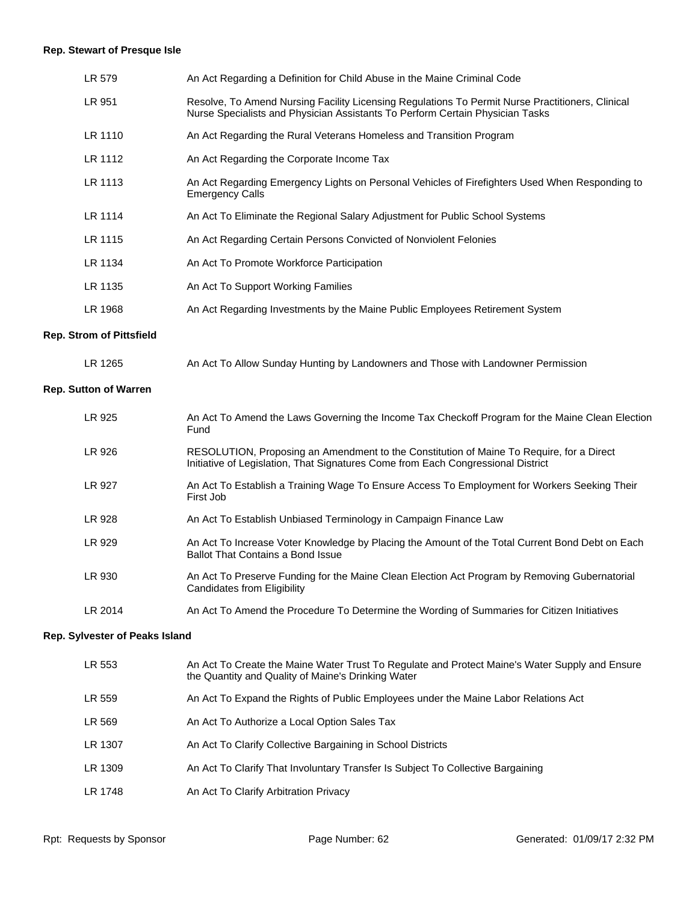# **Rep. Stewart of Presque Isle**

| LR 579  | An Act Regarding a Definition for Child Abuse in the Maine Criminal Code                                                                                                          |
|---------|-----------------------------------------------------------------------------------------------------------------------------------------------------------------------------------|
| LR 951  | Resolve, To Amend Nursing Facility Licensing Regulations To Permit Nurse Practitioners, Clinical<br>Nurse Specialists and Physician Assistants To Perform Certain Physician Tasks |
| LR 1110 | An Act Regarding the Rural Veterans Homeless and Transition Program                                                                                                               |
| LR 1112 | An Act Regarding the Corporate Income Tax                                                                                                                                         |
| LR 1113 | An Act Regarding Emergency Lights on Personal Vehicles of Firefighters Used When Responding to<br><b>Emergency Calls</b>                                                          |
| LR 1114 | An Act To Eliminate the Regional Salary Adjustment for Public School Systems                                                                                                      |
| LR 1115 | An Act Regarding Certain Persons Convicted of Nonviolent Felonies                                                                                                                 |
| LR 1134 | An Act To Promote Workforce Participation                                                                                                                                         |
| LR 1135 | An Act To Support Working Families                                                                                                                                                |
| LR 1968 | An Act Regarding Investments by the Maine Public Employees Retirement System                                                                                                      |
| .       |                                                                                                                                                                                   |

#### **Rep. Strom of Pittsfield**

| LR 1265 | An Act To Allow Sunday Hunting by Landowners and Those with Landowner Permission |
|---------|----------------------------------------------------------------------------------|
|---------|----------------------------------------------------------------------------------|

# **Rep. Sutton of Warren**

| LR 925        | An Act To Amend the Laws Governing the Income Tax Checkoff Program for the Maine Clean Election<br>Fund                                                                      |
|---------------|------------------------------------------------------------------------------------------------------------------------------------------------------------------------------|
| LR 926        | RESOLUTION, Proposing an Amendment to the Constitution of Maine To Require, for a Direct<br>Initiative of Legislation, That Signatures Come from Each Congressional District |
| <b>LR 927</b> | An Act To Establish a Training Wage To Ensure Access To Employment for Workers Seeking Their<br>First Job                                                                    |
| LR 928        | An Act To Establish Unbiased Terminology in Campaign Finance Law                                                                                                             |
| LR 929        | An Act To Increase Voter Knowledge by Placing the Amount of the Total Current Bond Debt on Each<br><b>Ballot That Contains a Bond Issue</b>                                  |
| LR 930        | An Act To Preserve Funding for the Maine Clean Election Act Program by Removing Gubernatorial<br>Candidates from Eligibility                                                 |
| LR 2014       | An Act To Amend the Procedure To Determine the Wording of Summaries for Citizen Initiatives                                                                                  |

#### **Rep. Sylvester of Peaks Island**

| LR 553  | An Act To Create the Maine Water Trust To Regulate and Protect Maine's Water Supply and Ensure<br>the Quantity and Quality of Maine's Drinking Water |
|---------|------------------------------------------------------------------------------------------------------------------------------------------------------|
| LR 559  | An Act To Expand the Rights of Public Employees under the Maine Labor Relations Act                                                                  |
| LR 569  | An Act To Authorize a Local Option Sales Tax                                                                                                         |
| LR 1307 | An Act To Clarify Collective Bargaining in School Districts                                                                                          |
| LR 1309 | An Act To Clarify That Involuntary Transfer Is Subject To Collective Bargaining                                                                      |
| LR 1748 | An Act To Clarify Arbitration Privacy                                                                                                                |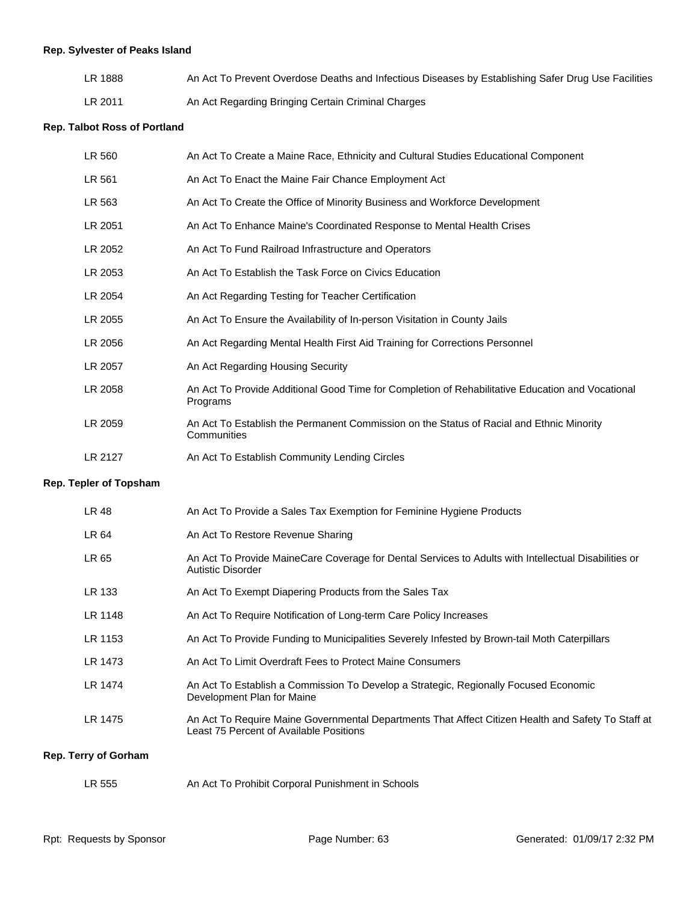# **Rep. Sylvester of Peaks Island**

| LR 1888 | An Act To Prevent Overdose Deaths and Infectious Diseases by Establishing Safer Drug Use Facilities |
|---------|-----------------------------------------------------------------------------------------------------|
| LR 2011 | An Act Regarding Bringing Certain Criminal Charges                                                  |

#### **Rep. Talbot Ross of Portland**

| LR 560  | An Act To Create a Maine Race, Ethnicity and Cultural Studies Educational Component                          |
|---------|--------------------------------------------------------------------------------------------------------------|
| LR 561  | An Act To Enact the Maine Fair Chance Employment Act                                                         |
| LR 563  | An Act To Create the Office of Minority Business and Workforce Development                                   |
| LR 2051 | An Act To Enhance Maine's Coordinated Response to Mental Health Crises                                       |
| LR 2052 | An Act To Fund Railroad Infrastructure and Operators                                                         |
| LR 2053 | An Act To Establish the Task Force on Civics Education                                                       |
| LR 2054 | An Act Regarding Testing for Teacher Certification                                                           |
| LR 2055 | An Act To Ensure the Availability of In-person Visitation in County Jails                                    |
| LR 2056 | An Act Regarding Mental Health First Aid Training for Corrections Personnel                                  |
| LR 2057 | An Act Regarding Housing Security                                                                            |
| LR 2058 | An Act To Provide Additional Good Time for Completion of Rehabilitative Education and Vocational<br>Programs |
| LR 2059 | An Act To Establish the Permanent Commission on the Status of Racial and Ethnic Minority<br>Communities      |
| LR 2127 | An Act To Establish Community Lending Circles                                                                |

# **Rep. Tepler of Topsham**

| LR 48   | An Act To Provide a Sales Tax Exemption for Feminine Hygiene Products                                                                         |
|---------|-----------------------------------------------------------------------------------------------------------------------------------------------|
| LR 64   | An Act To Restore Revenue Sharing                                                                                                             |
| LR 65   | An Act To Provide MaineCare Coverage for Dental Services to Adults with Intellectual Disabilities or<br>Autistic Disorder                     |
| LR 133  | An Act To Exempt Diapering Products from the Sales Tax                                                                                        |
| LR 1148 | An Act To Require Notification of Long-term Care Policy Increases                                                                             |
| LR 1153 | An Act To Provide Funding to Municipalities Severely Infested by Brown-tail Moth Caterpillars                                                 |
| LR 1473 | An Act To Limit Overdraft Fees to Protect Maine Consumers                                                                                     |
| LR 1474 | An Act To Establish a Commission To Develop a Strategic, Regionally Focused Economic<br>Development Plan for Maine                            |
| LR 1475 | An Act To Require Maine Governmental Departments That Affect Citizen Health and Safety To Staff at<br>Least 75 Percent of Available Positions |
|         |                                                                                                                                               |

# **Rep. Terry of Gorham**

| LR 555 | An Act To Prohibit Corporal Punishment in Schools |
|--------|---------------------------------------------------|
|--------|---------------------------------------------------|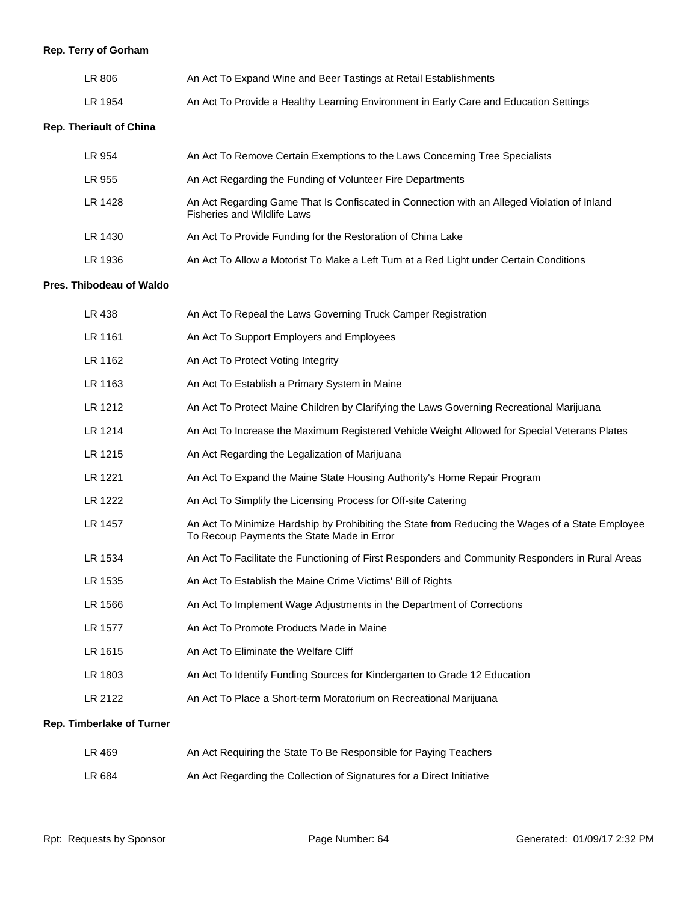# **Rep. Terry of Gorham**

| LR 806  | An Act To Expand Wine and Beer Tastings at Retail Establishments                      |
|---------|---------------------------------------------------------------------------------------|
| LR 1954 | An Act To Provide a Healthy Learning Environment in Early Care and Education Settings |

# **Rep. Theriault of China**

| LR 954  | An Act To Remove Certain Exemptions to the Laws Concerning Tree Specialists                                                       |
|---------|-----------------------------------------------------------------------------------------------------------------------------------|
| LR 955  | An Act Regarding the Funding of Volunteer Fire Departments                                                                        |
| LR 1428 | An Act Regarding Game That Is Confiscated in Connection with an Alleged Violation of Inland<br><b>Fisheries and Wildlife Laws</b> |
| LR 1430 | An Act To Provide Funding for the Restoration of China Lake                                                                       |
| LR 1936 | An Act To Allow a Motorist To Make a Left Turn at a Red Light under Certain Conditions                                            |

# **Pres. Thibodeau of Waldo**

| LR 438  | An Act To Repeal the Laws Governing Truck Camper Registration                                                                                  |
|---------|------------------------------------------------------------------------------------------------------------------------------------------------|
| LR 1161 | An Act To Support Employers and Employees                                                                                                      |
| LR 1162 | An Act To Protect Voting Integrity                                                                                                             |
| LR 1163 | An Act To Establish a Primary System in Maine                                                                                                  |
| LR 1212 | An Act To Protect Maine Children by Clarifying the Laws Governing Recreational Marijuana                                                       |
| LR 1214 | An Act To Increase the Maximum Registered Vehicle Weight Allowed for Special Veterans Plates                                                   |
| LR 1215 | An Act Regarding the Legalization of Marijuana                                                                                                 |
| LR 1221 | An Act To Expand the Maine State Housing Authority's Home Repair Program                                                                       |
| LR 1222 | An Act To Simplify the Licensing Process for Off-site Catering                                                                                 |
| LR 1457 | An Act To Minimize Hardship by Prohibiting the State from Reducing the Wages of a State Employee<br>To Recoup Payments the State Made in Error |
| LR 1534 | An Act To Facilitate the Functioning of First Responders and Community Responders in Rural Areas                                               |
| LR 1535 | An Act To Establish the Maine Crime Victims' Bill of Rights                                                                                    |
| LR 1566 | An Act To Implement Wage Adjustments in the Department of Corrections                                                                          |
| LR 1577 | An Act To Promote Products Made in Maine                                                                                                       |
| LR 1615 | An Act To Eliminate the Welfare Cliff                                                                                                          |
| LR 1803 | An Act To Identify Funding Sources for Kindergarten to Grade 12 Education                                                                      |
| LR 2122 | An Act To Place a Short-term Moratorium on Recreational Marijuana                                                                              |
|         |                                                                                                                                                |

# **Rep. Timberlake of Turner**

| LR 469 | An Act Requiring the State To Be Responsible for Paying Teachers      |
|--------|-----------------------------------------------------------------------|
| LR 684 | An Act Regarding the Collection of Signatures for a Direct Initiative |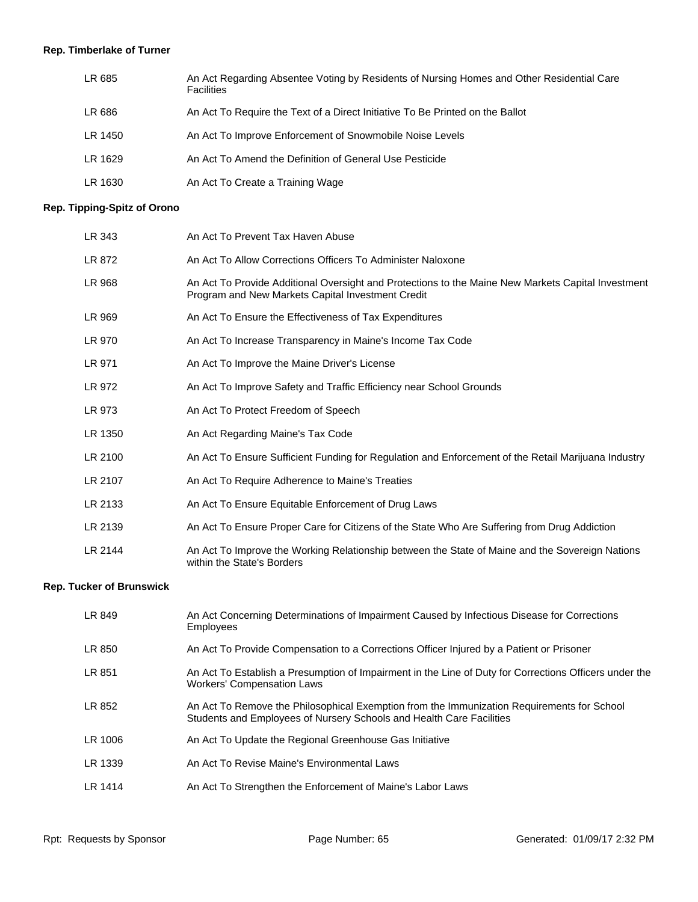# **Rep. Timberlake of Turner**

| LR 685  | An Act Regarding Absentee Voting by Residents of Nursing Homes and Other Residential Care<br><b>Facilities</b> |
|---------|----------------------------------------------------------------------------------------------------------------|
| LR 686  | An Act To Require the Text of a Direct Initiative To Be Printed on the Ballot                                  |
| LR 1450 | An Act To Improve Enforcement of Snowmobile Noise Levels                                                       |
| LR 1629 | An Act To Amend the Definition of General Use Pesticide                                                        |
| LR 1630 | An Act To Create a Training Wage                                                                               |

# **Rep. Tipping-Spitz of Orono**

| LR 343  | An Act To Prevent Tax Haven Abuse                                                                                                                       |
|---------|---------------------------------------------------------------------------------------------------------------------------------------------------------|
| LR 872  | An Act To Allow Corrections Officers To Administer Naloxone                                                                                             |
| LR 968  | An Act To Provide Additional Oversight and Protections to the Maine New Markets Capital Investment<br>Program and New Markets Capital Investment Credit |
| LR 969  | An Act To Ensure the Effectiveness of Tax Expenditures                                                                                                  |
| LR 970  | An Act To Increase Transparency in Maine's Income Tax Code                                                                                              |
| LR 971  | An Act To Improve the Maine Driver's License                                                                                                            |
| LR 972  | An Act To Improve Safety and Traffic Efficiency near School Grounds                                                                                     |
| LR 973  | An Act To Protect Freedom of Speech                                                                                                                     |
| LR 1350 | An Act Regarding Maine's Tax Code                                                                                                                       |
| LR 2100 | An Act To Ensure Sufficient Funding for Regulation and Enforcement of the Retail Marijuana Industry                                                     |
| LR 2107 | An Act To Require Adherence to Maine's Treaties                                                                                                         |
| LR 2133 | An Act To Ensure Equitable Enforcement of Drug Laws                                                                                                     |
| LR 2139 | An Act To Ensure Proper Care for Citizens of the State Who Are Suffering from Drug Addiction                                                            |
| LR 2144 | An Act To Improve the Working Relationship between the State of Maine and the Sovereign Nations<br>within the State's Borders                           |

# **Rep. Tucker of Brunswick**

| LR 849  | An Act Concerning Determinations of Impairment Caused by Infectious Disease for Corrections<br><b>Employees</b>                                                    |
|---------|--------------------------------------------------------------------------------------------------------------------------------------------------------------------|
| LR 850  | An Act To Provide Compensation to a Corrections Officer Injured by a Patient or Prisoner                                                                           |
| LR 851  | An Act To Establish a Presumption of Impairment in the Line of Duty for Corrections Officers under the<br><b>Workers' Compensation Laws</b>                        |
| LR 852  | An Act To Remove the Philosophical Exemption from the Immunization Requirements for School<br>Students and Employees of Nursery Schools and Health Care Facilities |
| LR 1006 | An Act To Update the Regional Greenhouse Gas Initiative                                                                                                            |
| LR 1339 | An Act To Revise Maine's Environmental Laws                                                                                                                        |
| LR 1414 | An Act To Strengthen the Enforcement of Maine's Labor Laws                                                                                                         |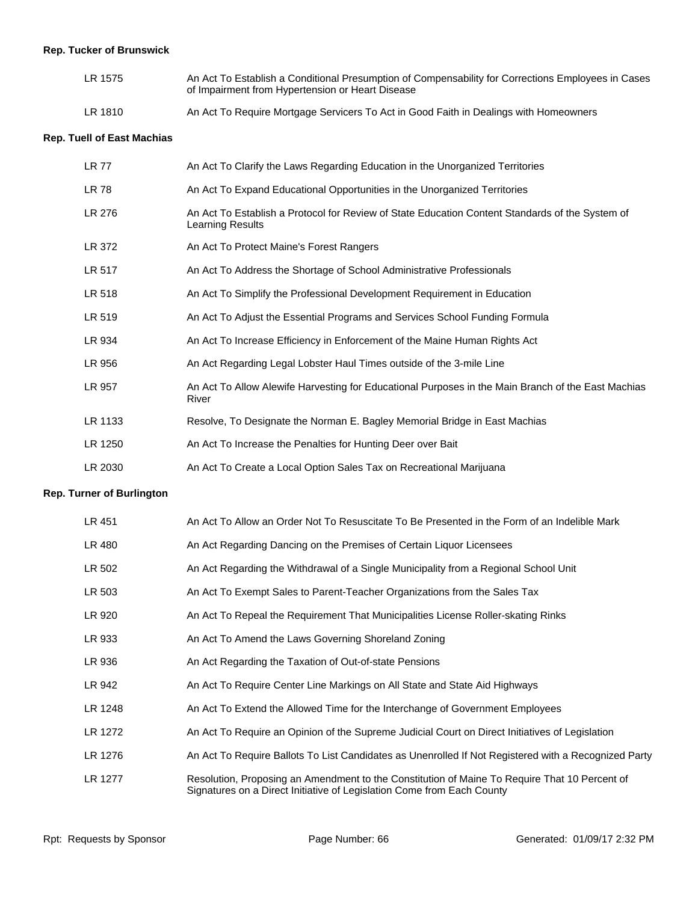# **Rep. Tucker of Brunswick**

| LR 1575 | An Act To Establish a Conditional Presumption of Compensability for Corrections Employees in Cases<br>of Impairment from Hypertension or Heart Disease |
|---------|--------------------------------------------------------------------------------------------------------------------------------------------------------|
| LR 1810 | An Act To Require Mortgage Servicers To Act in Good Faith in Dealings with Homeowners                                                                  |

#### **Rep. Tuell of East Machias**

| LR 77   | An Act To Clarify the Laws Regarding Education in the Unorganized Territories                                       |
|---------|---------------------------------------------------------------------------------------------------------------------|
| LR 78   | An Act To Expand Educational Opportunities in the Unorganized Territories                                           |
| LR 276  | An Act To Establish a Protocol for Review of State Education Content Standards of the System of<br>Learning Results |
| LR 372  | An Act To Protect Maine's Forest Rangers                                                                            |
| LR 517  | An Act To Address the Shortage of School Administrative Professionals                                               |
| LR 518  | An Act To Simplify the Professional Development Requirement in Education                                            |
| LR 519  | An Act To Adjust the Essential Programs and Services School Funding Formula                                         |
| LR 934  | An Act To Increase Efficiency in Enforcement of the Maine Human Rights Act                                          |
| LR 956  | An Act Regarding Legal Lobster Haul Times outside of the 3-mile Line                                                |
| LR 957  | An Act To Allow Alewife Harvesting for Educational Purposes in the Main Branch of the East Machias<br>River         |
| LR 1133 | Resolve, To Designate the Norman E. Bagley Memorial Bridge in East Machias                                          |
| LR 1250 | An Act To Increase the Penalties for Hunting Deer over Bait                                                         |
| LR 2030 | An Act To Create a Local Option Sales Tax on Recreational Marijuana                                                 |

#### **Rep. Turner of Burlington**

| LR 451  | An Act To Allow an Order Not To Resuscitate To Be Presented in the Form of an Indelible Mark                                                                            |
|---------|-------------------------------------------------------------------------------------------------------------------------------------------------------------------------|
| LR 480  | An Act Regarding Dancing on the Premises of Certain Liquor Licensees                                                                                                    |
| LR 502  | An Act Regarding the Withdrawal of a Single Municipality from a Regional School Unit                                                                                    |
| LR 503  | An Act To Exempt Sales to Parent-Teacher Organizations from the Sales Tax                                                                                               |
| LR 920  | An Act To Repeal the Requirement That Municipalities License Roller-skating Rinks                                                                                       |
| LR 933  | An Act To Amend the Laws Governing Shoreland Zoning                                                                                                                     |
| LR 936  | An Act Regarding the Taxation of Out-of-state Pensions                                                                                                                  |
| LR 942  | An Act To Reguire Center Line Markings on All State and State Aid Highways                                                                                              |
| LR 1248 | An Act To Extend the Allowed Time for the Interchange of Government Employees                                                                                           |
| LR 1272 | An Act To Require an Opinion of the Supreme Judicial Court on Direct Initiatives of Legislation                                                                         |
| LR 1276 | An Act To Require Ballots To List Candidates as Unenrolled If Not Registered with a Recognized Party                                                                    |
| LR 1277 | Resolution, Proposing an Amendment to the Constitution of Maine To Require That 10 Percent of<br>Signatures on a Direct Initiative of Legislation Come from Each County |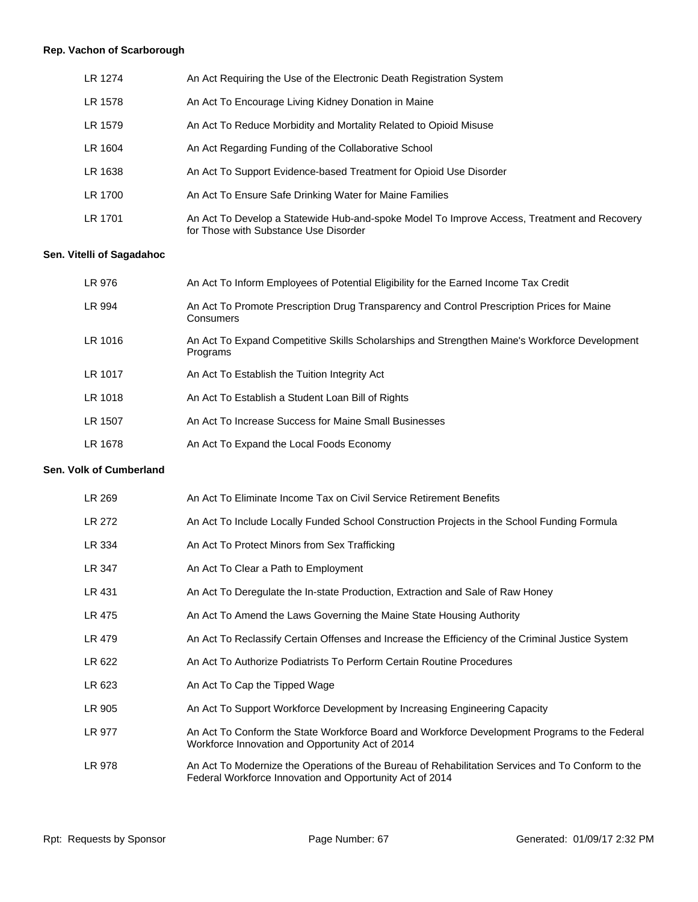# **Rep. Vachon of Scarborough**

| LR 1274 | An Act Requiring the Use of the Electronic Death Registration System                                                                 |
|---------|--------------------------------------------------------------------------------------------------------------------------------------|
| LR 1578 | An Act To Encourage Living Kidney Donation in Maine                                                                                  |
| LR 1579 | An Act To Reduce Morbidity and Mortality Related to Opioid Misuse                                                                    |
| LR 1604 | An Act Regarding Funding of the Collaborative School                                                                                 |
| LR 1638 | An Act To Support Evidence-based Treatment for Opioid Use Disorder                                                                   |
| LR 1700 | An Act To Ensure Safe Drinking Water for Maine Families                                                                              |
| LR 1701 | An Act To Develop a Statewide Hub-and-spoke Model To Improve Access, Treatment and Recovery<br>for Those with Substance Use Disorder |

# **Sen. Vitelli of Sagadahoc**

| LR 976  | An Act To Inform Employees of Potential Eligibility for the Earned Income Tax Credit                      |
|---------|-----------------------------------------------------------------------------------------------------------|
| LR 994  | An Act To Promote Prescription Drug Transparency and Control Prescription Prices for Maine<br>Consumers   |
| LR 1016 | An Act To Expand Competitive Skills Scholarships and Strengthen Maine's Workforce Development<br>Programs |
| LR 1017 | An Act To Establish the Tuition Integrity Act                                                             |
| LR 1018 | An Act To Establish a Student Loan Bill of Rights                                                         |
| LR 1507 | An Act To Increase Success for Maine Small Businesses                                                     |
| LR 1678 | An Act To Expand the Local Foods Economy                                                                  |

#### **Sen. Volk of Cumberland**

| LR 269 | An Act To Eliminate Income Tax on Civil Service Retirement Benefits                                                                                           |
|--------|---------------------------------------------------------------------------------------------------------------------------------------------------------------|
| LR 272 | An Act To Include Locally Funded School Construction Projects in the School Funding Formula                                                                   |
| LR 334 | An Act To Protect Minors from Sex Trafficking                                                                                                                 |
| LR 347 | An Act To Clear a Path to Employment                                                                                                                          |
| LR 431 | An Act To Deregulate the In-state Production, Extraction and Sale of Raw Honey                                                                                |
| LR 475 | An Act To Amend the Laws Governing the Maine State Housing Authority                                                                                          |
| LR 479 | An Act To Reclassify Certain Offenses and Increase the Efficiency of the Criminal Justice System                                                              |
| LR 622 | An Act To Authorize Podiatrists To Perform Certain Routine Procedures                                                                                         |
| LR 623 | An Act To Cap the Tipped Wage                                                                                                                                 |
| LR 905 | An Act To Support Workforce Development by Increasing Engineering Capacity                                                                                    |
| LR 977 | An Act To Conform the State Workforce Board and Workforce Development Programs to the Federal<br>Workforce Innovation and Opportunity Act of 2014             |
| LR 978 | An Act To Modernize the Operations of the Bureau of Rehabilitation Services and To Conform to the<br>Federal Workforce Innovation and Opportunity Act of 2014 |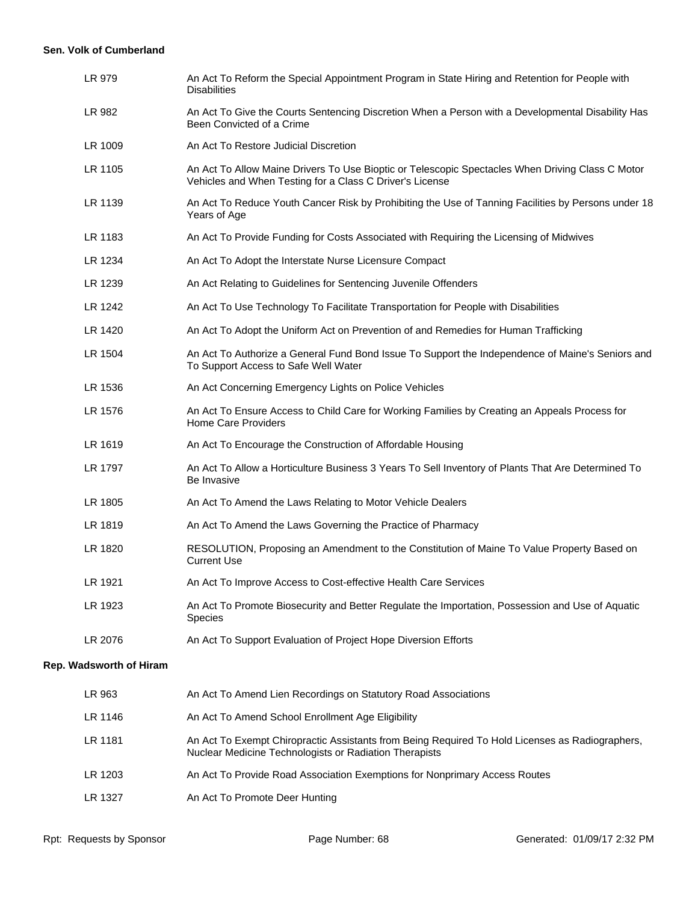#### **Sen. Volk of Cumberland**

| LR 979                  | An Act To Reform the Special Appointment Program in State Hiring and Retention for People with<br><b>Disabilities</b>                                        |  |
|-------------------------|--------------------------------------------------------------------------------------------------------------------------------------------------------------|--|
| LR 982                  | An Act To Give the Courts Sentencing Discretion When a Person with a Developmental Disability Has<br>Been Convicted of a Crime                               |  |
| LR 1009                 | An Act To Restore Judicial Discretion                                                                                                                        |  |
| LR 1105                 | An Act To Allow Maine Drivers To Use Bioptic or Telescopic Spectacles When Driving Class C Motor<br>Vehicles and When Testing for a Class C Driver's License |  |
| LR 1139                 | An Act To Reduce Youth Cancer Risk by Prohibiting the Use of Tanning Facilities by Persons under 18<br>Years of Age                                          |  |
| LR 1183                 | An Act To Provide Funding for Costs Associated with Requiring the Licensing of Midwives                                                                      |  |
| LR 1234                 | An Act To Adopt the Interstate Nurse Licensure Compact                                                                                                       |  |
| LR 1239                 | An Act Relating to Guidelines for Sentencing Juvenile Offenders                                                                                              |  |
| LR 1242                 | An Act To Use Technology To Facilitate Transportation for People with Disabilities                                                                           |  |
| LR 1420                 | An Act To Adopt the Uniform Act on Prevention of and Remedies for Human Trafficking                                                                          |  |
| LR 1504                 | An Act To Authorize a General Fund Bond Issue To Support the Independence of Maine's Seniors and<br>To Support Access to Safe Well Water                     |  |
| LR 1536                 | An Act Concerning Emergency Lights on Police Vehicles                                                                                                        |  |
| LR 1576                 | An Act To Ensure Access to Child Care for Working Families by Creating an Appeals Process for<br><b>Home Care Providers</b>                                  |  |
| LR 1619                 | An Act To Encourage the Construction of Affordable Housing                                                                                                   |  |
| LR 1797                 | An Act To Allow a Horticulture Business 3 Years To Sell Inventory of Plants That Are Determined To<br>Be Invasive                                            |  |
| LR 1805                 | An Act To Amend the Laws Relating to Motor Vehicle Dealers                                                                                                   |  |
| LR 1819                 | An Act To Amend the Laws Governing the Practice of Pharmacy                                                                                                  |  |
| LR 1820                 | RESOLUTION, Proposing an Amendment to the Constitution of Maine To Value Property Based on<br><b>Current Use</b>                                             |  |
| LR 1921                 | An Act To Improve Access to Cost-effective Health Care Services                                                                                              |  |
| LR 1923                 | An Act To Promote Biosecurity and Better Regulate the Importation, Possession and Use of Aquatic<br><b>Species</b>                                           |  |
| LR 2076                 | An Act To Support Evaluation of Project Hope Diversion Efforts                                                                                               |  |
| Rep. Wadsworth of Hiram |                                                                                                                                                              |  |
| LR 963                  | An Act To Amend Lien Recordings on Statutory Road Associations                                                                                               |  |
| LR 1146                 | An Act To Amend School Enrollment Age Eligibility                                                                                                            |  |
| LR 1181                 | An Act To Exempt Chiropractic Assistants from Being Required To Hold Licenses as Radiographers,<br>Nuclear Medicine Technologists or Radiation Therapists    |  |
| LR 1203                 | An Act To Provide Road Association Exemptions for Nonprimary Access Routes                                                                                   |  |

LR 1327 An Act To Promote Deer Hunting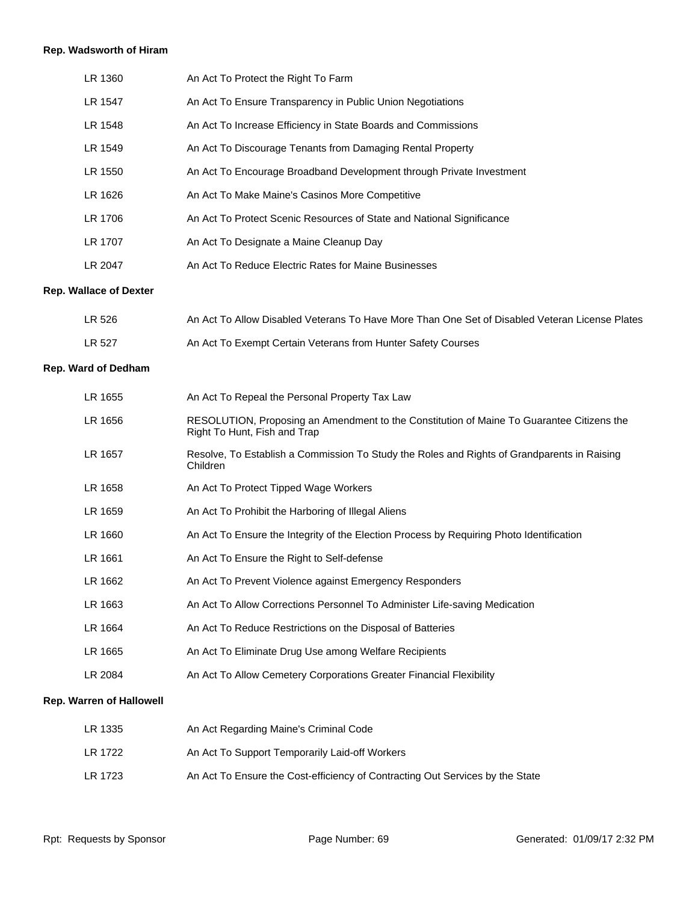# **Rep. Wadsworth of Hiram**

| LR 1360 | An Act To Protect the Right To Farm                                   |
|---------|-----------------------------------------------------------------------|
| LR 1547 | An Act To Ensure Transparency in Public Union Negotiations            |
| LR 1548 | An Act To Increase Efficiency in State Boards and Commissions         |
| LR 1549 | An Act To Discourage Tenants from Damaging Rental Property            |
| LR 1550 | An Act To Encourage Broadband Development through Private Investment  |
| LR 1626 | An Act To Make Maine's Casinos More Competitive                       |
| LR 1706 | An Act To Protect Scenic Resources of State and National Significance |
| LR 1707 | An Act To Designate a Maine Cleanup Day                               |
| LR 2047 | An Act To Reduce Electric Rates for Maine Businesses                  |

#### **Rep. Wallace of Dexter**

| LR 526 | An Act To Allow Disabled Veterans To Have More Than One Set of Disabled Veteran License Plates |
|--------|------------------------------------------------------------------------------------------------|
| LR 527 | An Act To Exempt Certain Veterans from Hunter Safety Courses                                   |

# **Rep. Ward of Dedham**

| LR 1655                         | An Act To Repeal the Personal Property Tax Law                                                                            |
|---------------------------------|---------------------------------------------------------------------------------------------------------------------------|
| LR 1656                         | RESOLUTION, Proposing an Amendment to the Constitution of Maine To Guarantee Citizens the<br>Right To Hunt, Fish and Trap |
| LR 1657                         | Resolve, To Establish a Commission To Study the Roles and Rights of Grandparents in Raising<br>Children                   |
| LR 1658                         | An Act To Protect Tipped Wage Workers                                                                                     |
| LR 1659                         | An Act To Prohibit the Harboring of Illegal Aliens                                                                        |
| LR 1660                         | An Act To Ensure the Integrity of the Election Process by Requiring Photo Identification                                  |
| LR 1661                         | An Act To Ensure the Right to Self-defense                                                                                |
| LR 1662                         | An Act To Prevent Violence against Emergency Responders                                                                   |
| LR 1663                         | An Act To Allow Corrections Personnel To Administer Life-saving Medication                                                |
| LR 1664                         | An Act To Reduce Restrictions on the Disposal of Batteries                                                                |
| LR 1665                         | An Act To Eliminate Drug Use among Welfare Recipients                                                                     |
| LR 2084                         | An Act To Allow Cemetery Corporations Greater Financial Flexibility                                                       |
| <b>Rep. Warren of Hallowell</b> |                                                                                                                           |

| LR 1335 | An Act Regarding Maine's Criminal Code                                        |
|---------|-------------------------------------------------------------------------------|
| LR 1722 | An Act To Support Temporarily Laid-off Workers                                |
| LR 1723 | An Act To Ensure the Cost-efficiency of Contracting Out Services by the State |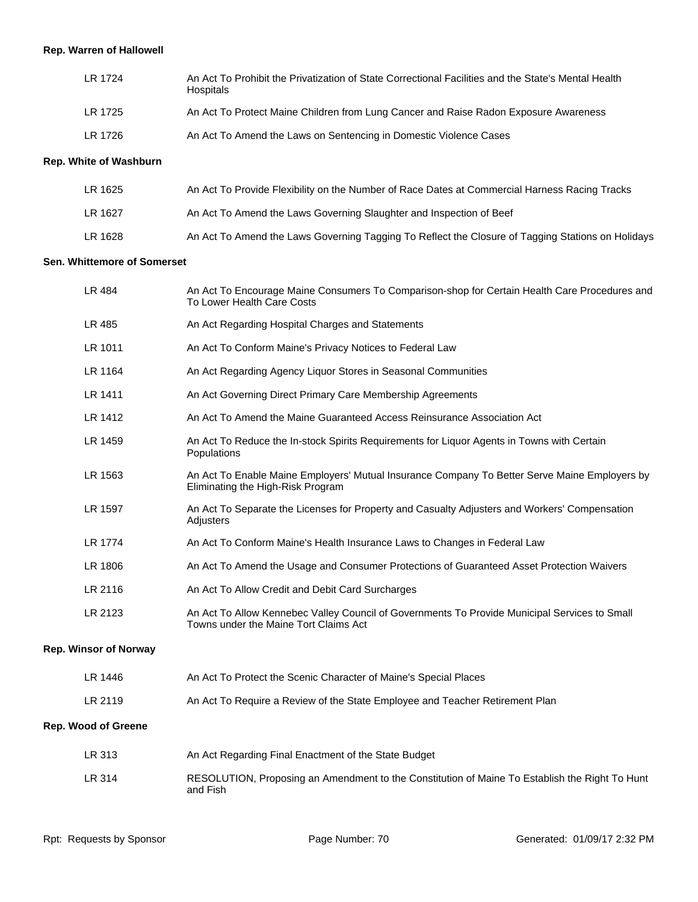# **Rep. Warren of Hallowell**

| LR 1724 | An Act To Prohibit the Privatization of State Correctional Facilities and the State's Mental Health<br>Hospitals |
|---------|------------------------------------------------------------------------------------------------------------------|
| LR 1725 | An Act To Protect Maine Children from Lung Cancer and Raise Radon Exposure Awareness                             |
| LR 1726 | An Act To Amend the Laws on Sentencing in Domestic Violence Cases                                                |

#### **Rep. White of Washburn**

| LR 1625 | An Act To Provide Flexibility on the Number of Race Dates at Commercial Harness Racing Tracks     |
|---------|---------------------------------------------------------------------------------------------------|
| LR 1627 | An Act To Amend the Laws Governing Slaughter and Inspection of Beef                               |
| LR 1628 | An Act To Amend the Laws Governing Tagging To Reflect the Closure of Tagging Stations on Holidays |

#### **Sen. Whittemore of Somerset**

| LR 484                       | An Act To Encourage Maine Consumers To Comparison-shop for Certain Health Care Procedures and<br>To Lower Health Care Costs            |
|------------------------------|----------------------------------------------------------------------------------------------------------------------------------------|
| LR 485                       | An Act Regarding Hospital Charges and Statements                                                                                       |
| LR 1011                      | An Act To Conform Maine's Privacy Notices to Federal Law                                                                               |
| LR 1164                      | An Act Regarding Agency Liquor Stores in Seasonal Communities                                                                          |
| LR 1411                      | An Act Governing Direct Primary Care Membership Agreements                                                                             |
| LR 1412                      | An Act To Amend the Maine Guaranteed Access Reinsurance Association Act                                                                |
| LR 1459                      | An Act To Reduce the In-stock Spirits Requirements for Liquor Agents in Towns with Certain<br>Populations                              |
| LR 1563                      | An Act To Enable Maine Employers' Mutual Insurance Company To Better Serve Maine Employers by<br>Eliminating the High-Risk Program     |
| LR 1597                      | An Act To Separate the Licenses for Property and Casualty Adjusters and Workers' Compensation<br>Adjusters                             |
| LR 1774                      | An Act To Conform Maine's Health Insurance Laws to Changes in Federal Law                                                              |
| LR 1806                      | An Act To Amend the Usage and Consumer Protections of Guaranteed Asset Protection Waivers                                              |
| LR 2116                      | An Act To Allow Credit and Debit Card Surcharges                                                                                       |
| LR 2123                      | An Act To Allow Kennebec Valley Council of Governments To Provide Municipal Services to Small<br>Towns under the Maine Tort Claims Act |
| <b>Rep. Winsor of Norway</b> |                                                                                                                                        |
| LR 1446                      | An Act To Protect the Scenic Character of Maine's Special Places                                                                       |
| LR 2119                      | An Act To Require a Review of the State Employee and Teacher Retirement Plan                                                           |
| <b>Rep. Wood of Greene</b>   |                                                                                                                                        |
| LR 313                       | An Act Regarding Final Enactment of the State Budget                                                                                   |
| $I$ D $244$                  | DECOLLITION, Despective on Approximated the Constitution of Maine To Fetablish the Dight To Llug                                       |